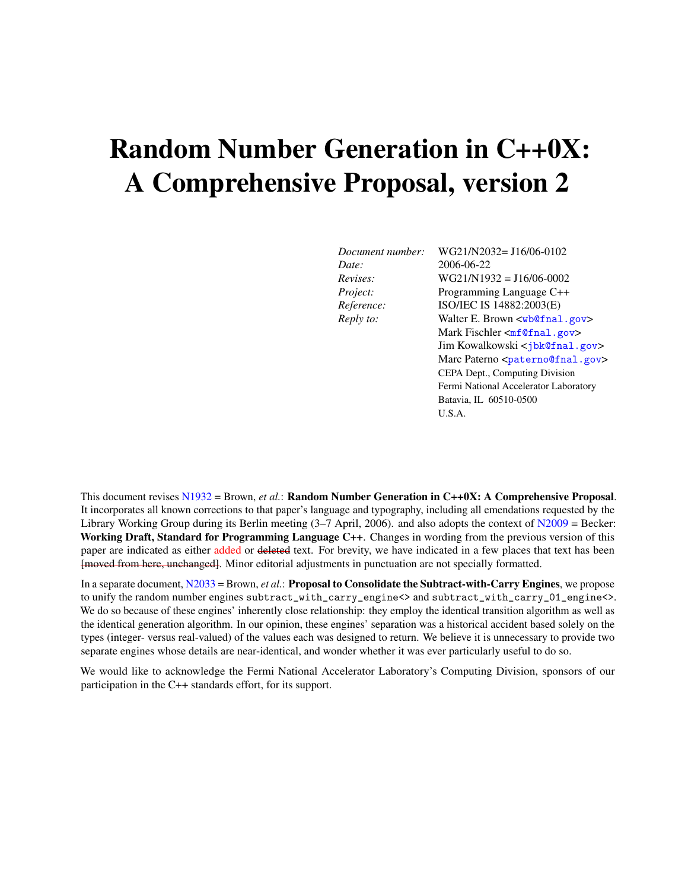## Random Number Generation in C++0X: A Comprehensive Proposal, version 2

*Date:* 2006-06-22

*Document number:* WG21/N2032= J16/06-0102 *Revises:* WG21/N1932 = J16/06-0002 *Project:* Programming Language C++ *Reference:* ISO/IEC IS 14882:2003(E) *Reply to:* Walter E. Brown <[wb@fnal.gov](mailto:wb@fnal.gov)> Mark Fischler <[mf@fnal.gov](mailto:mf@fnal.gov)> Jim Kowalkowski <[jbk@fnal.gov](mailto:jbk@fnal.gov)> Marc Paterno <[paterno@fnal.gov](mailto:paterno@fnal.gov)> CEPA Dept., Computing Division Fermi National Accelerator Laboratory Batavia, IL 60510-0500 U.S.A.

This document revises [N1932](http://www.open-std.org/jtc1/sc22/wg21/docs/papers/2006/n1932.pdf) = Brown, *et al.*: Random Number Generation in C++0X: A Comprehensive Proposal. It incorporates all known corrections to that paper's language and typography, including all emendations requested by the Library Working Group during its Berlin meeting  $(3-7$  April, 2006). and also adopts the context of [N2009](http://www.open-std.org/jtc1/sc22/wg21/docs/papers/2006/n2007.pdf) = Becker: Working Draft, Standard for Programming Language C++. Changes in wording from the previous version of this paper are indicated as either added or deleted text. For brevity, we have indicated in a few places that text has been [moved from here, unchanged]. Minor editorial adjustments in punctuation are not specially formatted.

In a separate document, [N2033](http://www.open-std.org/jtc1/sc22/wg21/docs/papers/2006/n2033.pdf) = Brown, *et al.*: Proposal to Consolidate the Subtract-with-Carry Engines, we propose to unify the random number engines subtract\_with\_carry\_engine<> and subtract\_with\_carry\_01\_engine<>. We do so because of these engines' inherently close relationship: they employ the identical transition algorithm as well as the identical generation algorithm. In our opinion, these engines' separation was a historical accident based solely on the types (integer- versus real-valued) of the values each was designed to return. We believe it is unnecessary to provide two separate engines whose details are near-identical, and wonder whether it was ever particularly useful to do so.

We would like to acknowledge the Fermi National Accelerator Laboratory's Computing Division, sponsors of our participation in the C++ standards effort, for its support.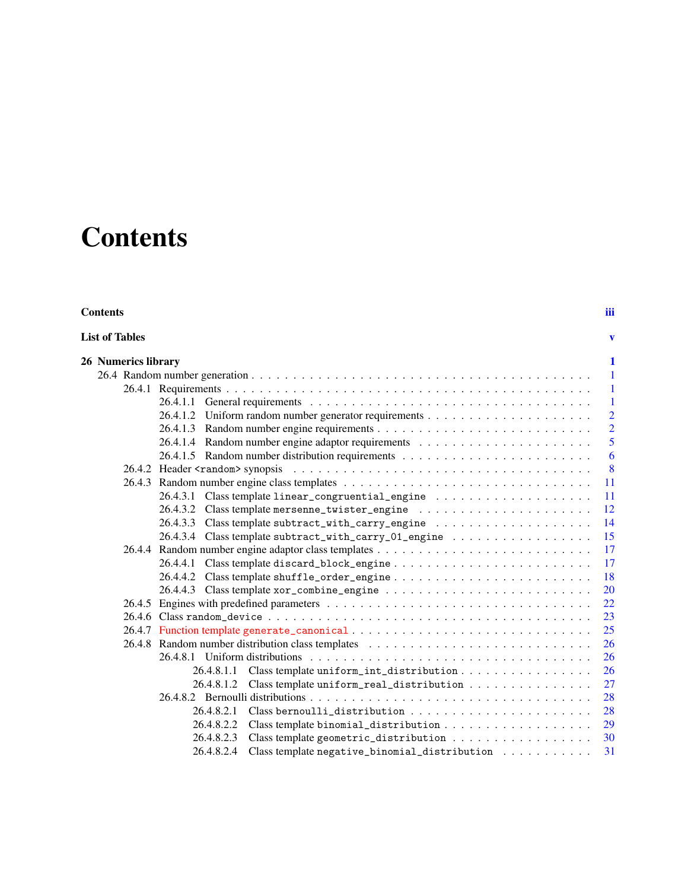## **Contents**

### <span id="page-2-0"></span>**Contents** [iii](#page-2-0)

| <b>List of Tables</b> |  |  |
|-----------------------|--|--|
|                       |  |  |

| 26 Numerics library |                                                                                                                                    | 1                        |
|---------------------|------------------------------------------------------------------------------------------------------------------------------------|--------------------------|
|                     |                                                                                                                                    | $\overline{1}$           |
|                     |                                                                                                                                    |                          |
|                     |                                                                                                                                    | - 1                      |
|                     |                                                                                                                                    | $\overline{\phantom{a}}$ |
|                     |                                                                                                                                    | $\overline{2}$           |
|                     |                                                                                                                                    | $\overline{2}$           |
|                     |                                                                                                                                    | 5                        |
|                     |                                                                                                                                    | 6                        |
|                     |                                                                                                                                    | 8                        |
|                     |                                                                                                                                    | <sup>11</sup>            |
|                     |                                                                                                                                    | -11                      |
|                     |                                                                                                                                    | 12                       |
|                     |                                                                                                                                    | 14                       |
|                     | 26.4.3.4 Class template subtract_with_carry_01_engine                                                                              | 15                       |
|                     |                                                                                                                                    | 17                       |
|                     |                                                                                                                                    | 17                       |
|                     |                                                                                                                                    | 18                       |
|                     |                                                                                                                                    | 20                       |
|                     |                                                                                                                                    | 22                       |
|                     |                                                                                                                                    | 23                       |
|                     |                                                                                                                                    | 25                       |
|                     | 26.4.8 Random number distribution class templates                                                                                  | 26                       |
|                     |                                                                                                                                    | 26                       |
|                     | 26.4.8.1.1<br>Class template uniform_int_distribution                                                                              | 26                       |
|                     | 26.4.8.1.2 Class template uniform_real_distribution                                                                                | 27                       |
|                     |                                                                                                                                    | 28                       |
|                     |                                                                                                                                    | 28                       |
|                     | 26.4.8.2.2                                                                                                                         | 29                       |
|                     | 26.4.8.2.3                                                                                                                         | 30                       |
|                     | 26.4.8.2.4<br>$\label{thm:main} \text{Class template negative\_binomial\_distribution} \quad \ldots \quad \ldots \quad \ldots \,.$ | 31                       |
|                     |                                                                                                                                    |                          |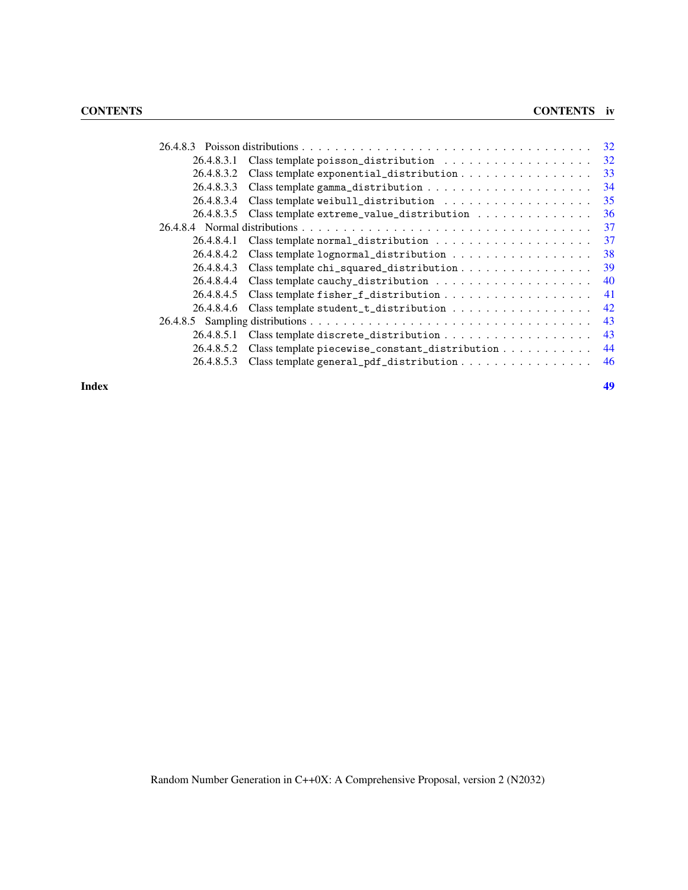|            |                                                                                                                                                                                                                                                                                                                                                                                                                                                 | 32 |
|------------|-------------------------------------------------------------------------------------------------------------------------------------------------------------------------------------------------------------------------------------------------------------------------------------------------------------------------------------------------------------------------------------------------------------------------------------------------|----|
| 26.4.8.3.1 |                                                                                                                                                                                                                                                                                                                                                                                                                                                 | 32 |
| 26.4.8.3.2 | Class template exponential_distribution                                                                                                                                                                                                                                                                                                                                                                                                         | 33 |
| 26.4.8.3.3 |                                                                                                                                                                                                                                                                                                                                                                                                                                                 | 34 |
| 26.4.8.3.4 | $\label{thm:main} \text{Class template weight} \texttt{1}_\texttt{distribution} \texttt{1}_\texttt{t} \texttt{t} \texttt{t} \texttt{t} \texttt{t} \texttt{t} \texttt{t} \texttt{t} \texttt{t} \texttt{t} \texttt{t} \texttt{t} \texttt{t} \texttt{t} \texttt{t} \texttt{t} \texttt{t} \texttt{t} \texttt{t} \texttt{t} \texttt{t} \texttt{t} \texttt{t} \texttt{t} \texttt{t} \texttt{t} \texttt{t} \texttt{t} \texttt{t} \texttt{t} \texttt{t$ | 35 |
| 26.4.8.3.5 | Class template extreme_value_distribution                                                                                                                                                                                                                                                                                                                                                                                                       | 36 |
|            |                                                                                                                                                                                                                                                                                                                                                                                                                                                 | 37 |
| 26.4.8.4.1 | $\label{thm:main} \text{Class template normal\_distribution} \quad \ldots \quad \ldots \quad \ldots \quad \ldots \quad \ldots \, .$                                                                                                                                                                                                                                                                                                             | 37 |
| 26.4.8.4.2 | Class template lognormal_distribution                                                                                                                                                                                                                                                                                                                                                                                                           | 38 |
| 26.4.8.4.3 |                                                                                                                                                                                                                                                                                                                                                                                                                                                 | 39 |
| 26.4.8.4.4 |                                                                                                                                                                                                                                                                                                                                                                                                                                                 | 40 |
| 26.4.8.4.5 |                                                                                                                                                                                                                                                                                                                                                                                                                                                 | 41 |
| 26.4.8.4.6 | Class template student_t_distribution                                                                                                                                                                                                                                                                                                                                                                                                           | 42 |
|            |                                                                                                                                                                                                                                                                                                                                                                                                                                                 | 43 |
| 26.4.8.5.1 |                                                                                                                                                                                                                                                                                                                                                                                                                                                 | 43 |
| 26.4.8.5.2 | Class template piecewise_constant_distribution                                                                                                                                                                                                                                                                                                                                                                                                  | 44 |
| 26.4.8.5.3 | Class template general_pdf_distribution                                                                                                                                                                                                                                                                                                                                                                                                         | 46 |
|            |                                                                                                                                                                                                                                                                                                                                                                                                                                                 |    |

**Index** [49](#page-54-0)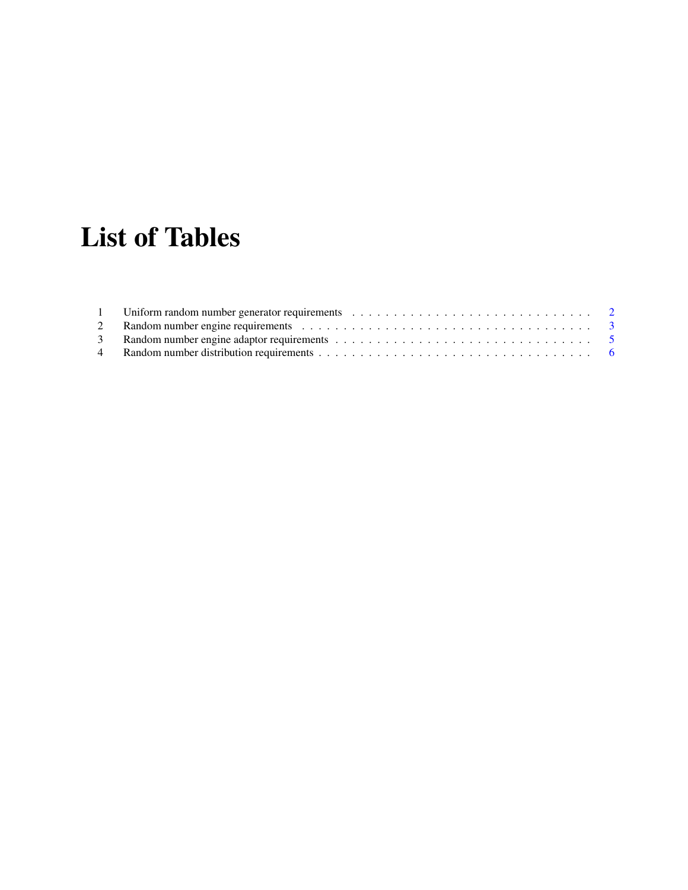# List of Tables

<span id="page-4-0"></span>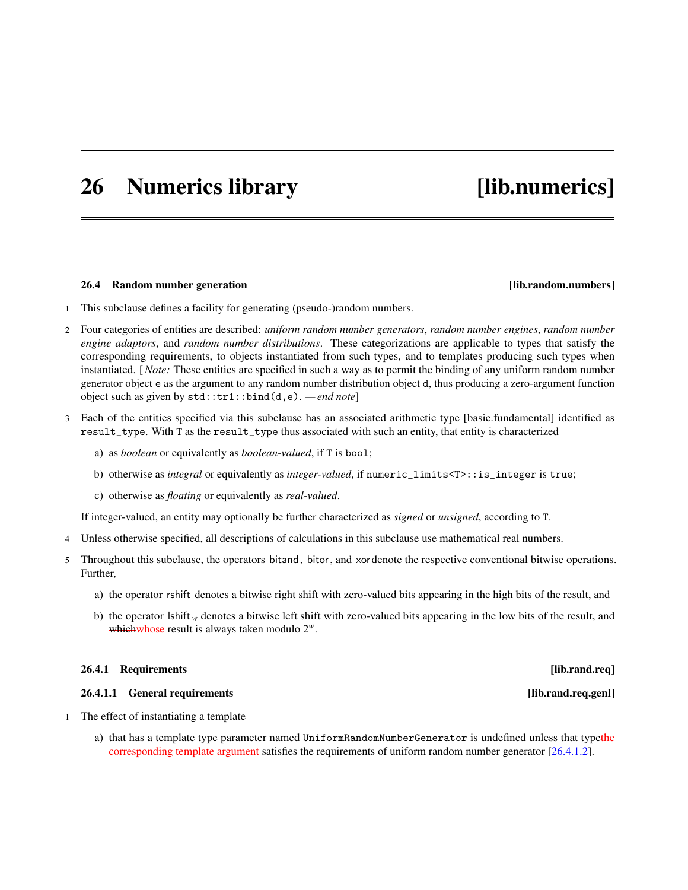## <span id="page-6-4"></span><span id="page-6-0"></span>26 Numerics library [lib.numerics]

### <span id="page-6-1"></span>26.4 Random number generation **and increase and increase and increase in the contract of the contract of the contract of the contract of the contract of the contract of the contract of the contract of the contract of the c**

- 1 This subclause defines a facility for generating (pseudo-)random numbers.
- 2 Four categories of entities are described: *uniform random number generators*, *random number engines*, *random number engine adaptors*, and *random number distributions*. These categorizations are applicable to types that satisfy the corresponding requirements, to objects instantiated from such types, and to templates producing such types when instantiated. [*Note:* These entities are specified in such a way as to permit the binding of any uniform random number generator object e as the argument to any random number distribution object d, thus producing a zero-argument function object such as given by std::tr1::bind(d,e). *— end note*]
- Each of the entities specified via this subclause has an associated arithmetic type [basic.fundamental] identified as result\_type. With T as the result\_type thus associated with such an entity, that entity is characterized
	- a) as *boolean* or equivalently as *boolean-valued*, if T is bool;
	- b) otherwise as *integral* or equivalently as *integer-valued*, if numeric\_limits<T>::is\_integer is true;
	- c) otherwise as *floating* or equivalently as *real-valued*.

If integer-valued, an entity may optionally be further characterized as *signed* or *unsigned*, according to T.

- 4 Unless otherwise specified, all descriptions of calculations in this subclause use mathematical real numbers.
- 5 Throughout this subclause, the operators bitand, bitor, and xordenote the respective conventional bitwise operations. Further,
	- a) the operator rshift denotes a bitwise right shift with zero-valued bits appearing in the high bits of the result, and
	- b) the operator lshift<sub>w</sub> denotes a bitwise left shift with zero-valued bits appearing in the low bits of the result, and whichwhose result is always taken modulo 2*w*.

### <span id="page-6-2"></span>26.4.1 Requirements [lib.rand.req]

### <span id="page-6-3"></span>26.4.1.1 General requirements [lib.rand.req.genl]

- 1 The effect of instantiating a template
	- a) that has a template type parameter named UniformRandomNumberGenerator is undefined unless that typethe corresponding template argument satisfies the requirements of uniform random number generator [\[26.4.1.2\]](#page-7-0).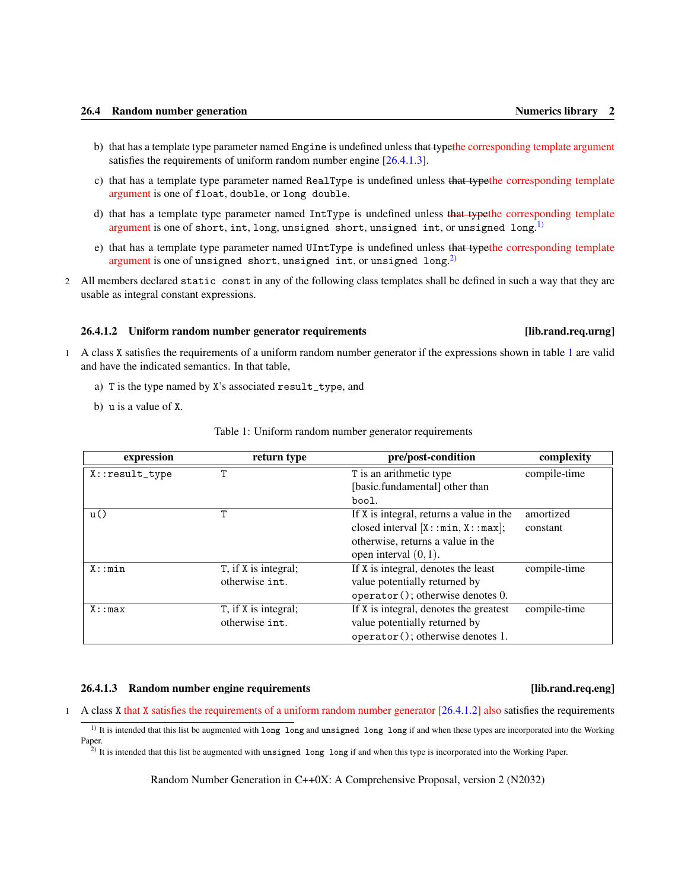- <span id="page-7-5"></span>b) that has a template type parameter named Engine is undefined unless that typethe corresponding template argument satisfies the requirements of uniform random number engine [\[26.4.1.3\]](#page-7-1).
- c) that has a template type parameter named RealType is undefined unless that typethe corresponding template argument is one of float, double, or long double.
- d) that has a template type parameter named IntType is undefined unless that typethe corresponding template argument is one of short,  $\text{int}$ ,  $\text{long}$ ,  $\text{unsigned short}$ ,  $\text{unsigned int}$ , or  $\text{unsigned long.}^{1)}$  $\text{unsigned long.}^{1)}$  $\text{unsigned long.}^{1)}$
- e) that has a template type parameter named UIntType is undefined unless that typethe corresponding template argument is one of unsigned short, unsigned int, or unsigned long. $^{2)}$  $^{2)}$  $^{2)}$
- 2 All members declared static const in any of the following class templates shall be defined in such a way that they are usable as integral constant expressions.

### <span id="page-7-0"></span>26.4.1.2 Uniform random number generator requirements [lib.rand.req.urng]

### 1 A class X satisfies the requirements of a uniform random number generator if the expressions shown in table [1](#page-7-2) are valid and have the indicated semantics. In that table,

- a) T is the type named by X's associated result\_type, and
- b) u is a value of X.

<span id="page-7-2"></span>

| expression      | return type          | pre/post-condition                       | complexity   |
|-----------------|----------------------|------------------------------------------|--------------|
| $X:result_type$ | T                    | T is an arithmetic type                  | compile-time |
|                 |                      | [basic.fundamental] other than           |              |
|                 |                      | bool.                                    |              |
| u()             | т                    | If X is integral, returns a value in the | amortized    |
|                 |                      | closed interval $[X: : min, X: : max]$ ; | constant     |
|                 |                      | otherwise, returns a value in the        |              |
|                 |                      | open interval $(0,1)$ .                  |              |
| X: min          | T, if X is integral; | If X is integral, denotes the least      | compile-time |
|                 | otherwise int.       | value potentially returned by            |              |
|                 |                      | operator(); otherwise denotes 0.         |              |
| X: max          | T, if X is integral; | If X is integral, denotes the greatest   | compile-time |
|                 | otherwise int.       | value potentially returned by            |              |
|                 |                      | operator(); otherwise denotes 1.         |              |

Table 1: Uniform random number generator requirements

### <span id="page-7-1"></span>26.4.1.3 Random number engine requirements [lib.rand.req.eng]

1 A class X that X satisfies the requirements of a uniform random number generator [\[26.4.1.2\]](#page-7-0) also satisfies the requirements

<span id="page-7-3"></span> $<sup>1</sup>$  It is intended that this list be augmented with long long and unsigned long long if and when these types are incorporated into the Working</sup> Paper.

<span id="page-7-4"></span> $\hat{P}$ ) It is intended that this list be augmented with unsigned long long if and when this type is incorporated into the Working Paper.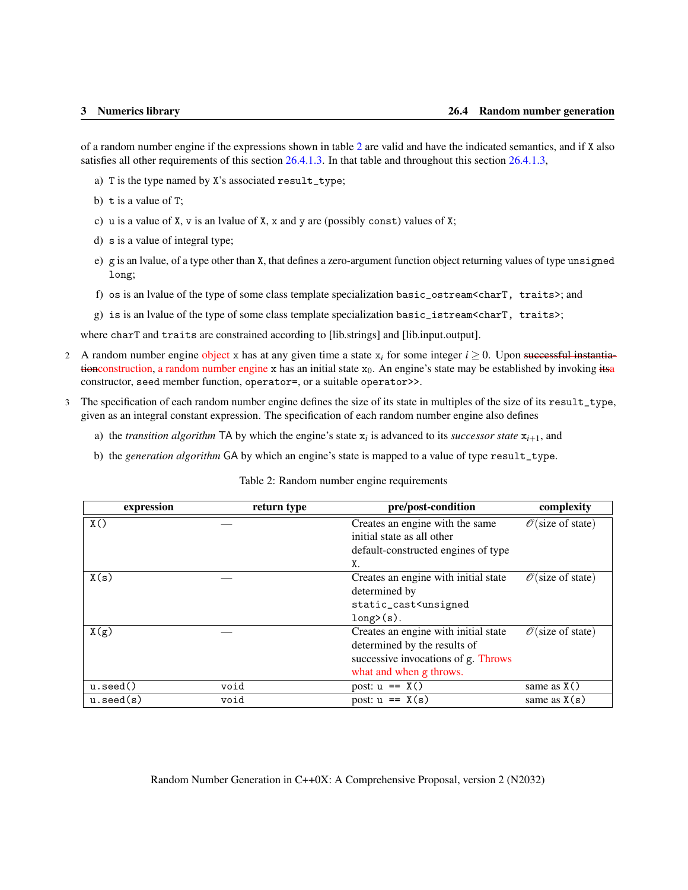<span id="page-8-1"></span>of a random number engine if the expressions shown in table [2](#page-8-0) are valid and have the indicated semantics, and if X also satisfies all other requirements of this section [26.4.1.3.](#page-7-1) In that table and throughout this section [26.4.1.3,](#page-7-1)

- a) T is the type named by X's associated result\_type;
- b)  $t$  is a value of  $T$ ;
- c) u is a value of X, v is an lvalue of X, x and y are (possibly const) values of X;
- d) s is a value of integral type;
- e) g is an lvalue, of a type other than X, that defines a zero-argument function object returning values of type unsigned long;
- f) os is an lvalue of the type of some class template specialization basic\_ostream<charT, traits>; and
- g) is is an lvalue of the type of some class template specialization basic\_istream<charT, traits>;

where charT and traits are constrained according to [lib.strings] and [lib.input.output].

- 2 A random number engine object x has at any given time a state  $x_i$  for some integer  $i \ge 0$ . Upon successful instantiationconstruction, a random number engine x has an initial state  $x_0$ . An engine's state may be established by invoking itsa constructor, seed member function, operator=, or a suitable operator>>.
- 3 The specification of each random number engine defines the size of its state in multiples of the size of its result\_type, given as an integral constant expression. The specification of each random number engine also defines
	- a) the *transition algorithm* TA by which the engine's state  $x_i$  is advanced to its *successor state*  $x_{i+1}$ , and
	- b) the *generation algorithm* GA by which an engine's state is mapped to a value of type result\_type.

### Table 2: Random number engine requirements

<span id="page-8-0"></span>

| expression         | return type | pre/post-condition                                            | complexity                          |
|--------------------|-------------|---------------------------------------------------------------|-------------------------------------|
| X()                |             | Creates an engine with the same<br>initial state as all other | $\mathcal{O}(\text{size of state})$ |
|                    |             |                                                               |                                     |
|                    |             | default-constructed engines of type                           |                                     |
|                    |             | Χ.                                                            |                                     |
| X(s)               |             | Creates an engine with initial state                          | $\mathcal{O}(\text{size of state})$ |
|                    |             | determined by                                                 |                                     |
|                    |             | static_cast <unsigned< td=""><td></td></unsigned<>            |                                     |
|                    |             | $long>(s)$ .                                                  |                                     |
| X(g)               |             | Creates an engine with initial state                          | $\mathcal{O}(\text{size of state})$ |
|                    |             | determined by the results of                                  |                                     |
|                    |             | successive invocations of g. Throws                           |                                     |
|                    |             | what and when g throws.                                       |                                     |
| $u.\text{seed}()$  | void        | post: $u == X()$                                              | same as $X()$                       |
| $u.\text{seed}(s)$ | void        | post: $u == X(s)$                                             | same as $X(s)$                      |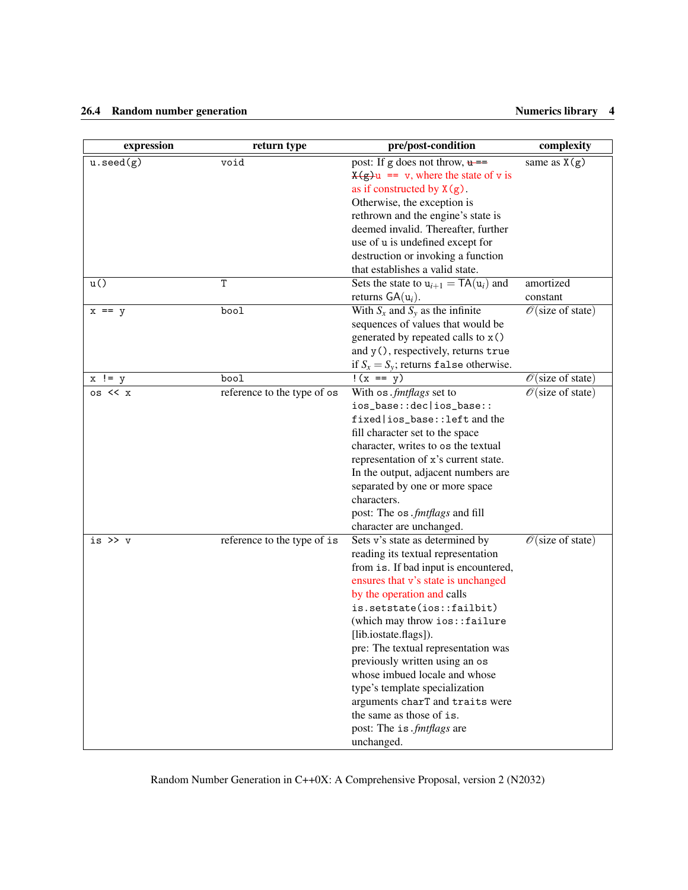### 26.4 Random number generation **Numerics library 4** Numerics library 4

| expression         | return type                 | pre/post-condition                                                                                                                                                                                                                                                                                                                                                                                                                                                                                                                | complexity                          |
|--------------------|-----------------------------|-----------------------------------------------------------------------------------------------------------------------------------------------------------------------------------------------------------------------------------------------------------------------------------------------------------------------------------------------------------------------------------------------------------------------------------------------------------------------------------------------------------------------------------|-------------------------------------|
| $u.\text{seed}(g)$ | void                        | post: If g does not throw, $\mu$ ==<br>$\chi(g)u == v$ , where the state of v is<br>as if constructed by $X(g)$ .<br>Otherwise, the exception is<br>rethrown and the engine's state is<br>deemed invalid. Thereafter, further<br>use of u is undefined except for<br>destruction or invoking a function<br>that establishes a valid state.                                                                                                                                                                                        | same as $\overline{X(g)}$           |
| u()                | T                           | Sets the state to $u_{i+1} = \textsf{TA}(u_i)$ and<br>returns $GA(u_i)$ .                                                                                                                                                                                                                                                                                                                                                                                                                                                         | amortized<br>constant               |
| $x == y$           | bool                        | With $S_x$ and $S_y$ as the infinite<br>sequences of values that would be<br>generated by repeated calls to x()<br>and y(), respectively, returns true<br>if $S_x = S_y$ ; returns false otherwise.                                                                                                                                                                                                                                                                                                                               | $\mathcal{O}(\text{size of state})$ |
| $x = y$            | bool                        | $!(x == y)$                                                                                                                                                                                                                                                                                                                                                                                                                                                                                                                       | $\mathcal{O}(\text{size of state})$ |
| $os \ll x$         | reference to the type of os | With os .fmtflags set to<br>ios_base::dec ios_base::<br>fixed   ios_base::left and the<br>fill character set to the space<br>character, writes to os the textual<br>representation of x's current state.<br>In the output, adjacent numbers are<br>separated by one or more space<br>characters.<br>post: The os . fmtflags and fill<br>character are unchanged.                                                                                                                                                                  | $\mathcal{O}(\text{size of state})$ |
| is $\gg v$         | reference to the type of is | Sets v's state as determined by<br>reading its textual representation<br>from is. If bad input is encountered,<br>ensures that v's state is unchanged<br>by the operation and calls<br>is.setstate(ios::failbit)<br>(which may throw ios::failure<br>[lib.iostate.flags]).<br>pre: The textual representation was<br>previously written using an os<br>whose imbued locale and whose<br>type's template specialization<br>arguments charT and traits were<br>the same as those of is.<br>post: The is. fmtflags are<br>unchanged. | $\mathcal{O}(\text{size of state})$ |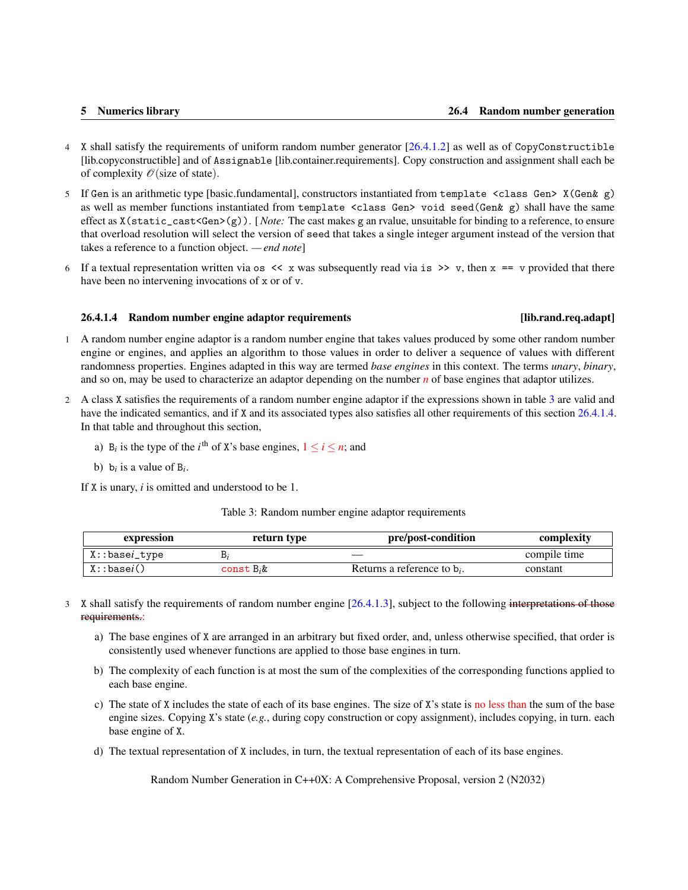- <span id="page-10-2"></span>4 X shall satisfy the requirements of uniform random number generator [\[26.4.1.2\]](#page-7-0) as well as of CopyConstructible [lib.copyconstructible] and of Assignable [lib.container.requirements]. Copy construction and assignment shall each be of complexity  $\mathcal{O}(\text{size of state}).$
- 5 If Gen is an arithmetic type [basic.fundamental], constructors instantiated from template <class Gen> X(Gen& g) as well as member functions instantiated from template <class Gen> void seed(Gen& g) shall have the same effect as X(static\_cast<Gen>(g)). [ *Note:* The cast makes g an rvalue, unsuitable for binding to a reference, to ensure that overload resolution will select the version of seed that takes a single integer argument instead of the version that takes a reference to a function object. *— end note*]
- 6 If a textual representation written via os  $\lt\lt x$  was subsequently read via is  $\gt\gt y$ , then  $x == y$  provided that there have been no intervening invocations of x or of v.

### <span id="page-10-0"></span>26.4.1.4 Random number engine adaptor requirements [lib.rand.req.adapt]

- 1 A random number engine adaptor is a random number engine that takes values produced by some other random number engine or engines, and applies an algorithm to those values in order to deliver a sequence of values with different randomness properties. Engines adapted in this way are termed *base engines* in this context. The terms *unary*, *binary*, and so on, may be used to characterize an adaptor depending on the number *n* of base engines that adaptor utilizes.
- 2 A class X satisfies the requirements of a random number engine adaptor if the expressions shown in table [3](#page-10-1) are valid and have the indicated semantics, and if X and its associated types also satisfies all other requirements of this section [26.4.1.4.](#page-10-0) In that table and throughout this section,
	- a) B<sub>i</sub> is the type of the *i*<sup>th</sup> of X's base engines,  $1 \le i \le n$ ; and
	- b)  $b_i$  is a value of  $B_i$ .

If X is unary, *i* is omitted and understood to be 1.

### Table 3: Random number engine adaptor requirements

<span id="page-10-1"></span>

| expression             | return type   | pre/post-condition             | complexity   |
|------------------------|---------------|--------------------------------|--------------|
| X::base <i>i</i> _type |               |                                | compile time |
| X:basei()              | const $B_i$ & | Returns a reference to $b_i$ . | constant     |

- 3 X shall satisfy the requirements of random number engine [\[26.4.1.3\]](#page-7-1), subject to the following interpretations of those requirements.:
	- a) The base engines of X are arranged in an arbitrary but fixed order, and, unless otherwise specified, that order is consistently used whenever functions are applied to those base engines in turn.
	- b) The complexity of each function is at most the sum of the complexities of the corresponding functions applied to each base engine.
	- c) The state of X includes the state of each of its base engines. The size of X's state is no less than the sum of the base engine sizes. Copying X's state (*e.g.*, during copy construction or copy assignment), includes copying, in turn. each base engine of X.
	- d) The textual representation of X includes, in turn, the textual representation of each of its base engines.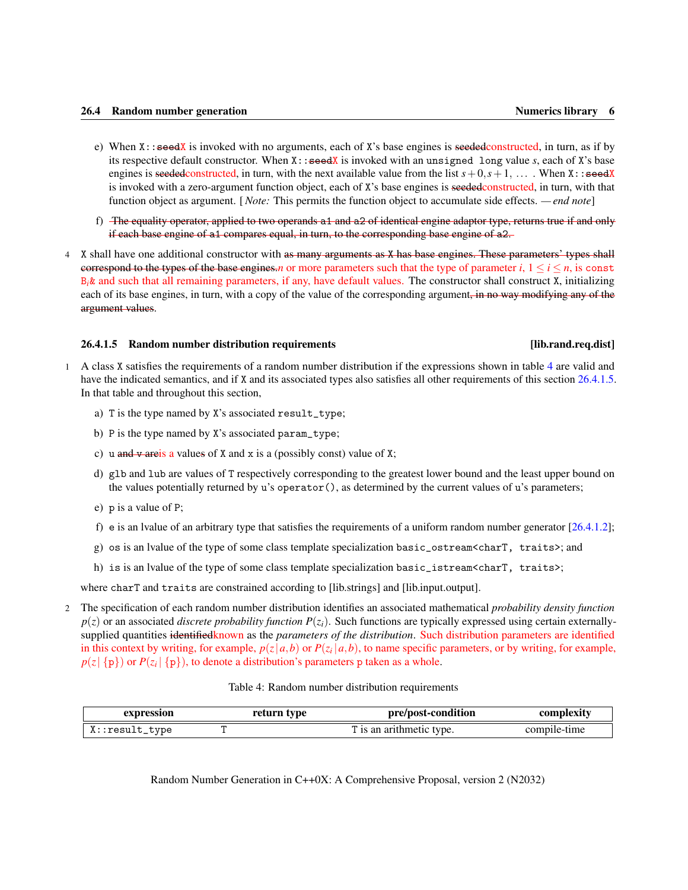- <span id="page-11-2"></span>e) When X::seedX is invoked with no arguments, each of X's base engines is seededconstructed, in turn, as if by its respective default constructor. When X::seedX is invoked with an unsigned long value *s*, each of X's base engines is seededconstructed, in turn, with the next available value from the list  $s + 0$ ,  $s + 1$ , ... . When X::seedX is invoked with a zero-argument function object, each of X's base engines is seeded constructed, in turn, with that function object as argument. [ *Note:* This permits the function object to accumulate side effects. *— end note*]
- f) The equality operator, applied to two operands a1 and a2 of identical engine adaptor type, returns true if and only if each base engine of a1 compares equal, in turn, to the corresponding base engine of a2.
- 4 X shall have one additional constructor with as many arguments as X has base engines. These parameters' types shall correspond to the types of the base engines.*n* or more parameters such that the type of parameter *i*,  $1 \le i \le n$ , is const B*i*& and such that all remaining parameters, if any, have default values. The constructor shall construct X, initializing each of its base engines, in turn, with a copy of the value of the corresponding argument, in no way modifying any of the argument values.

### <span id="page-11-0"></span>26.4.1.5 Random number distribution requirements [lib.rand.req.dist]

- 1 A class X satisfies the requirements of a random number distribution if the expressions shown in table [4](#page-11-1) are valid and have the indicated semantics, and if X and its associated types also satisfies all other requirements of this section [26.4.1.5.](#page-11-0) In that table and throughout this section,
	- a) T is the type named by X's associated result\_type;
	- b) P is the type named by X's associated param\_type;
	- c) u and v areis a values of X and x is a (possibly const) value of X;
	- d) glb and lub are values of T respectively corresponding to the greatest lower bound and the least upper bound on the values potentially returned by u's operator(), as determined by the current values of u's parameters;
	- e) p is a value of P;
	- f) e is an Ivalue of an arbitrary type that satisfies the requirements of a uniform random number generator  $[26.4.1.2]$ ;
	- g) os is an lvalue of the type of some class template specialization basic\_ostream<charT, traits>; and
	- h) is is an lvalue of the type of some class template specialization basic\_istream<charT, traits>;

where charT and traits are constrained according to [lib.strings] and [lib.input.output].

2 The specification of each random number distribution identifies an associated mathematical *probability density function*  $p(z)$  or an associated *discrete probability function*  $P(z_i)$ . Such functions are typically expressed using certain externallysupplied quantities identifiedknown as the *parameters of the distribution*. Such distribution parameters are identified in this context by writing, for example,  $p(z|a,b)$  or  $P(z_i|a,b)$ , to name specific parameters, or by writing, for example,  $p(z | {p})$  or  $P(z_i | {p})$ , to denote a distribution's parameters p taken as a whole.

|  |  | Table 4: Random number distribution requirements |  |  |
|--|--|--------------------------------------------------|--|--|
|--|--|--------------------------------------------------|--|--|

<span id="page-11-1"></span>

| expression           | return type | <b>vre/post-condition</b>         | шехн         |
|----------------------|-------------|-----------------------------------|--------------|
| type<br>$X:result_1$ |             | arithmetic<br>type.<br>' 19. an . | compile-time |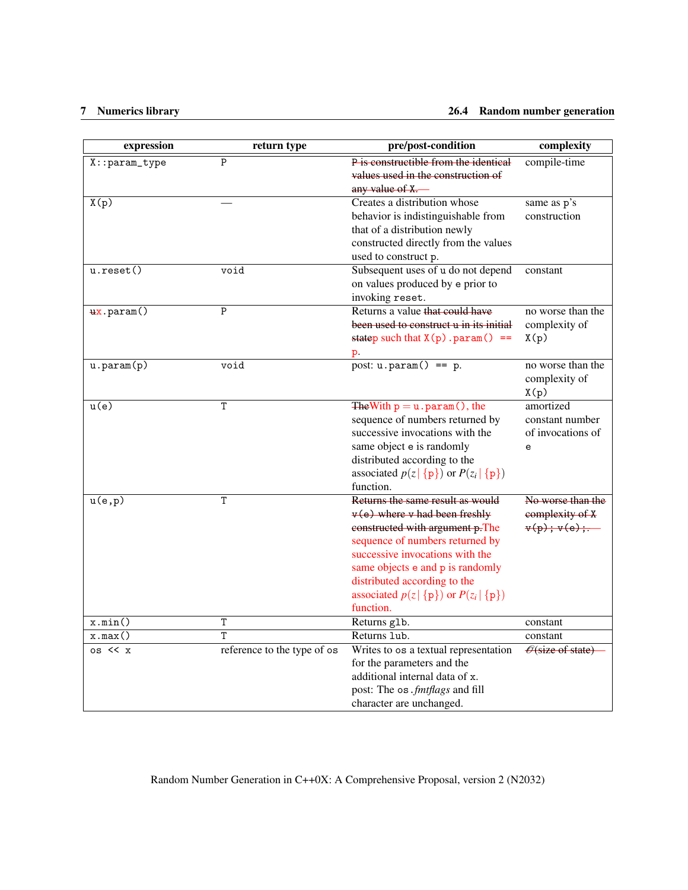### 7 Numerics library 26.4 Random number generation

| expression         | return type                 | pre/post-condition                                                                                                                                                                                                                                                                                             | complexity                                             |
|--------------------|-----------------------------|----------------------------------------------------------------------------------------------------------------------------------------------------------------------------------------------------------------------------------------------------------------------------------------------------------------|--------------------------------------------------------|
| $X:$ : param_type  | $\mathsf{P}$                | P is constructible from the identical<br>values used in the construction of<br>any value of X.                                                                                                                                                                                                                 | compile-time                                           |
| $\overline{X(p)}$  |                             | Creates a distribution whose<br>behavior is indistinguishable from<br>that of a distribution newly<br>constructed directly from the values<br>used to construct p.                                                                                                                                             | same as p's<br>construction                            |
| $u.\text{reset}()$ | void                        | Subsequent uses of u do not depend<br>on values produced by e prior to<br>invoking reset.                                                                                                                                                                                                                      | constant                                               |
| $+x.param()$       | $\mathsf{P}$                | Returns a value that could have<br>been used to construct u in its initial<br>statep such that $X(p)$ . param() ==<br>р.                                                                                                                                                                                       | no worse than the<br>complexity of<br>X(p)             |
| $u.$ param $(p)$   | void                        | post: $u.param() == p$ .                                                                                                                                                                                                                                                                                       | no worse than the<br>complexity of<br>X(p)             |
| u(e)               | T                           | The With $p = u \cdot param$ (), the<br>sequence of numbers returned by<br>successive invocations with the<br>same object e is randomly<br>distributed according to the<br>associated $p(z   \{p\})$ or $P(z_i   \{p\})$<br>function.                                                                          | amortized<br>constant number<br>of invocations of<br>e |
| u(e,p)             | T                           | Returns the same result as would<br>$v(e)$ where v had been freshly<br>constructed with argument p.The<br>sequence of numbers returned by<br>successive invocations with the<br>same objects e and p is randomly<br>distributed according to the<br>associated $p(z   \{p\})$ or $P(z_i   \{p\})$<br>function. | No worse than the<br>complexity of X<br>v(p); v(e);    |
| x.min()            | T                           | Returns g1b.                                                                                                                                                                                                                                                                                                   | constant                                               |
| x.max()            | T                           | Returns 1ub.                                                                                                                                                                                                                                                                                                   | constant                                               |
| $os \lt < x$       | reference to the type of os | Writes to os a textual representation<br>for the parameters and the<br>additional internal data of x.<br>post: The os . fmtflags and fill<br>character are unchanged.                                                                                                                                          | $\mathcal{O}$ (size of state)                          |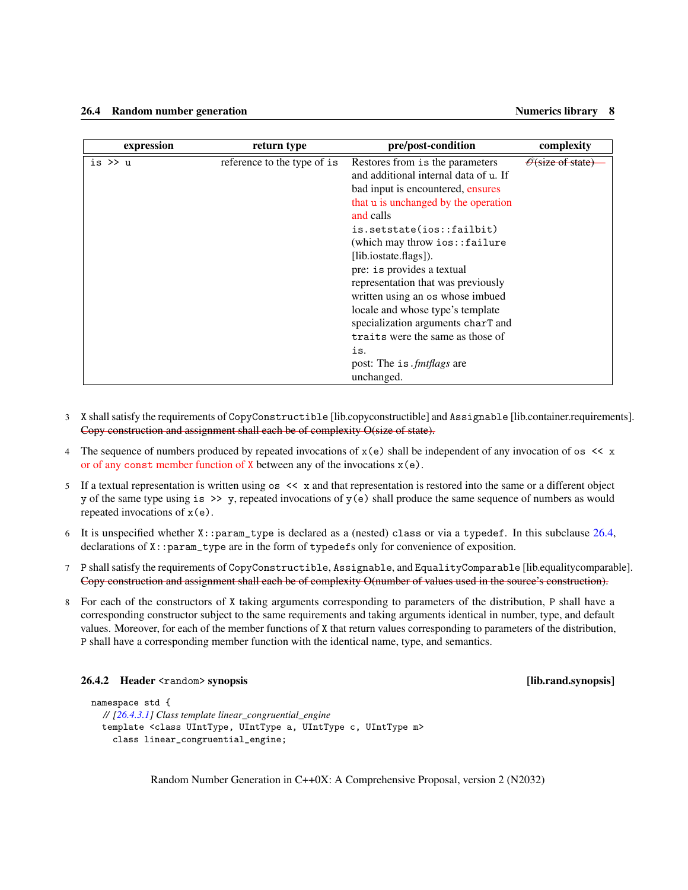<span id="page-13-1"></span>

| expression | return type                 | pre/post-condition                    | complexity                    |
|------------|-----------------------------|---------------------------------------|-------------------------------|
| is $\gg$ u | reference to the type of is | Restores from is the parameters       | $\mathcal{O}$ (size of state) |
|            |                             | and additional internal data of u. If |                               |
|            |                             | bad input is encountered, ensures     |                               |
|            |                             | that u is unchanged by the operation  |                               |
|            |                             | and calls                             |                               |
|            |                             | is.setstate(ios::failbit)             |                               |
|            |                             | $(which may throw ios::failure)$      |                               |
|            |                             | [lib.iostate.flags]).                 |                               |
|            |                             | pre: is provides a textual            |                               |
|            |                             | representation that was previously    |                               |
|            |                             | written using an os whose imbued      |                               |
|            |                             | locale and whose type's template      |                               |
|            |                             | specialization arguments charT and    |                               |
|            |                             | traits were the same as those of      |                               |
|            |                             | is.                                   |                               |
|            |                             | post: The is. <i>fmt flags</i> are    |                               |
|            |                             | unchanged.                            |                               |

- 3 X shall satisfy the requirements of CopyConstructible [lib.copyconstructible] and Assignable [lib.container.requirements]. Copy construction and assignment shall each be of complexity O(size of state).
- 4 The sequence of numbers produced by repeated invocations of  $x(e)$  shall be independent of any invocation of os  $\lt\lt x$ or of any const member function of  $X$  between any of the invocations  $x(e)$ .
- 5 If a textual representation is written using os << x and that representation is restored into the same or a different object y of the same type using is  $\gg y$ , repeated invocations of  $y(e)$  shall produce the same sequence of numbers as would repeated invocations of  $x(e)$ .
- 6 It is unspecified whether  $X:param\_type$  is declared as a (nested) class or via a typedef. In this subclause [26.4,](#page-6-1) declarations of X::param\_type are in the form of typedefs only for convenience of exposition.
- 7 P shall satisfy the requirements of CopyConstructible, Assignable, and EqualityComparable [lib.equalitycomparable]. Copy construction and assignment shall each be of complexity O(number of values used in the source's construction).
- 8 For each of the constructors of X taking arguments corresponding to parameters of the distribution, P shall have a corresponding constructor subject to the same requirements and taking arguments identical in number, type, and default values. Moreover, for each of the member functions of X that return values corresponding to parameters of the distribution, P shall have a corresponding member function with the identical name, type, and semantics.

### <span id="page-13-0"></span>26.4.2 Header <random> synopsis [lib.rand.synopsis]

```
namespace std {
  // [26.4.3.1] Class template linear_congruential_engine
  template <class UIntType, UIntType a, UIntType c, UIntType m>
    class linear_congruential_engine;
```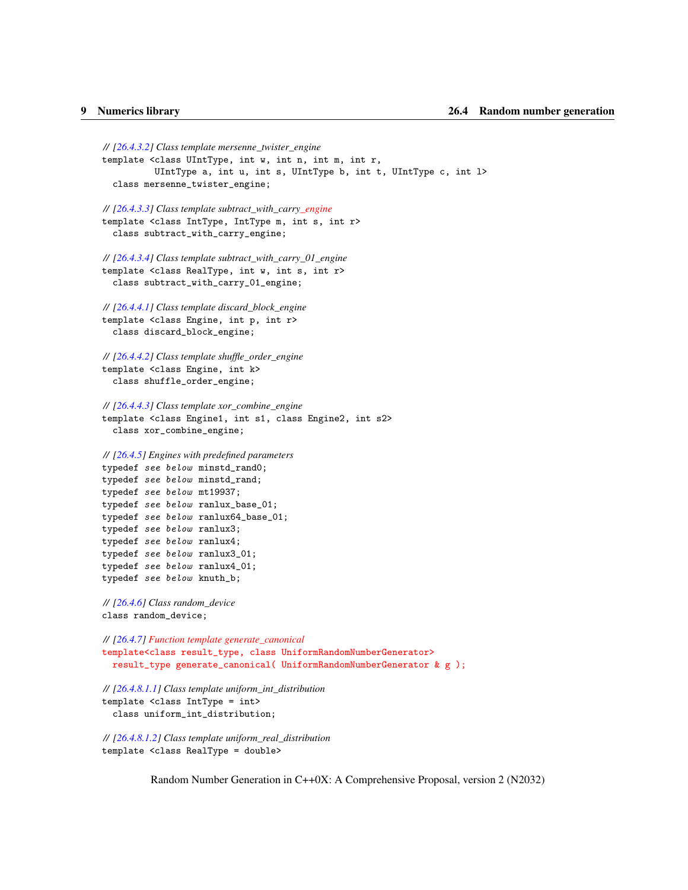```
// [26.4.3.2] Class template mersenne_twister_engine
template <class UIntType, int w, int n, int m, int r,
           UIntType a, int u, int s, UIntType b, int t, UIntType c, int l>
  class mersenne_twister_engine;
// [26.4.3.3] Class template subtract_with_carry_engine
template <class IntType, IntType m, int s, int r>
  class subtract_with_carry_engine;
// [26.4.3.4] Class template subtract_with_carry_01_engine
template <class RealType, int w, int s, int r>
  class subtract_with_carry_01_engine;
// [26.4.4.1] Class template discard_block_engine
template <class Engine, int p, int r>
  class discard_block_engine;
// [26.4.4.2] Class template shuffle_order_engine
template <class Engine, int k>
  class shuffle_order_engine;
// [26.4.4.3] Class template xor_combine_engine
template <class Engine1, int s1, class Engine2, int s2>
  class xor_combine_engine;
// [26.4.5] Engines with predefined parameters
typedef see below minstd_rand0;
typedef see below minstd_rand;
typedef see below mt19937;
typedef see below ranlux_base_01;
typedef see below ranlux64_base_01;
typedef see below ranlux3;
typedef see below ranlux4;
typedef see below ranlux3_01;
typedef see below ranlux4_01;
typedef see below knuth_b;
// [26.4.6] Class random_device
class random_device;
// [26.4.7] Function template generate_canonical
template<class result_type, class UniformRandomNumberGenerator>
  result_type generate_canonical( UniformRandomNumberGenerator & g );
// [26.4.8.1.1] Class template uniform_int_distribution
template <class IntType = int>
  class uniform_int_distribution;
// [26.4.8.1.2] Class template uniform_real_distribution
template <class RealType = double>
```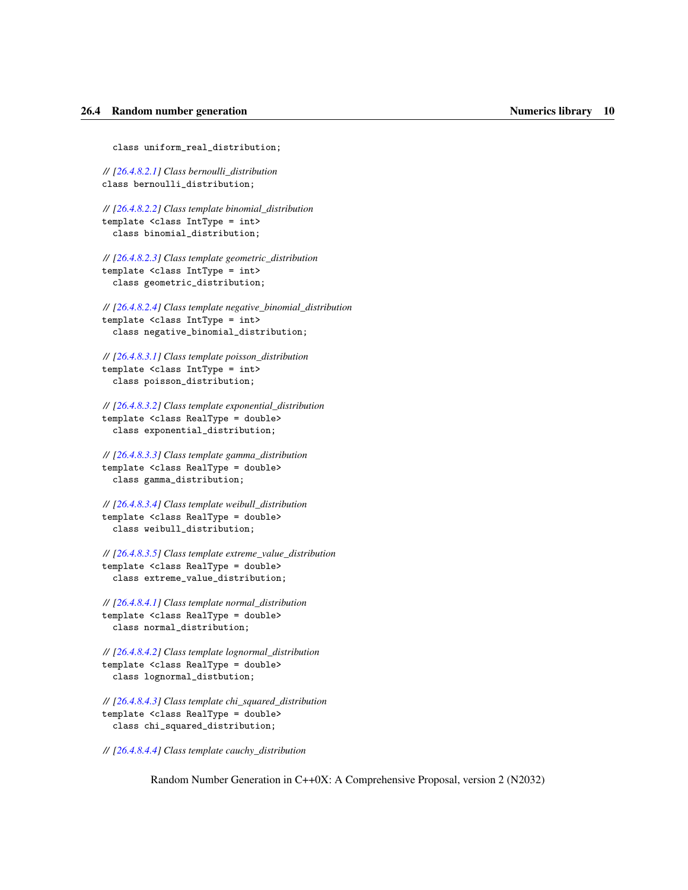class uniform\_real\_distribution;

*// [\[26.4.8.2.1\]](#page-33-1) Class bernoulli\_distribution* class bernoulli\_distribution;

*// [\[26.4.8.2.2\]](#page-34-0) Class template binomial\_distribution* template <class IntType = int> class binomial\_distribution;

*// [\[26.4.8.2.3\]](#page-35-0) Class template geometric\_distribution* template <class IntType = int> class geometric\_distribution;

*// [\[26.4.8.2.4\]](#page-36-0) Class template negative\_binomial\_distribution* template <class IntType = int> class negative\_binomial\_distribution;

*// [\[26.4.8.3.1\]](#page-37-1) Class template poisson\_distribution* template <class IntType = int> class poisson\_distribution;

*// [\[26.4.8.3.2\]](#page-38-0) Class template exponential\_distribution* template <class RealType = double> class exponential\_distribution;

*// [\[26.4.8.3.3\]](#page-39-0) Class template gamma\_distribution* template <class RealType = double> class gamma\_distribution;

*// [\[26.4.8.3.4\]](#page-40-0) Class template weibull\_distribution* template <class RealType = double> class weibull\_distribution;

*// [\[26.4.8.3.5\]](#page-41-0) Class template extreme\_value\_distribution* template <class RealType = double> class extreme\_value\_distribution;

*// [\[26.4.8.4.1\]](#page-42-1) Class template normal\_distribution* template <class RealType = double> class normal\_distribution;

*// [\[26.4.8.4.2\]](#page-43-0) Class template lognormal\_distribution* template <class RealType = double> class lognormal\_distbution;

*// [\[26.4.8.4.3\]](#page-44-0) Class template chi\_squared\_distribution* template <class RealType = double> class chi\_squared\_distribution;

*// [\[26.4.8.4.4\]](#page-45-0) Class template cauchy\_distribution*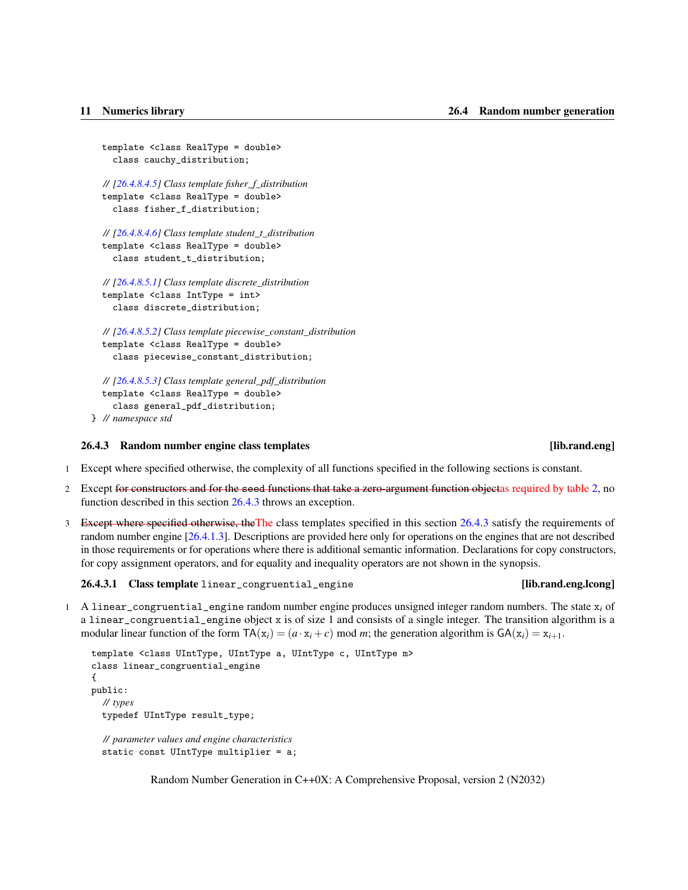```
template <class RealType = double>
  class cauchy_distribution;
// [26.4.8.4.5] Class template fisher_f_distribution
template <class RealType = double>
  class fisher_f_distribution;
// [26.4.8.4.6] Class template student_t_distribution
template <class RealType = double>
  class student_t_distribution;
// [26.4.8.5.1] Class template discrete_distribution
template <class IntType = int>
  class discrete_distribution;
// [26.4.8.5.2] Class template piecewise_constant_distribution
template <class RealType = double>
  class piecewise_constant_distribution;
// [26.4.8.5.3] Class template general_pdf_distribution
template <class RealType = double>
  class general_pdf_distribution;
```

```
} // namespace std
```
### <span id="page-16-0"></span>26.4.3 Random number engine class templates [lib.rand.eng]

- 1 Except where specified otherwise, the complexity of all functions specified in the following sections is constant.
- 2 Except for constructors and for the seed functions that take a zero-argument function objectas required by table [2,](#page-8-0) no function described in this section [26.4.3](#page-16-0) throws an exception.
- 3 Except where specified otherwise, the The class templates specified in this section [26.4.3](#page-16-0) satisfy the requirements of random number engine [\[26.4.1.3\]](#page-7-1). Descriptions are provided here only for operations on the engines that are not described in those requirements or for operations where there is additional semantic information. Declarations for copy constructors, for copy assignment operators, and for equality and inequality operators are not shown in the synopsis.

<span id="page-16-1"></span>26.4.3.1 Class template linear\_congruential\_engine [lib.rand.eng.lcong]

1 A linear\_congruential\_engine random number engine produces unsigned integer random numbers. The state  $x_i$  of a linear\_congruential\_engine object x is of size 1 and consists of a single integer. The transition algorithm is a modular linear function of the form  $TA(x_i) = (a \cdot x_i + c) \text{ mod } m$ ; the generation algorithm is  $GA(x_i) = x_{i+1}$ .

```
template <class UIntType, UIntType a, UIntType c, UIntType m>
class linear_congruential_engine
{
public:
  // types
  typedef UIntType result_type;
  // parameter values and engine characteristics
  static const UIntType multiplier = a;
```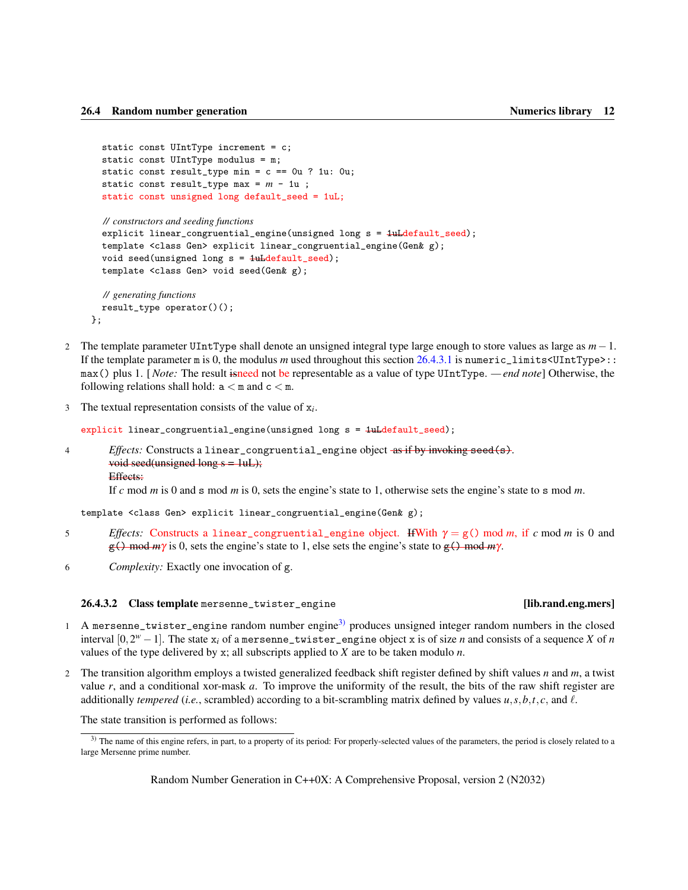```
static const UIntType increment = c;
static const UIntType modulus = m;
static const result_type min = c == 0u ? 1u: 0u;
static const result_type max = m - 1u;
static const unsigned long default_seed = 1uL;
```

```
// constructors and seeding functions
explicit linear_congruential_engine(unsigned long s = 1uLdefault_seed);
template <class Gen> explicit linear_congruential_engine(Gen& g);
void seed(unsigned long s = 1uLdefault_seed);
template <class Gen> void seed(Gen& g);
```

```
// generating functions
  result_type operator()();
};
```
- 2 The template parameter UIntType shall denote an unsigned integral type large enough to store values as large as *m*−1. If the template parameter m is 0, the modulus *m* used throughout this section [26.4.3.1](#page-16-1) is numeric\_limits<UIntType>:: max() plus 1. [*Note:* The result isneed not be representable as a value of type UIntType. *— end note*] Otherwise, the following relations shall hold:  $a < m$  and  $c < m$ .
- 3 The textual representation consists of the value of  $x_i$ .

explicit linear\_congruential\_engine(unsigned long s = 1uLdefault\_seed);

4 *Effects:* Constructs a linear\_congruential\_engine object as if by invoking seed(s). void seed(unsigned long  $s = 1$ uL); Effects:

If *c* mod *m* is 0 and s mod *m* is 0, sets the engine's state to 1, otherwise sets the engine's state to s mod *m*.

template <class Gen> explicit linear\_congruential\_engine(Gen& g);

- 5 *Effects:* Constructs a linear congruential engine object. HWith  $\gamma = g()$  mod *m*, if *c* mod *m* is 0 and g() mod *m*γ is 0, sets the engine's state to 1, else sets the engine's state to g() mod *m*γ.
- 6 *Complexity:* Exactly one invocation of g.

### <span id="page-17-0"></span>26.4.3.2 Class template mersenne\_twister\_engine intervalsed and series [lib.rand.eng.mers]

- 1 A mersenne\_twister\_engine random number engine<sup>[3\)](#page-17-1)</sup> produces unsigned integer random numbers in the closed interval  $[0,2^w-1]$ . The state  $x_i$  of a mersenne\_twister\_engine object x is of size *n* and consists of a sequence *X* of *n* values of the type delivered by x; all subscripts applied to *X* are to be taken modulo *n*.
- 2 The transition algorithm employs a twisted generalized feedback shift register defined by shift values *n* and *m*, a twist value *r*, and a conditional xor-mask *a*. To improve the uniformity of the result, the bits of the raw shift register are additionally *tempered* (*i.e.*, scrambled) according to a bit-scrambling matrix defined by values  $u$ ,  $s$ ,  $b$ ,  $t$ ,  $c$ , and  $l$ .

The state transition is performed as follows:

<span id="page-17-1"></span><sup>&</sup>lt;sup>3)</sup> The name of this engine refers, in part, to a property of its period: For properly-selected values of the parameters, the period is closely related to a large Mersenne prime number.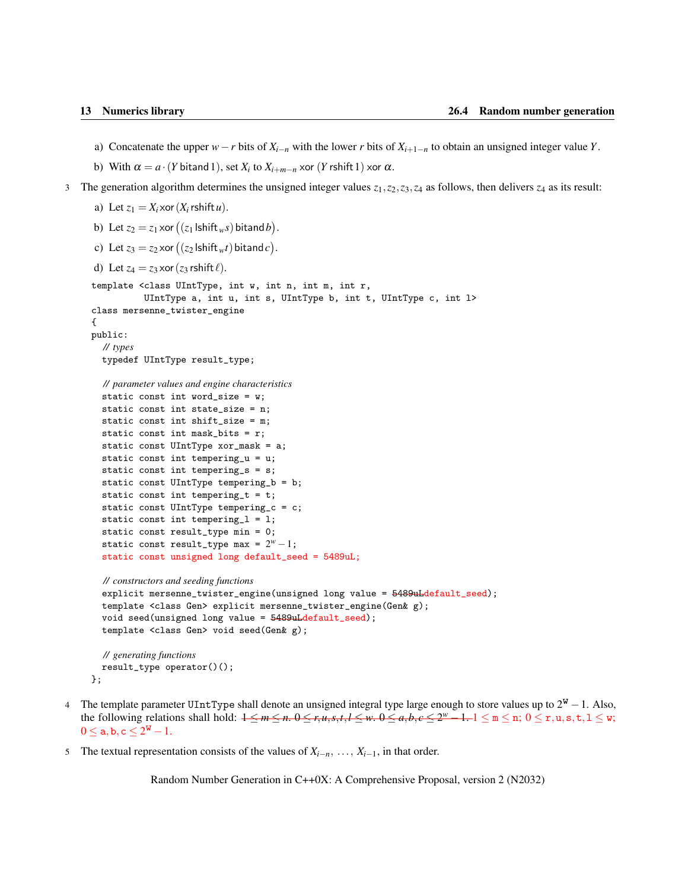- <span id="page-18-0"></span>a) Concatenate the upper  $w - r$  bits of  $X_{i-1}$  with the lower *r* bits of  $X_{i+1}$ –*n* to obtain an unsigned integer value *Y*.
- b) With  $\alpha = a \cdot (Y \text{ bitand } 1)$ , set  $X_i$  to  $X_{i+m-n}$  xor  $(Y \text{ shift } 1)$  xor  $\alpha$ .
- 3 The generation algorithm determines the unsigned integer values  $z_1$ ,  $z_2$ ,  $z_3$ ,  $z_4$  as follows, then delivers  $z_4$  as its result:
	- a) Let  $z_1 = X_i \times \text{or} (X_i \text{rshift } u)$ .

```
b) Let z_2 = z_1 \times \text{or } ((z_1 \text{ lshift}_w s) \text{ bitand } b).
```

```
c) Let z_3 = z_2 \times \text{or } ((z_2 \, \text{lshift}_w t) \, \text{bitand} \, c).
```

```
d) Let z_4 = z_3 \times \text{or} (z_3 \text{ rsshift } \ell).
```

```
template <class UIntType, int w, int n, int m, int r,
          UIntType a, int u, int s, UIntType b, int t, UIntType c, int l>
class mersenne_twister_engine
{
```

```
public:
```

```
// types
typedef UIntType result_type;
```

```
// parameter values and engine characteristics
```

```
static const int word_size = w;
static const int state_size = n;
static const int shift_size = m;
static const int mask_bits = r;
static const UIntType xor_mask = a;
static const int tempering_u = u;
static const int tempering_s = s;
static const UIntType tempering_b = b;
static const int tempering_t = t;
static const UIntType tempering_c = c;
static const int tempering_l = l;
static const result_type min = 0;
static const result_type max = 2^w - 1;
static const unsigned long default_seed = 5489uL;
```

```
// constructors and seeding functions
```

```
explicit mersenne_twister_engine(unsigned long value = 5489uLdefault_seed);
template <class Gen> explicit mersenne_twister_engine(Gen& g);
void seed(unsigned long value = 5489uLdefault_seed);
template <class Gen> void seed(Gen& g);
```

```
// generating functions
  result_type operator()();
};
```
- 4 The template parameter UIntType shall denote an unsigned integral type large enough to store values up to  $2^w 1$ . Also, the following relations shall hold:  $1 \le m \le n$ .  $0 \le r, u, s, t, l \le w$ .  $0 \le a, b, c \le 2^w - 1$ .  $1 \le m \le n$ ;  $0 \le r, u, s, t, l \le w$ ;  $0 \le a, b, c \le 2^{\mathbf{W}} - 1.$
- 5 The textual representation consists of the values of *Xi*−*n*, ..., *Xi*−1, in that order.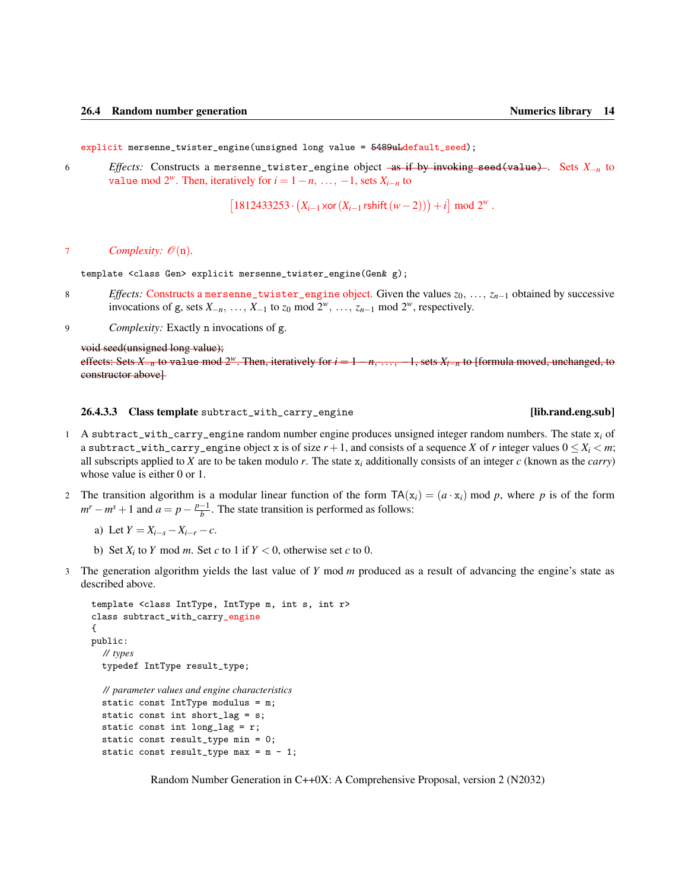<span id="page-19-1"></span>explicit mersenne\_twister\_engine(unsigned long value = 5489uLdefault\_seed);

6 *Effects:* Constructs a mersenne\_twister\_engine object as if by invoking seed(value) . Sets *X*−*<sup>n</sup>* to value mod  $2^w$ . Then, iteratively for  $i = 1 - n, \ldots, -1$ , sets  $X_{i-n}$  to

 $[1812433253 \cdot (X_{i-1} \times \text{or} (X_{i-1} \text{rshift}(w-2))) + i] \mod 2^w$ .

### 7 *Complexity:*  $\mathcal{O}(n)$ .

template <class Gen> explicit mersenne\_twister\_engine(Gen& g);

- 8 *Effects:* Constructs a mersenne\_twister\_engine object. Given the values *z*0, ..., *zn*−<sup>1</sup> obtained by successive invocations of g, sets  $X_{-n}$ , ...,  $X_{-1}$  to  $z_0$  mod  $2^w$ , ...,  $z_{n-1}$  mod  $2^w$ , respectively.
- 9 *Complexity:* Exactly n invocations of g.

### void seed(unsigned long value);

effects: Sets *X*−*<sup>n</sup>* to value mod 2*w*. Then, iteratively for *i* = 1−*n*, ..., −1, sets *Xi*−*<sup>n</sup>* to [formula moved, unchanged, to constructor above]

### <span id="page-19-0"></span>26.4.3.3 Class template subtract\_with\_carry\_engine [lib.rand.eng.sub]

- 1 A subtract\_with\_carry\_engine random number engine produces unsigned integer random numbers. The state x*<sup>i</sup>* of a subtract\_with\_carry\_engine object x is of size  $r+1$ , and consists of a sequence X of r integer values  $0 \leq X_i \leq m$ ; all subscripts applied to *X* are to be taken modulo *r*. The state  $x_i$  additionally consists of an integer  $c$  (known as the *carry*) whose value is either 0 or 1.
- 2 The transition algorithm is a modular linear function of the form  $TA(x_i) = (a \cdot x_i) \text{ mod } p$ , where p is of the form  $m^r - m^s + 1$  and  $a = p - \frac{p-1}{b}$ . The state transition is performed as follows:
	- a) Let  $Y = X_{i-s} X_{i-r} c$ .
	- b) Set  $X_i$  to  $Y$  mod  $m$ . Set  $c$  to 1 if  $Y < 0$ , otherwise set  $c$  to 0.
- 3 The generation algorithm yields the last value of *Y* mod *m* produced as a result of advancing the engine's state as described above.

```
template <class IntType, IntType m, int s, int r>
class subtract_with_carry_engine
{
public:
  // types
  typedef IntType result_type;
```
*// parameter values and engine characteristics* static const IntType modulus = m; static const int short\_lag = s; static const int long\_lag = r; static const result\_type min = 0; static const result\_type max =  $m - 1$ ;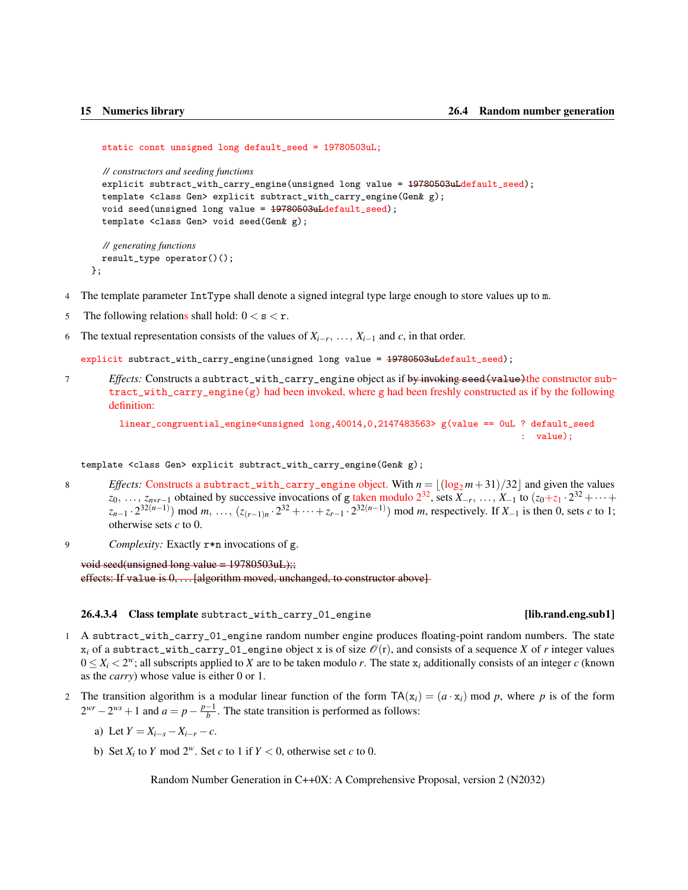### <span id="page-20-1"></span>static const unsigned long default\_seed = 19780503uL;

*// constructors and seeding functions*

```
explicit subtract_with_carry_engine(unsigned long value = 19780503uLdefault\_seed);
template <class Gen> explicit subtract_with_carry_engine(Gen& g);
void seed(unsigned long value = 19780503uLdefault_seed);
template <class Gen> void seed(Gen& g);
```

```
// generating functions
  result_type operator()();
};
```
- 4 The template parameter IntType shall denote a signed integral type large enough to store values up to m.
- 5 The following relations shall hold:  $0 < s < r$ .
- 6 The textual representation consists of the values of  $X_{i-r}$ , ...,  $X_{i-1}$  and *c*, in that order.

explicit subtract\_with\_carry\_engine(unsigned long value = 19780503uLdefault\_seed);

7 *Effects:* Constructs a subtract\_with\_carry\_engine object as if by invoking seed(value)the constructor subtract\_with\_carry\_engine(g) had been invoked, where g had been freshly constructed as if by the following definition:

linear\_congruential\_engine<unsigned long,40014,0,2147483563> g(value == 0uL ? default\_seed  $\cdot$  value) $\cdot$ 

template <class Gen> explicit subtract\_with\_carry\_engine(Gen& g);

- 8 *Effects:* Constructs a subtract\_with\_carry\_engine object. With  $n = \lfloor (\log_2 m + 31)/32 \rfloor$  and given the values  $z_0, \ldots, z_{n*r-1}$  obtained by successive invocations of g taken modulo  $2^{32}$ , sets  $X_{-r}, \ldots, X_{-1}$  to  $(z_0+z_1 \cdot 2^{32} + \cdots +$  $z_{n-1} \cdot 2^{32(n-1)}$  mod *m*, ...,  $(z_{(r-1)n} \cdot 2^{32} + \cdots + z_{r-1} \cdot 2^{32(n-1)})$  mod *m*, respectively. If  $X_{-1}$  is then 0, sets *c* to 1; otherwise sets *c* to 0.
- 9 *Complexity:* Exactly r\*n invocations of g.

void seed(unsigned long value =  $19780503uL$ );;

effects: If value is  $0, \ldots$  [algorithm moved, unchanged, to constructor above]

### <span id="page-20-0"></span>26.4.3.4 Class template subtract\_with\_carry\_01\_engine [lib.rand.eng.sub1]

- 1 A subtract\_with\_carry\_01\_engine random number engine produces floating-point random numbers. The state  $x_i$  of a subtract\_with\_carry\_01\_engine object x is of size  $\mathcal{O}(r)$ , and consists of a sequence *X* of *r* integer values  $0 \leq X_i < 2^w$ ; all subscripts applied to *X* are to be taken modulo *r*. The state  $x_i$  additionally consists of an integer *c* (known as the *carry*) whose value is either 0 or 1.
- 2 The transition algorithm is a modular linear function of the form  $TA(x_i) = (a \cdot x_i) \mod p$ , where p is of the form  $2^{wr} - 2^{ws} + 1$  and  $a = p - \frac{p-1}{b}$ . The state transition is performed as follows:
	- a) Let  $Y = X_{i-s} X_{i-r} c$ .
	- b) Set  $X_i$  to  $Y$  mod  $2^w$ . Set  $c$  to 1 if  $Y < 0$ , otherwise set  $c$  to 0.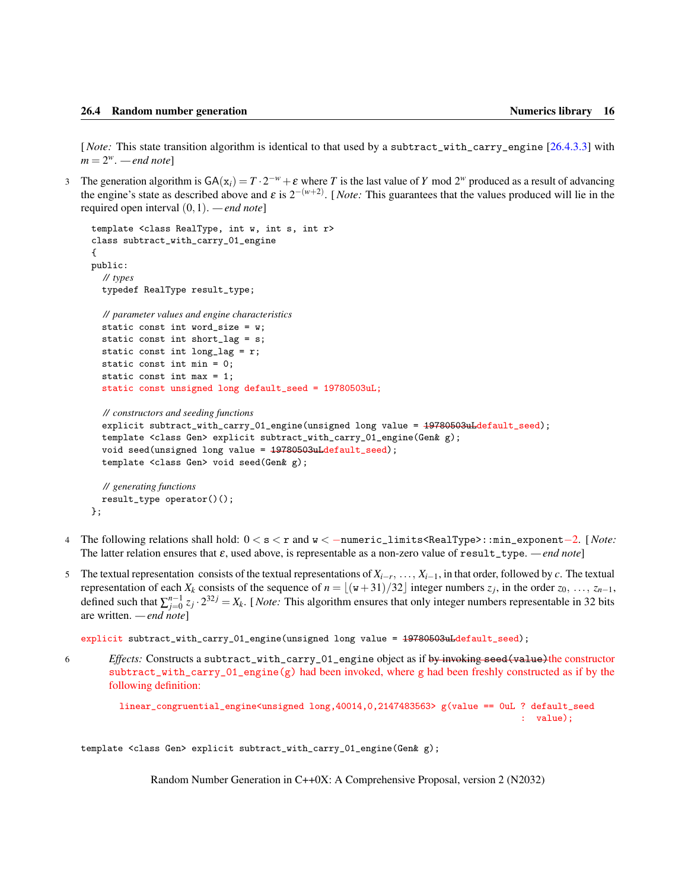<span id="page-21-0"></span>[*Note:* This state transition algorithm is identical to that used by a subtract\_with\_carry\_engine [\[26.4.3.3\]](#page-19-0) with  $m = 2^w$ . *— end note*]

3 The generation algorithm is  $GA(x_i) = T \cdot 2^{-w} + \varepsilon$  where *T* is the last value of *Y* mod  $2^w$  produced as a result of advancing the engine's state as described above and  $\varepsilon$  is  $2^{-(w+2)}$ . [*Note:* This guarantees that the values produced will lie in the required open interval (0,1). *— end note*]

```
template <class RealType, int w, int s, int r>
class subtract_with_carry_01_engine
{
public:
  // types
  typedef RealType result_type;
  // parameter values and engine characteristics
  static const int word_size = w;
  static const int short_lag = s;
  static const int long_lag = r;
  static const int min = 0;
  static const int max = 1;
  static const unsigned long default_seed = 19780503uL;
  // constructors and seeding functions
  explicit subtract_with_carry_01_engine(unsigned long value = 19780503uLdefault_seed);
```

```
template <class Gen> explicit subtract_with_carry_01_engine(Gen& g);
void seed(unsigned long value = 19780503uLdefault_seed);
template <class Gen> void seed(Gen& g);
```

```
// generating functions
  result_type operator()();
};
```
- 4 The following relations shall hold: 0 < s < r and w < −numeric\_limits<RealType>::min\_exponent−2. [*Note:* The latter relation ensures that  $\varepsilon$ , used above, is representable as a non-zero value of result\_type. *— end note*]
- 5 The textual representation consists of the textual representations of *Xi*−*<sup>r</sup>* , ..., *Xi*−1, in that order, followed by *c*. The textual representation of each  $X_k$  consists of the sequence of  $n = \lfloor (w+31)/32 \rfloor$  integer numbers  $z_j$ , in the order  $z_0, \ldots, z_{n-1}$ , defined such that  $\sum_{j=0}^{n-1} z_j \cdot 2^{32j} = X_k$ . [*Note:* This algorithm ensures that only integer numbers representable in 32 bits are written. *— end note*]

```
explicit subtract_with_carry_01_engine(unsigned long value = 19780503uLdefault_seed);
```
6 *Effects:* Constructs a subtract\_with\_carry\_01\_engine object as if by invoking seed(value)the constructor  $subtract\_with\_carry_01_engine(g)$  had been invoked, where g had been freshly constructed as if by the following definition:

```
linear_congruential_engine<unsigned long,40014,0,2147483563> g(value == 0uL ? default_seed
                                                                            : value);
```
template <class Gen> explicit subtract\_with\_carry\_01\_engine(Gen& g);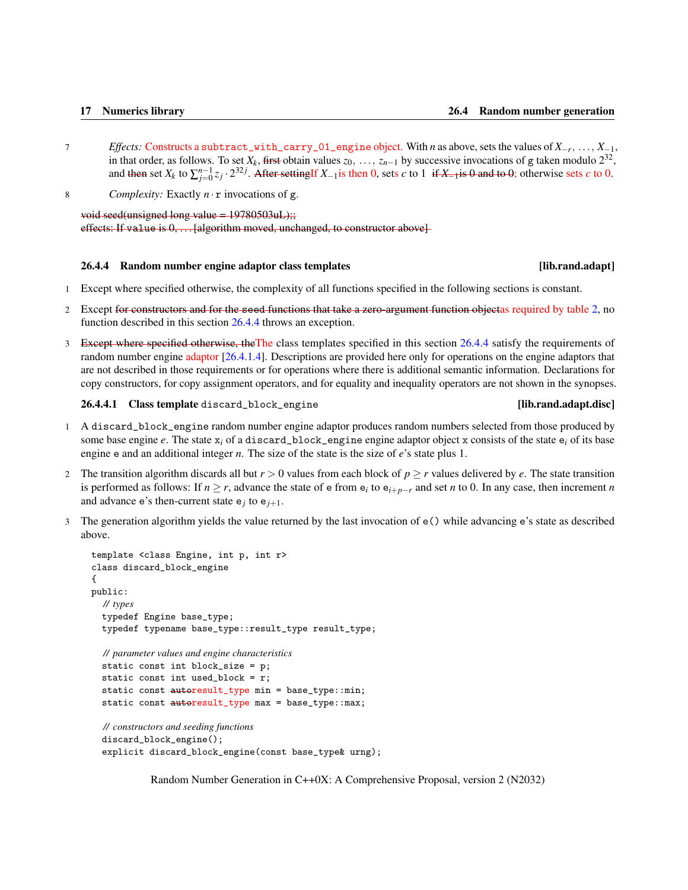- <span id="page-22-2"></span>7 *Effects:* Constructs a subtract\_with\_carry\_01\_engine object. With *n* as above, sets the values of *X*−*<sup>r</sup>* , ..., *X*−1, in that order, as follows. To set  $X_k$ , first obtain values  $z_0, \ldots, z_{n-1}$  by successive invocations of g taken modulo  $2^{32}$ , and then set  $X_k$  to  $\sum_{j=0}^{n-1} z_j \cdot 2^{32j}$ . After settingIf  $X_{-1}$ is then 0, sets *c* to 1 if  $X_{-1}$ is 0 and to 0; otherwise sets *c* to 0.
- 8 *Complexity:* Exactly *n* · r invocations of g.

void seed(unsigned long value = 19780503uL);; effects: If value is  $0, \ldots$  [algorithm moved, unchanged, to constructor above]

### <span id="page-22-0"></span>26.4.4 Random number engine adaptor class templates [lib.rand.adapt]

- 1 Except where specified otherwise, the complexity of all functions specified in the following sections is constant.
- 2 Except for constructors and for the seed functions that take a zero-argument function objectas required by table [2,](#page-8-0) no function described in this section [26.4.4](#page-22-0) throws an exception.
- 3 Except where specified otherwise, the The class templates specified in this section [26.4.4](#page-22-0) satisfy the requirements of random number engine adaptor [\[26.4.1.4\]](#page-10-0). Descriptions are provided here only for operations on the engine adaptors that are not described in those requirements or for operations where there is additional semantic information. Declarations for copy constructors, for copy assignment operators, and for equality and inequality operators are not shown in the synopses.

<span id="page-22-1"></span>26.4.4.1 Class template discard\_block\_engine [lib.rand.adapt.disc]

- 1 A discard\_block\_engine random number engine adaptor produces random numbers selected from those produced by some base engine  $e$ . The state  $x_i$  of a discard\_block\_engine engine adaptor object x consists of the state  $e_i$  of its base engine e and an additional integer *n*. The size of the state is the size of *e*'s state plus 1.
- 2 The transition algorithm discards all but  $r > 0$  values from each block of  $p \ge r$  values delivered by *e*. The state transition is performed as follows: If  $n \ge r$ , advance the state of  $e$  from  $e_i$  to  $e_{i+p-r}$  and set *n* to 0. In any case, then increment *n* and advance  $e$ 's then-current state  $e_j$  to  $e_{j+1}$ .
- 3 The generation algorithm yields the value returned by the last invocation of e() while advancing e's state as described above.

```
template <class Engine, int p, int r>
class discard_block_engine
{
public:
  // types
  typedef Engine base_type;
  typedef typename base_type::result_type result_type;
  // parameter values and engine characteristics
  static const int block_size = p;
  static const int used_block = r;
  static const autoresult_type min = base_type::min;
  static const autoresult_type max = base_type::max;
  // constructors and seeding functions
  discard_block_engine();
  explicit discard_block_engine(const base_type& urng);
```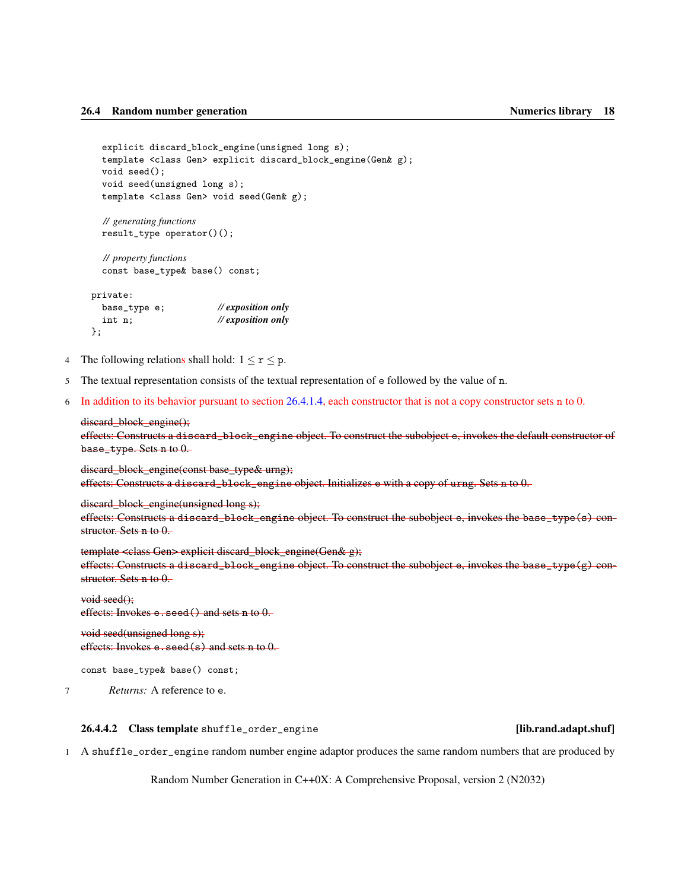```
explicit discard_block_engine(unsigned long s);
template <class Gen> explicit discard_block_engine(Gen& g);
void seed();
void seed(unsigned long s);
template <class Gen> void seed(Gen& g);
```

```
// generating functions
result_type operator()();
```
*// property functions* const base\_type& base() const;

| private:     |                               |
|--------------|-------------------------------|
| base_type e; | $\mathcal{U}$ exposition only |
| int n;       | $\mathcal{U}$ exposition only |
| $\}$ ;       |                               |

- 4 The following relations shall hold:  $1 \le r \le p$ .
- 5 The textual representation consists of the textual representation of e followed by the value of n.
- 6 In addition to its behavior pursuant to section [26.4.1.4,](#page-10-0) each constructor that is not a copy constructor sets n to 0.

### discard block engine();

effects: Constructs a discard\_block\_engine object. To construct the subobject e, invokes the default constructor of base\_type. Sets n to 0.

discard\_block\_engine(const base\_type& urng); effects: Constructs a discard\_block\_engine object. Initializes e with a copy of urng. Sets n to 0.

```
discard block engine(unsigned long s);
```
effects: Constructs a discard\_block\_engine object. To construct the subobject e, invokes the base\_type(s) constructor. Sets n to 0.

template <class Gen> explicit discard\_block\_engine(Gen& g); effects: Constructs a discard\_block\_engine object. To construct the subobject e, invokes the base\_type(g) constructor. Sets n to 0.

void seed(); effects: Invokes e.seed() and sets n to 0.

void seed(unsigned long s); effects: Invokes e.seed(s) and sets n to 0.

```
const base_type& base() const;
```
7 *Returns:* A reference to e.

### <span id="page-23-0"></span>26.4.4.2 Class template shuffle\_order\_engine [lib.rand.adapt.shuf]

1 A shuffle\_order\_engine random number engine adaptor produces the same random numbers that are produced by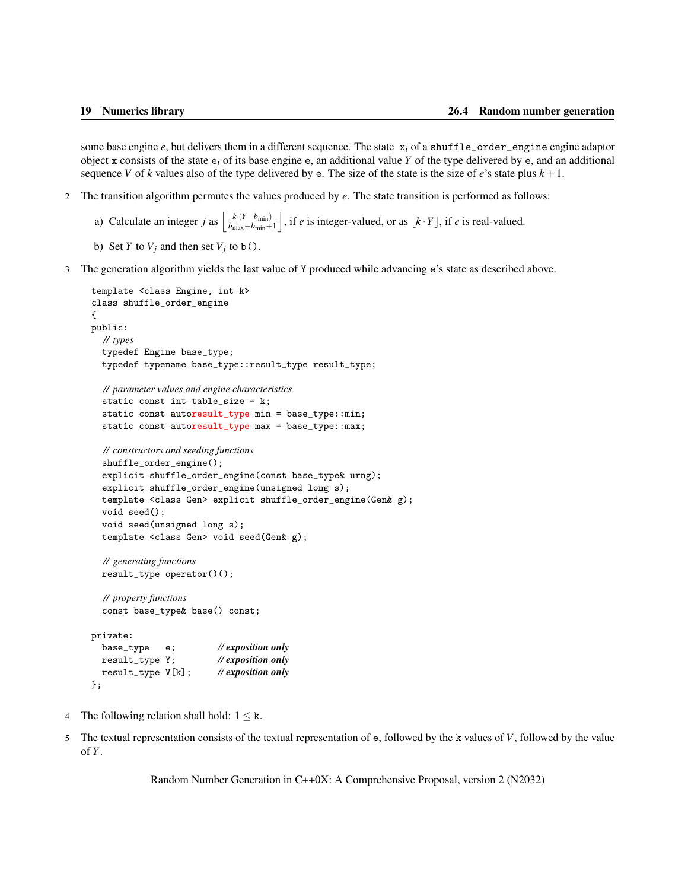<span id="page-24-0"></span>some base engine  $e$ , but delivers them in a different sequence. The state  $x_i$  of a shuffle\_order\_engine engine adaptor object x consists of the state  $e_i$  of its base engine  $e_i$ , an additional value *Y* of the type delivered by  $e_i$ , and an additional sequence *V* of *k* values also of the type delivered by e. The size of the state is the size of *e*'s state plus  $k + 1$ .

- 2 The transition algorithm permutes the values produced by *e*. The state transition is performed as follows:
	- a) Calculate an integer *j* as  $\frac{k \cdot (Y b_{\text{min}})}{b_{\text{max}} b_{\text{min}} + b_{\text{min}}}$  $b_{\text{max}}-b_{\text{min}}+1$  $\int$ , if *e* is integer-valued, or as  $\lfloor k \cdot Y \rfloor$ , if *e* is real-valued.
	- b) Set *Y* to  $V_j$  and then set  $V_j$  to b().
- 3 The generation algorithm yields the last value of Y produced while advancing e's state as described above.

```
template <class Engine, int k>
class shuffle_order_engine
{
public:
  // types
  typedef Engine base_type;
  typedef typename base_type::result_type result_type;
  // parameter values and engine characteristics
  static const int table_size = k;
  static const autoresult_type min = base_type::min;
  static const autoresult_type max = base_type:: max;
  // constructors and seeding functions
  shuffle_order_engine();
  explicit shuffle_order_engine(const base_type& urng);
  explicit shuffle_order_engine(unsigned long s);
  template <class Gen> explicit shuffle_order_engine(Gen& g);
  void seed();
  void seed(unsigned long s);
  template <class Gen> void seed(Gen& g);
  // generating functions
  result_type operator()();
  // property functions
  const base_type& base() const;
private:
  base_type e; // exposition only
  result_type Y; // exposition only
  result_type V[k]; // exposition only
```

```
};
```
- 4 The following relation shall hold:  $1 \leq k$ .
- 5 The textual representation consists of the textual representation of e, followed by the k values of *V*, followed by the value of *Y*.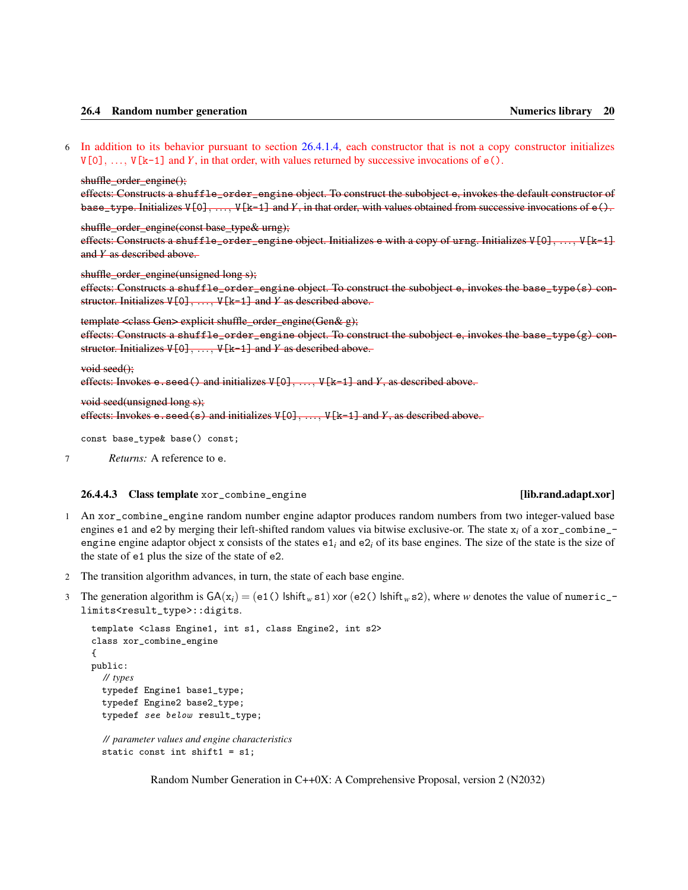### <span id="page-25-1"></span>26.4 Random number generation Numerics library 20

6 In addition to its behavior pursuant to section [26.4.1.4,](#page-10-0) each constructor that is not a copy constructor initializes  $V[0], \ldots, V[k-1]$  and *Y*, in that order, with values returned by successive invocations of  $e(.)$ .

### shuffle\_order\_engine();

effects: Constructs a shuffle\_order\_engine object. To construct the subobject e, invokes the default constructor of base\_type. Initializes  $V[0], \ldots, V[k-1]$  and Y, in that order, with values obtained from successive invocations of  $e(.)$ .

shuffle\_order\_engine(const base\_type& urng);

effects: Constructs a shuffle\_order\_engine object. Initializes e with a copy of urng. Initializes V[0], ..., V[k-1] and *Y* as described above.

shuffle order engine(unsigned long s);

effects: Constructs a shuffle\_order\_engine object. To construct the subobject e, invokes the base\_type(s) constructor. Initializes V[0], ..., V[k-1] and *Y* as described above.

### template <class Gen> explicit shuffle\_order\_engine(Gen& g);

effects: Constructs a shuffle\_order\_engine object. To construct the subobject e, invokes the base\_type $(g)$  constructor. Initializes V[0], ..., V[k-1] and *Y* as described above.

### void seed();

```
effects: Invokes e.seed() and initializes V[0], ..., V[k-1] and Y, as described above.
```

```
void seed(unsigned long s);
```

```
effects: Invokes e.seed(s) and initializes V[0], ..., V[k-1] and Y, as described above.
```
const base\_type& base() const;

```
7 Returns: A reference to e.
```
### <span id="page-25-0"></span>26.4.4.3 Class template xor\_combine\_engine [lib.rand.adapt.xor]

- 1 An xor\_combine\_engine random number engine adaptor produces random numbers from two integer-valued base engines e1 and e2 by merging their left-shifted random values via bitwise exclusive-or. The state  $x_i$  of a xor\_combine\_engine engine adaptor object x consists of the states  $e_{i}$  and  $e_{i}$  of its base engines. The size of the state is the size of the state of e1 plus the size of the state of e2.
- 2 The transition algorithm advances, in turn, the state of each base engine.
- 3 The generation algorithm is  $GA(x_i) = (e1() \text{ Ishift}_w s1)$  xor (e2() lshift<sub>*w*</sub> s2), where *w* denotes the value of numeric\_limits<result\_type>::digits.

```
template <class Engine1, int s1, class Engine2, int s2>
class xor_combine_engine
{
public:
  // types
  typedef Engine1 base1_type;
  typedef Engine2 base2_type;
  typedef see below result_type;
  // parameter values and engine characteristics
```

```
static const int shift1 = s1;
```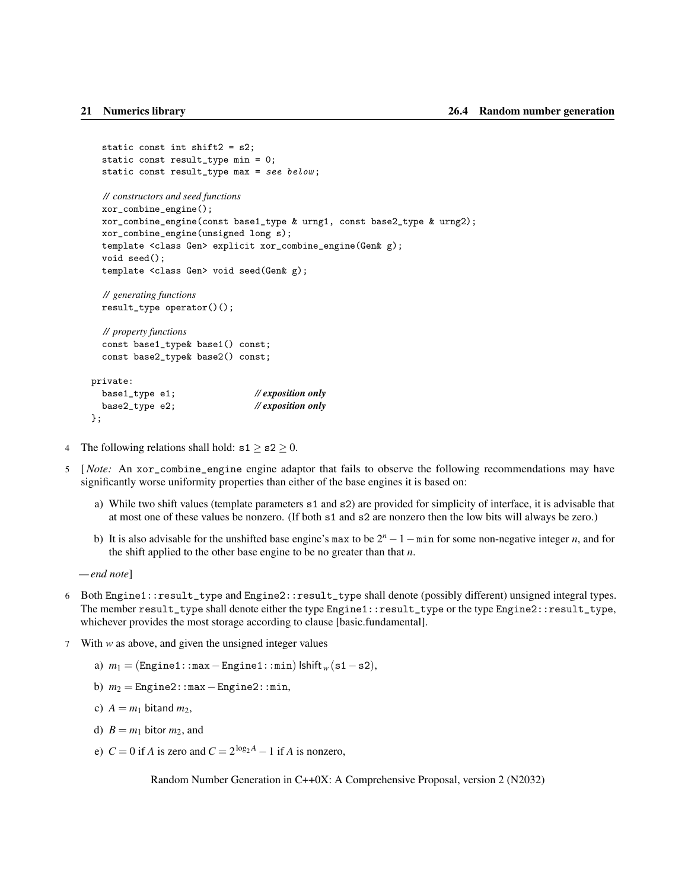```
static const int shift2 = s2;
  static const result_type min = 0;
 static const result_type max = see below ;
  // constructors and seed functions
  xor_combine_engine();
  xor_combine_engine(const base1_type & urng1, const base2_type & urng2);
  xor_combine_engine(unsigned long s);
  template <class Gen> explicit xor_combine_engine(Gen& g);
 void seed();
  template <class Gen> void seed(Gen& g);
  // generating functions
  result_type operator()();
  // property functions
  const base1_type& base1() const;
  const base2_type& base2() const;
private:
 base1_type e1; // exposition only
  base2_type e2; // exposition only
};
```
- 4 The following relations shall hold:  $s1 > s2 > 0$ .
- 5 [*Note:* An xor\_combine\_engine engine adaptor that fails to observe the following recommendations may have significantly worse uniformity properties than either of the base engines it is based on:
	- a) While two shift values (template parameters s1 and s2) are provided for simplicity of interface, it is advisable that at most one of these values be nonzero. (If both s1 and s2 are nonzero then the low bits will always be zero.)
	- b) It is also advisable for the unshifted base engine's max to be  $2^n 1 \min$  for some non-negative integer *n*, and for the shift applied to the other base engine to be no greater than that *n*.

```
— end note]
```
- 6 Both Engine1::result\_type and Engine2::result\_type shall denote (possibly different) unsigned integral types. The member result\_type shall denote either the type Engine1::result\_type or the type Engine2::result\_type, whichever provides the most storage according to clause [basic.fundamental].
- 7 With *w* as above, and given the unsigned integer values
	- a) *m*<sup>1</sup> = (Engine1::max−Engine1::min) lshift*<sup>w</sup>* (s1−s2),
	- b) *m*<sup>2</sup> = Engine2::max−Engine2::min,
	- c)  $A = m_1$  bitand  $m_2$ ,
	- d)  $B = m_1$  bitor  $m_2$ , and
	- e)  $C = 0$  if *A* is zero and  $C = 2^{\log_2 A} 1$  if *A* is nonzero,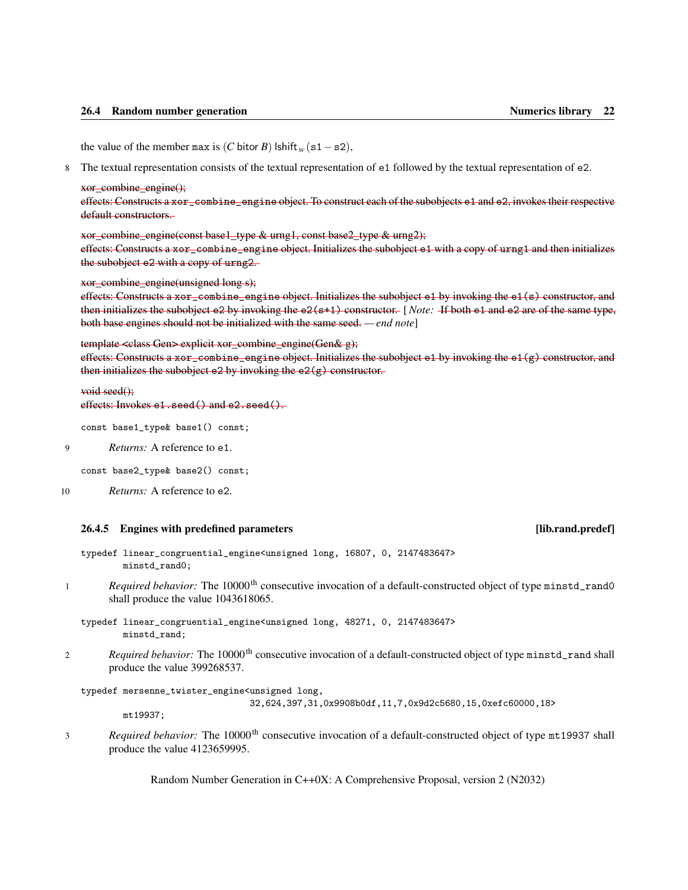<span id="page-27-1"></span>the value of the member max is (*C* bitor *B*) lshift<sub>*w*</sub> (s1 – s2),

8 The textual representation consists of the textual representation of e1 followed by the textual representation of e2.

xor\_combine\_engine();

effects: Constructs a xor\_combine\_engine object. To construct each of the subobjects e1 and e2, invokes their respective default constructors.

xor\_combine\_engine(const base1\_type & urng1, const base2\_type & urng2);

effects: Constructs a xor\_combine\_engine object. Initializes the subobject e1 with a copy of urng1 and then initializes the subobject e2 with a copy of urng2.

xor\_combine\_engine(unsigned long s);

effects: Constructs a xor\_combine\_engine object. Initializes the subobject e1 by invoking the e1(s) constructor, and then initializes the subobject e2 by invoking the e2(s+1) constructor. [*Note:* If both e1 and e2 are of the same type, both base engines should not be initialized with the same seed. *— end note*]

template <class Gen> explicit xor\_combine\_engine(Gen& g);

effects: Constructs a xor\_combine\_engine object. Initializes the subobject e1 by invoking the e1(g) constructor, and then initializes the subobject e2 by invoking the  $e2(g)$  constructor.

```
void seed();
```
effects: Invokes e1. seed() and e2. seed().

```
const base1_type& base1() const;
```
9 *Returns:* A reference to e1.

const base2\_type& base2() const;

```
10 Returns: A reference to e2.
```
### <span id="page-27-0"></span>26.4.5 Engines with predefined parameters **and the control of the control of the control of the control of the control of the control of the control of the control of the control of the control of the control of the contro**

typedef linear\_congruential\_engine<unsigned long, 16807, 0, 2147483647> minstd\_rand0;

1 *Required behavior:* The 10000<sup>th</sup> consecutive invocation of a default-constructed object of type minstd\_rand0 shall produce the value 1043618065.

typedef linear\_congruential\_engine<unsigned long, 48271, 0, 2147483647> minstd\_rand;

2 *Required behavior:* The 10000<sup>th</sup> consecutive invocation of a default-constructed object of type minstd\_rand shall produce the value 399268537.

typedef mersenne\_twister\_engine<unsigned long,

32,624,397,31,0x9908b0df,11,7,0x9d2c5680,15,0xefc60000,18>

mt19937;

3 *Required behavior:* The 10000<sup>th</sup> consecutive invocation of a default-constructed object of type mt19937 shall produce the value 4123659995.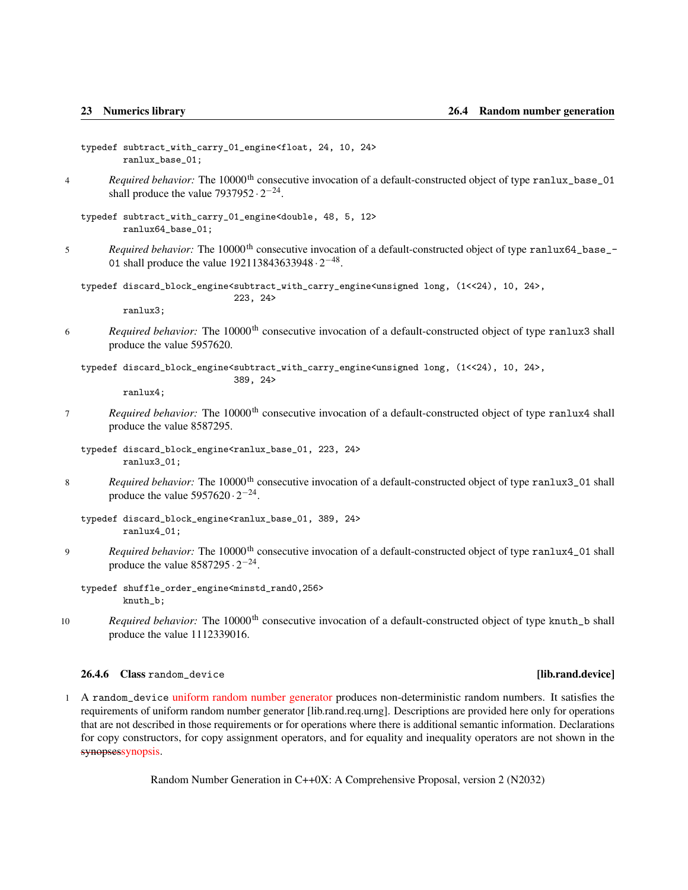- <span id="page-28-1"></span>typedef subtract\_with\_carry\_01\_engine<float, 24, 10, 24> ranlux\_base\_01;
- 4 *Required behavior:* The 10000<sup>th</sup> consecutive invocation of a default-constructed object of type ranlux\_base\_01 shall produce the value  $7937952 \cdot 2^{-24}$ .
	- typedef subtract\_with\_carry\_01\_engine<double, 48, 5, 12> ranlux64\_base\_01;
- 5 *Required behavior:* The 10000<sup>th</sup> consecutive invocation of a default-constructed object of type ranlux64\_base\_-01 shall produce the value  $192113843633948 \cdot 2^{-48}$ .

typedef discard\_block\_engine<subtract\_with\_carry\_engine<unsigned long, (1<<24), 10, 24>, 223, 24>

ranlux3;

6 *Required behavior:* The 10000<sup>th</sup> consecutive invocation of a default-constructed object of type ranlux3 shall produce the value 5957620.

typedef discard\_block\_engine<subtract\_with\_carry\_engine<unsigned long, (1<<24), 10, 24>, 389, 24>

ranlux4;

7 *Required behavior:* The 10000<sup>th</sup> consecutive invocation of a default-constructed object of type ranlux4 shall produce the value 8587295.

typedef discard\_block\_engine<ranlux\_base\_01, 223, 24> ranlux3\_01;

8 *Required behavior:* The 10000<sup>th</sup> consecutive invocation of a default-constructed object of type ranlux3\_01 shall produce the value  $5957620 \cdot 2^{-24}$ .

9 *Required behavior:* The 10000<sup>th</sup> consecutive invocation of a default-constructed object of type ranlux4\_01 shall produce the value  $8587295 \cdot 2^{-24}$ .

typedef shuffle\_order\_engine<minstd\_rand0,256> knuth\_b;

10 *Required behavior:* The 10000<sup>th</sup> consecutive invocation of a default-constructed object of type knuth<sub>-</sub>b shall produce the value 1112339016.

<span id="page-28-0"></span>26.4.6 Class random\_device **and in the contract of the contract of the contract of the contract of the contract of the contract of the contract of the contract of the contract of the contract of the contract of the contrac** 

1 A random\_device uniform random number generator produces non-deterministic random numbers. It satisfies the requirements of uniform random number generator [lib.rand.req.urng]. Descriptions are provided here only for operations that are not described in those requirements or for operations where there is additional semantic information. Declarations for copy constructors, for copy assignment operators, and for equality and inequality operators are not shown in the synopsessynopsis.

typedef discard\_block\_engine<ranlux\_base\_01, 389, 24> ranlux4\_01;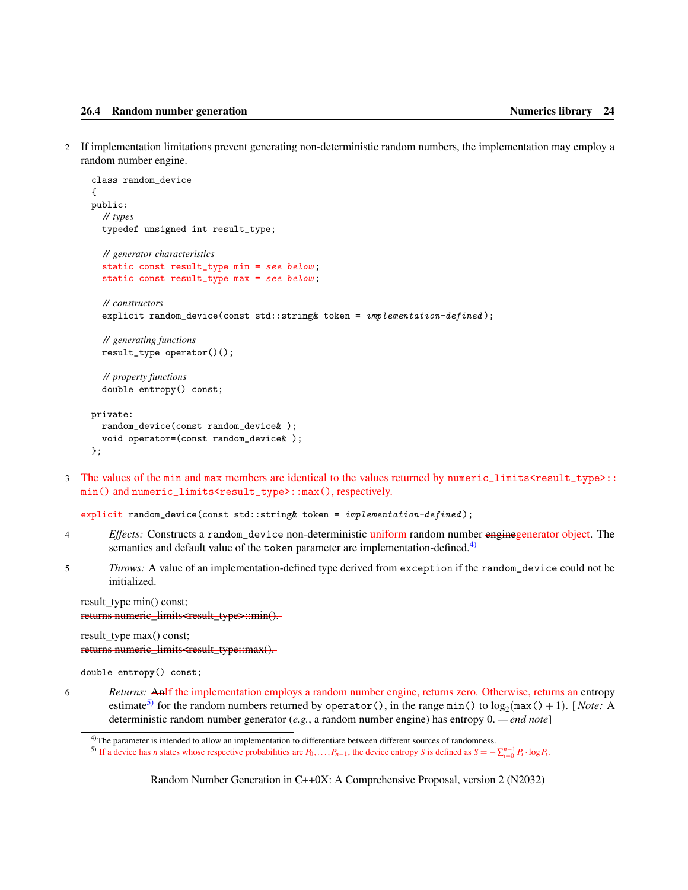<span id="page-29-2"></span>2 If implementation limitations prevent generating non-deterministic random numbers, the implementation may employ a random number engine.

```
class random_device
{
public:
  // types
  typedef unsigned int result_type;
  // generator characteristics
  static const result_type min = see below ;
  static const result_type max = see below ;
  // constructors
  explicit random_device(const std::string& token = implementation-defined);
  // generating functions
  result_type operator()();
  // property functions
  double entropy() const;
private:
  random_device(const random_device& );
  void operator=(const random_device& );
};
```
3 The values of the min and max members are identical to the values returned by numeric\_limits<result\_type>:: min() and numeric\_limits<result\_type>::max(), respectively.

```
explicit random_device(const std::string& token = implementation-defined);
```
- 4 *Effects:* Constructs a random\_device non-deterministic uniform random number enginegenerator object. The semantics and default value of the token parameter are implementation-defined.<sup>[4\)](#page-29-0)</sup>
- 5 *Throws:* A value of an implementation-defined type derived from exception if the random\_device could not be initialized.

result\_type min() const; returns numeric\_limits<result\_type>::min().

result\_type max() const; returns numeric\_limits<result\_type::max().

double entropy() const;

6 *Returns:* AnIf the implementation employs a random number engine, returns zero. Otherwise, returns an entropy estimate<sup>[5\)](#page-29-1)</sup> for the random numbers returned by operator (), in the range  $min()$  to  $log_2(max() + 1)$ . [*Note:* A deterministic random number generator (*e.g.*, a random number engine) has entropy 0. *— end note*]

<span id="page-29-0"></span><sup>&</sup>lt;sup>4)</sup>The parameter is intended to allow an implementation to differentiate between different sources of randomness.

<span id="page-29-1"></span><sup>&</sup>lt;sup>5)</sup> If a device has *n* states whose respective probabilities are  $P_0, \ldots, P_{n-1}$ , the device entropy *S* is defined as  $S = -\sum_{i=0}^{n-1} P_i \cdot \log P_i$ .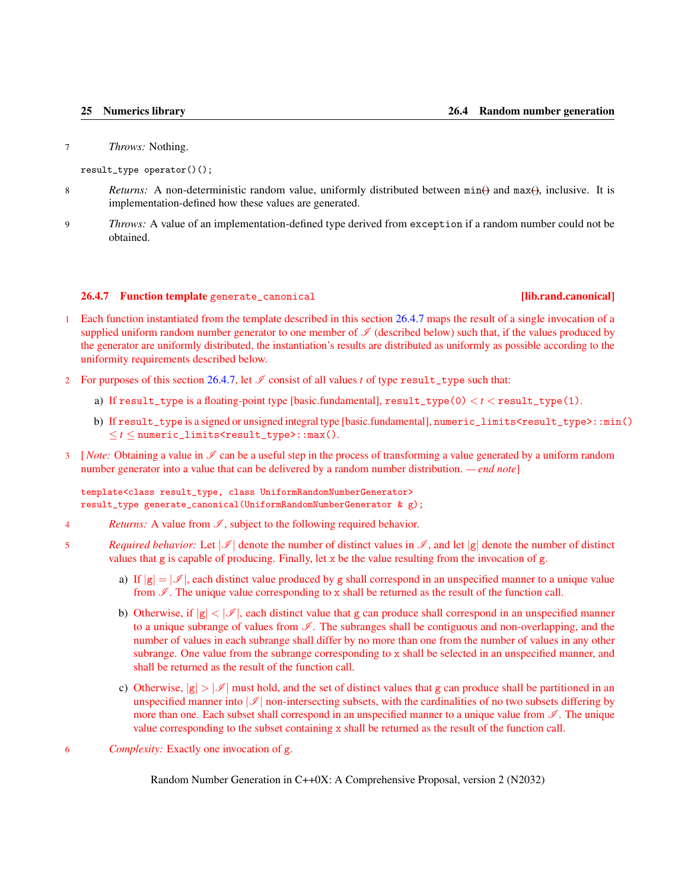<span id="page-30-1"></span>7 *Throws:* Nothing.

result\_type operator()();

- 8 *Returns:* A non-deterministic random value, uniformly distributed between  $min(\theta)$  and  $max(\theta)$ , inclusive. It is implementation-defined how these values are generated.
- 9 *Throws:* A value of an implementation-defined type derived from exception if a random number could not be obtained.

### <span id="page-30-0"></span>26.4.7 Function template generate\_canonical [lib.rand.canonical]

- Each function instantiated from the template described in this section [26.4.7](#page-30-0) maps the result of a single invocation of a supplied uniform random number generator to one member of  $\mathcal I$  (described below) such that, if the values produced by the generator are uniformly distributed, the instantiation's results are distributed as uniformly as possible according to the uniformity requirements described below.
- 2 For purposes of this section [26.4.7,](#page-30-0) let  $\mathcal I$  consist of all values *t* of type result\_type such that:
	- a) If  $result_type$  is a floating-point type [basic.fundamental],  $result_type(0) < t < result_type(1)$ .
	- b) If result\_type is a signed or unsigned integral type [basic.fundamental], numeric\_limits<result\_type>::min()  $\leq t \leq$  numeric\_limits $\leq$ result\_type>::max().
- $3 \quad [Note: Obtaining a value in  $\mathcal{I}$  can be a useful step in the process of transforming a value generated by a uniform random$ number generator into a value that can be delivered by a random number distribution. *— end note*]

template<class result\_type, class UniformRandomNumberGenerator> result\_type generate\_canonical(UniformRandomNumberGenerator & g);

- 4 *Returns:* A value from  $\mathcal{I}$ , subject to the following required behavior.
- 5 *Required behavior:* Let  $\mathcal{I}$  denote the number of distinct values in  $\mathcal{I}$ , and let  $|g|$  denote the number of distinct values that g is capable of producing. Finally, let x be the value resulting from the invocation of g.
	- a) If  $|g| = |\mathcal{I}|$ , each distinct value produced by g shall correspond in an unspecified manner to a unique value from  $\mathcal I$ . The unique value corresponding to x shall be returned as the result of the function call.
	- b) Otherwise, if  $|g| < |\mathcal{I}|$ , each distinct value that g can produce shall correspond in an unspecified manner to a unique subrange of values from  $\mathscr I$ . The subranges shall be contiguous and non-overlapping, and the number of values in each subrange shall differ by no more than one from the number of values in any other subrange. One value from the subrange corresponding to x shall be selected in an unspecified manner, and shall be returned as the result of the function call.
	- c) Otherwise,  $|g| > |\mathcal{I}|$  must hold, and the set of distinct values that g can produce shall be partitioned in an unspecified manner into  $\mathcal{I}$  non-intersecting subsets, with the cardinalities of no two subsets differing by more than one. Each subset shall correspond in an unspecified manner to a unique value from  $\mathscr I$ . The unique value corresponding to the subset containing x shall be returned as the result of the function call.
- 6 *Complexity:* Exactly one invocation of g.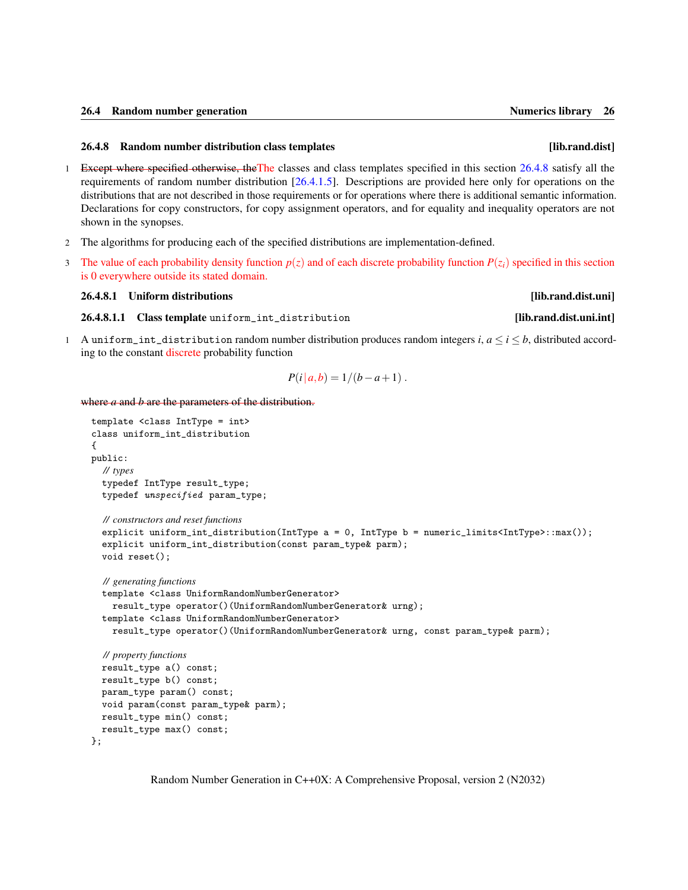### <span id="page-31-3"></span><span id="page-31-0"></span>26.4.8 Random number distribution class templates [lib.rand.dist]

- 1 Except where specified otherwise, theThe classes and class templates specified in this section [26.4.8](#page-31-0) satisfy all the requirements of random number distribution [\[26.4.1.5\]](#page-11-0). Descriptions are provided here only for operations on the distributions that are not described in those requirements or for operations where there is additional semantic information. Declarations for copy constructors, for copy assignment operators, and for equality and inequality operators are not shown in the synopses.
- 2 The algorithms for producing each of the specified distributions are implementation-defined.
- 3 The value of each probability density function  $p(z)$  and of each discrete probability function  $P(z_i)$  specified in this section is 0 everywhere outside its stated domain.

### <span id="page-31-1"></span>26.4.8.1 Uniform distributions **and the contract of the contract of the contract of the contract of the contract of the contract of the contract of the contract of the contract of the contract of the contract of the contra**

<span id="page-31-2"></span>26.4.8.1.1 Class template uniform\_int\_distribution [lib.rand.dist.uni.int]

1 A uniform\_int\_distribution random number distribution produces random integers  $i, a \le i \le b$ , distributed according to the constant discrete probability function

$$
P(i|a,b) = 1/(b-a+1).
$$

where *a* and *b* are the parameters of the distribution.

```
template <class IntType = int>
class uniform_int_distribution
{
public:
  // types
  typedef IntType result_type;
  typedef unspecified param_type;
  // constructors and reset functions
  explicit uniform_int_distribution(IntType a = 0, IntType b = numeric_limits<IntType>::max());
  explicit uniform_int_distribution(const param_type& parm);
  void reset();
  // generating functions
  template <class UniformRandomNumberGenerator>
    result_type operator()(UniformRandomNumberGenerator& urng);
  template <class UniformRandomNumberGenerator>
    result_type operator()(UniformRandomNumberGenerator& urng, const param_type& parm);
  // property functions
  result_type a() const;
  result_type b() const;
  param_type param() const;
  void param(const param_type& parm);
  result_type min() const;
  result_type max() const;
};
```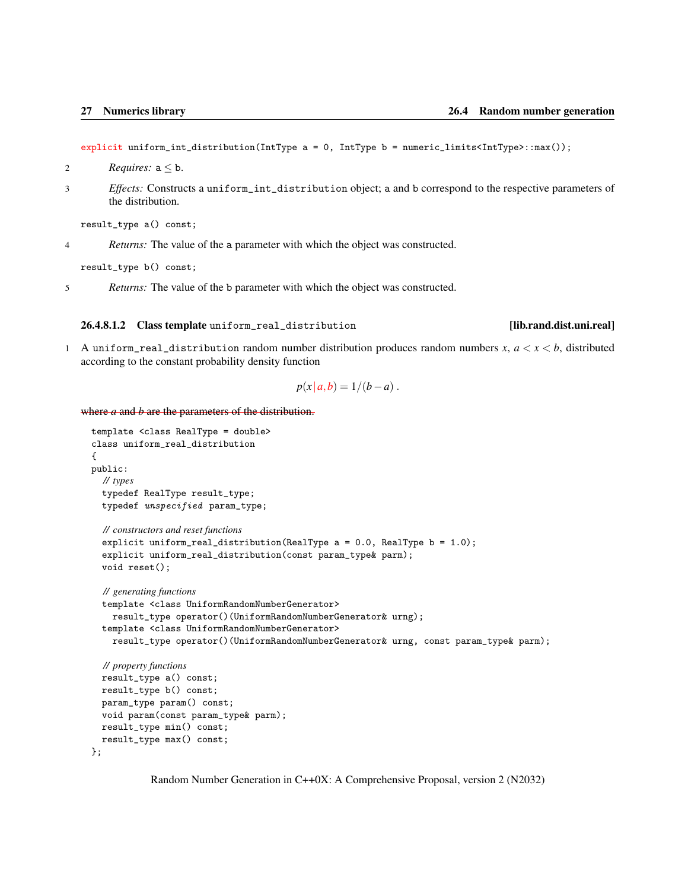<span id="page-32-1"></span>explicit uniform\_int\_distribution(IntType a = 0, IntType b = numeric\_limits<IntType>::max());

- 2 *Requires:*  $a \leq b$ .
- 3 *Effects:* Constructs a uniform\_int\_distribution object; a and b correspond to the respective parameters of the distribution.

result\_type a() const;

4 *Returns:* The value of the a parameter with which the object was constructed.

result\_type b() const;

5 *Returns:* The value of the b parameter with which the object was constructed.

### <span id="page-32-0"></span>26.4.8.1.2 Class template uniform\_real\_distribution [lib.rand.dist.uni.real]

1 A uniform\_real\_distribution random number distribution produces random numbers *x*, *a* < *x* < *b*, distributed according to the constant probability density function

$$
p(x | a,b) = 1/(b-a).
$$

where *a* and *b* are the parameters of the distribution.

```
template <class RealType = double>
class uniform_real_distribution
{
public:
  // types
  typedef RealType result_type;
  typedef unspecified param_type;
  // constructors and reset functions
  explicit uniform_real_distribution(RealType a = 0.0, RealType b = 1.0);
  explicit uniform_real_distribution(const param_type& parm);
  void reset();
  // generating functions
  template <class UniformRandomNumberGenerator>
    result_type operator()(UniformRandomNumberGenerator& urng);
  template <class UniformRandomNumberGenerator>
    result_type operator()(UniformRandomNumberGenerator& urng, const param_type& parm);
  // property functions
  result_type a() const;
  result_type b() const;
  param_type param() const;
  void param(const param_type& parm);
  result_type min() const;
  result_type max() const;
};
```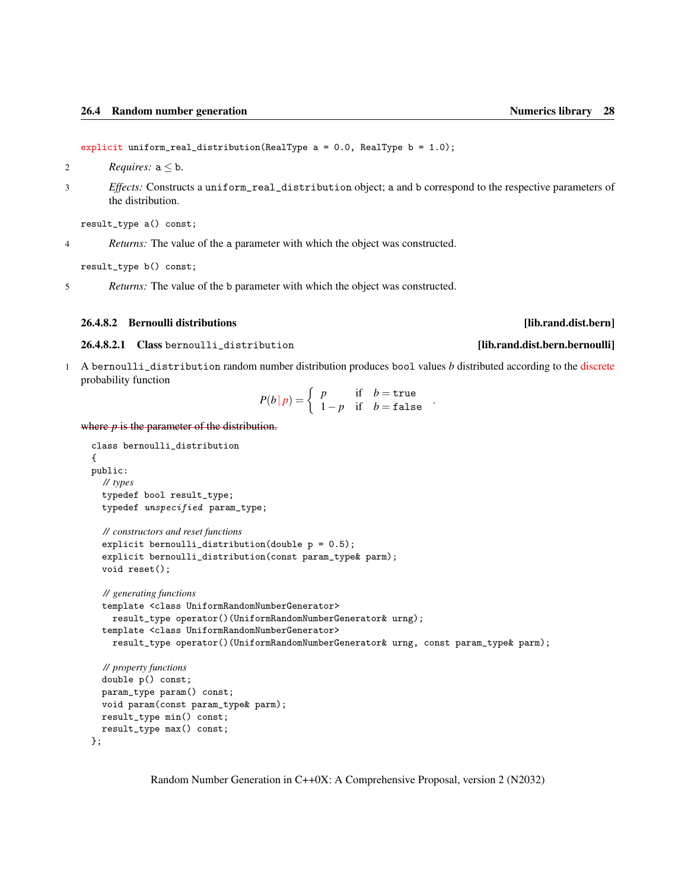- <span id="page-33-2"></span>2 *Requires:*  $a \leq b$ .
- 3 *Effects:* Constructs a uniform\_real\_distribution object; a and b correspond to the respective parameters of the distribution.

result\_type a() const;

4 *Returns:* The value of the a parameter with which the object was constructed.

result\_type b() const;

5 *Returns:* The value of the b parameter with which the object was constructed.

### <span id="page-33-0"></span>26.4.8.2 Bernoulli distributions **and the contract of the contract of the contract of the contract of the contract of the contract of the contract of the contract of the contract of the contract of the contract of the cont**

<span id="page-33-1"></span>26.4.8.2.1 Class bernoulli\_distribution **[iii]** [lib.rand.dist.bern.bernoulli]

1 A bernoulli\_distribution random number distribution produces bool values *b* distributed according to the discrete probability function

$$
P(b | p) = \begin{cases} p & \text{if} \quad b = \text{true} \\ 1 - p & \text{if} \quad b = \text{false} \end{cases}.
$$

where  $p$  is the parameter of the distribution.

```
class bernoulli_distribution
{
public:
  // types
  typedef bool result_type;
  typedef unspecified param_type;
  // constructors and reset functions
  explicit bernoulli_distribution(double p = 0.5);
  explicit bernoulli_distribution(const param_type& parm);
  void reset();
  // generating functions
  template <class UniformRandomNumberGenerator>
    result_type operator()(UniformRandomNumberGenerator& urng);
  template <class UniformRandomNumberGenerator>
    result_type operator()(UniformRandomNumberGenerator& urng, const param_type& parm);
  // property functions
  double p() const;
  param_type param() const;
  void param(const param_type& parm);
  result_type min() const;
  result_type max() const;
};
```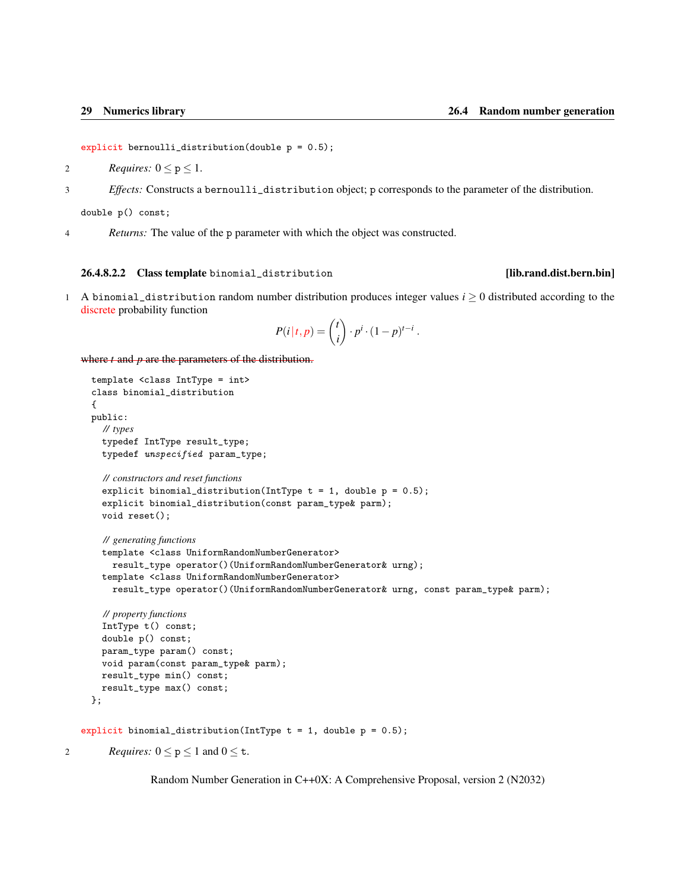```
explicit bernoulli_distribution(double p = 0.5);
```
- 2 *Requires:*  $0 \le p \le 1$ .
- 3 *Effects:* Constructs a bernoulli\_distribution object; p corresponds to the parameter of the distribution.

double p() const;

4 *Returns:* The value of the p parameter with which the object was constructed.

### <span id="page-34-0"></span>26.4.8.2.2 Class template binomial\_distribution [lib.rand.dist.bern.bin]

1 A binomial\_distribution random number distribution produces integer values  $i \geq 0$  distributed according to the discrete probability function

$$
P(i|t,p) = {t \choose i} \cdot p^{i} \cdot (1-p)^{t-i}.
$$

where *t* and *p* are the parameters of the distribution.

```
template <class IntType = int>
     class binomial_distribution
     {
     public:
       // types
       typedef IntType result_type;
       typedef unspecified param_type;
       // constructors and reset functions
       explicit binomial_distribution(IntType t = 1, double p = 0.5);
       explicit binomial_distribution(const param_type& parm);
       void reset();
       // generating functions
       template <class UniformRandomNumberGenerator>
         result_type operator()(UniformRandomNumberGenerator& urng);
       template <class UniformRandomNumberGenerator>
         result_type operator()(UniformRandomNumberGenerator& urng, const param_type& parm);
       // property functions
       IntType t() const;
       double p() const;
       param_type param() const;
       void param(const param_type& parm);
       result_type min() const;
       result_type max() const;
     };
   explicit binomial_distribution(IntType t = 1, double p = 0.5);
2 Requires: 0 \le p \le 1 and 0 \le t.
```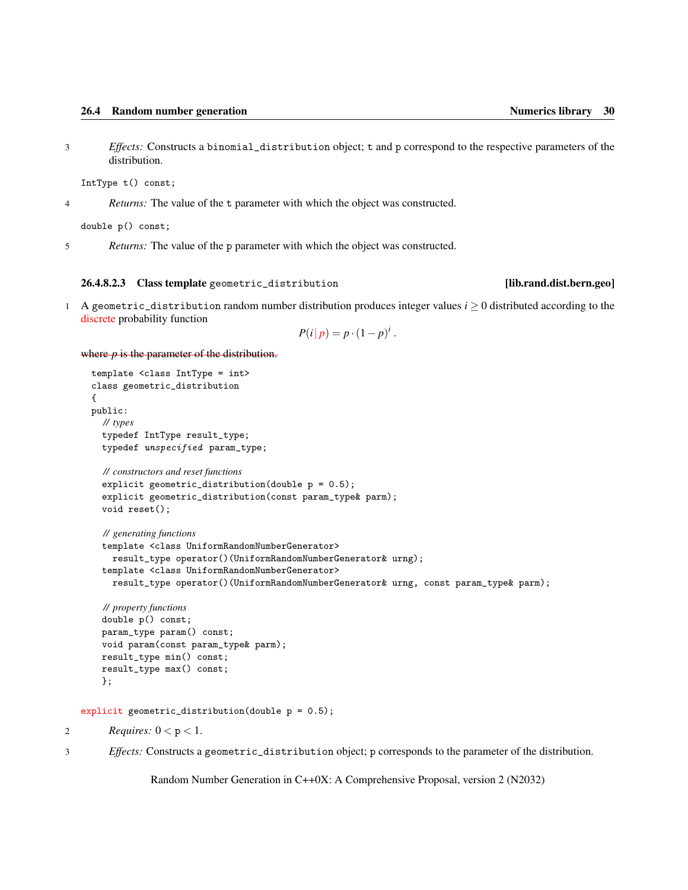<span id="page-35-1"></span>3 *Effects:* Constructs a binomial\_distribution object; t and p correspond to the respective parameters of the distribution.

IntType t() const;

4 *Returns:* The value of the t parameter with which the object was constructed.

double p() const;

5 *Returns:* The value of the p parameter with which the object was constructed.

### <span id="page-35-0"></span>26.4.8.2.3 Class template geometric\_distribution [lib.rand.dist.bern.geo]

1 A geometric\_distribution random number distribution produces integer values  $i \geq 0$  distributed according to the discrete probability function

$$
P(i|p) = p \cdot (1-p)^i.
$$

where  $p$  is the parameter of the distribution.

```
template <class IntType = int>
class geometric_distribution
{
public:
  // types
  typedef IntType result_type;
  typedef unspecified param_type;
  // constructors and reset functions
  explicit geometric_distribution(double p = 0.5);
  explicit geometric_distribution(const param_type& parm);
  void reset();
  // generating functions
  template <class UniformRandomNumberGenerator>
    result_type operator()(UniformRandomNumberGenerator& urng);
  template <class UniformRandomNumberGenerator>
    result_type operator()(UniformRandomNumberGenerator& urng, const param_type& parm);
  // property functions
  double p() const;
  param_type param() const;
  void param(const param_type& parm);
  result_type min() const;
  result_type max() const;
  };
```
explicit geometric\_distribution(double p = 0.5);

2 *Requires:*  $0 < p < 1$ .

3 *Effects:* Constructs a geometric\_distribution object; p corresponds to the parameter of the distribution.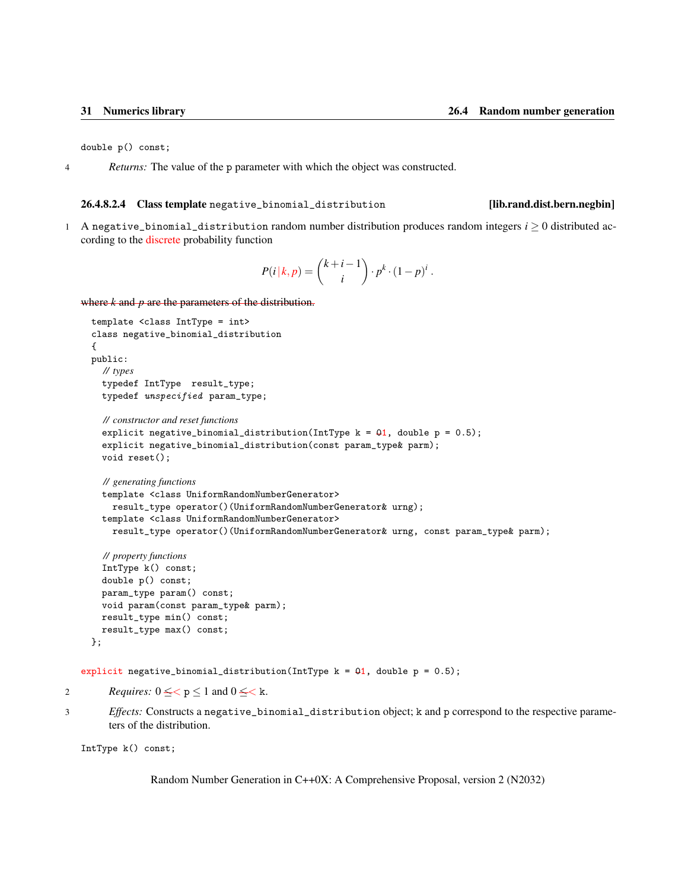<span id="page-36-1"></span>double p() const;

4 *Returns:* The value of the p parameter with which the object was constructed.

### <span id="page-36-0"></span>26.4.8.2.4 Class template negative\_binomial\_distribution [lib.rand.dist.bern.negbin]

- 
- 1 A negative\_binomial\_distribution random number distribution produces random integers  $i \geq 0$  distributed according to the discrete probability function

$$
P(i|k,p) = {k+i-1 \choose i} \cdot p^k \cdot (1-p)^i.
$$

where *k* and *p* are the parameters of the distribution.

```
template <class IntType = int>
class negative_binomial_distribution
{
public:
  // types
  typedef IntType result_type;
  typedef unspecified param_type;
  // constructor and reset functions
  explicit negative_binomial_distribution(IntType k = 01, double p = 0.5);
  explicit negative_binomial_distribution(const param_type& parm);
  void reset();
  // generating functions
  template <class UniformRandomNumberGenerator>
    result_type operator()(UniformRandomNumberGenerator& urng);
  template <class UniformRandomNumberGenerator>
    result_type operator()(UniformRandomNumberGenerator& urng, const param_type& parm);
  // property functions
  IntType k() const;
  double p() const;
  param_type param() const;
```

```
void param(const param_type& parm);
result_type min() const;
result_type max() const;
```

```
};
```
explicit negative\_binomial\_distribution(IntType  $k = 01$ , double  $p = 0.5$ );

- 2 *Requires:*  $0 \leq < p \leq 1$  and  $0 \leq < k$ .
- 3 *Effects:* Constructs a negative\_binomial\_distribution object; k and p correspond to the respective parameters of the distribution.

IntType k() const;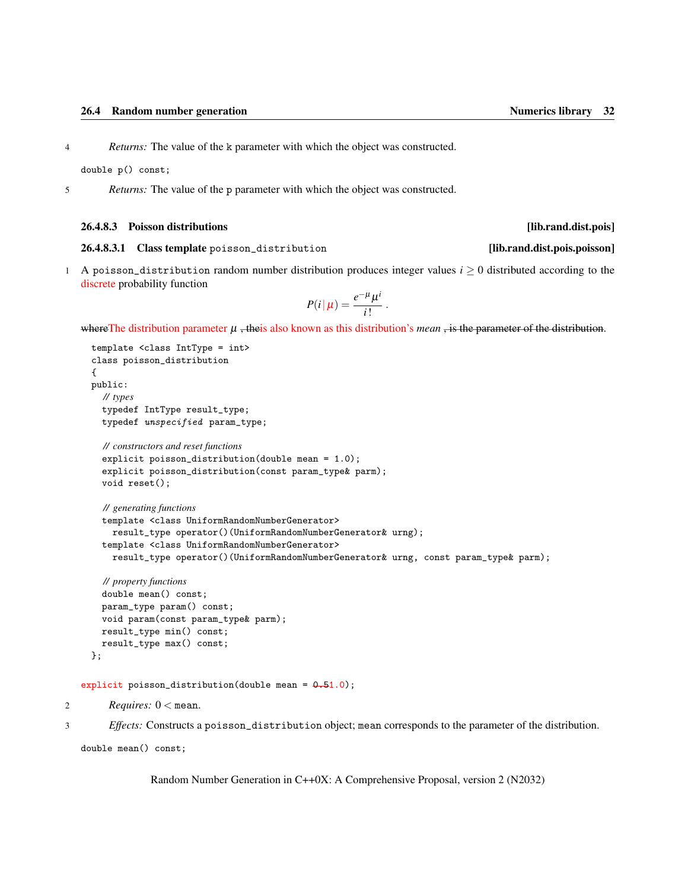<span id="page-37-2"></span>double p() const;

5 *Returns:* The value of the p parameter with which the object was constructed.

### <span id="page-37-0"></span>26.4.8.3 Poisson distributions [lib.rand.dist.pois]

### <span id="page-37-1"></span>26.4.8.3.1 Class template poisson\_distribution [lib.rand.dist.pois.poisson]

1 A poisson\_distribution random number distribution produces integer values  $i \geq 0$  distributed according to the discrete probability function

$$
P(i|\mu) = \frac{e^{-\mu}\mu^i}{i!}.
$$

where The distribution parameter  $\mu$ , theis also known as this distribution's *mean*, is the parameter of the distribution.

```
template <class IntType = int>
class poisson_distribution
{
public:
  // types
  typedef IntType result_type;
  typedef unspecified param_type;
  // constructors and reset functions
  explicit poisson_distribution(double mean = 1.0);
  explicit poisson_distribution(const param_type& parm);
  void reset();
  // generating functions
  template <class UniformRandomNumberGenerator>
    result_type operator()(UniformRandomNumberGenerator& urng);
  template <class UniformRandomNumberGenerator>
    result_type operator()(UniformRandomNumberGenerator& urng, const param_type& parm);
  // property functions
  double mean() const;
  param_type param() const;
  void param(const param_type& parm);
  result_type min() const;
```

```
explicit poisson_distribution(double mean = 0.51.0);
```

```
2 Requires: 0 < mean.
```
};

result\_type max() const;

3 *Effects:* Constructs a poisson\_distribution object; mean corresponds to the parameter of the distribution.

```
double mean() const;
```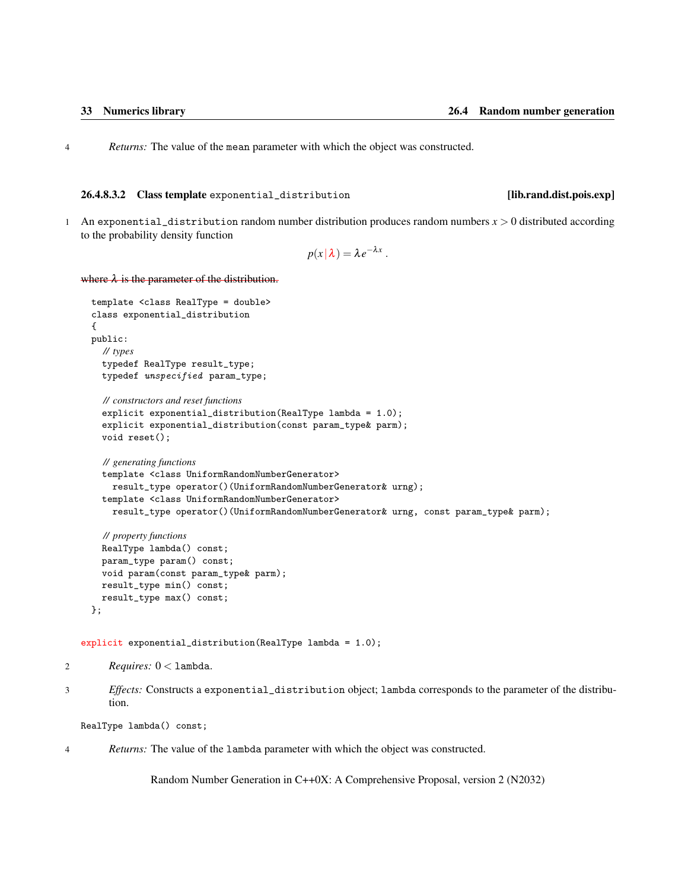<span id="page-38-1"></span>4 *Returns:* The value of the mean parameter with which the object was constructed.

### <span id="page-38-0"></span>26.4.8.3.2 Class template exponential\_distribution [lib.rand.dist.pois.exp]

1 An exponential\_distribution random number distribution produces random numbers *x* > 0 distributed according to the probability density function

$$
p(x|\lambda) = \lambda e^{-\lambda x}.
$$

where  $\lambda$  is the parameter of the distribution.

```
template <class RealType = double>
class exponential_distribution
{
public:
  // types
  typedef RealType result_type;
  typedef unspecified param_type;
  // constructors and reset functions
  explicit exponential_distribution(RealType lambda = 1.0);
  explicit exponential_distribution(const param_type& parm);
  void reset();
  // generating functions
  template <class UniformRandomNumberGenerator>
    result_type operator()(UniformRandomNumberGenerator& urng);
  template <class UniformRandomNumberGenerator>
    result_type operator()(UniformRandomNumberGenerator& urng, const param_type& parm);
  // property functions
  RealType lambda() const;
  param_type param() const;
  void param(const param_type& parm);
  result_type min() const;
  result_type max() const;
};
```
explicit exponential\_distribution(RealType lambda = 1.0);

```
2 Requires: 0 < lambda.
```
3 *Effects:* Constructs a exponential\_distribution object; lambda corresponds to the parameter of the distribution.

RealType lambda() const;

4 *Returns:* The value of the lambda parameter with which the object was constructed.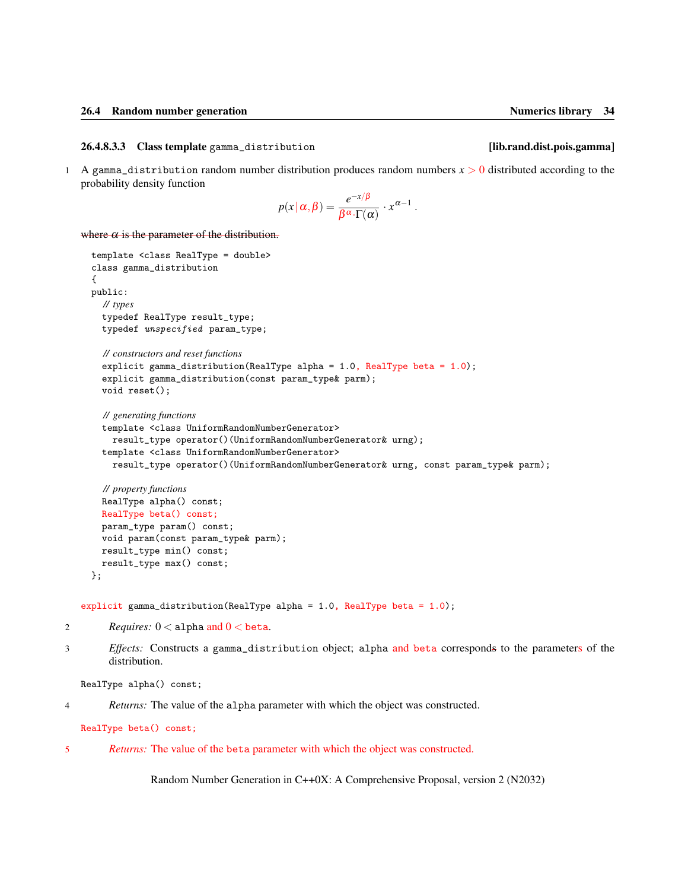### <span id="page-39-1"></span><span id="page-39-0"></span>26.4.8.3.3 Class template gamma\_distribution [lib.rand.dist.pois.gamma]

1 A gamma\_distribution random number distribution produces random numbers *x* > 0 distributed according to the probability density function

$$
p(x | \alpha, \beta) = \frac{e^{-x/\beta}}{\beta^{\alpha} \cdot \Gamma(\alpha)} \cdot x^{\alpha - 1}.
$$

where  $\alpha$  is the parameter of the distribution.

```
template <class RealType = double>
class gamma_distribution
{
public:
  // types
  typedef RealType result_type;
  typedef unspecified param_type;
  // constructors and reset functions
  explicit gamma_distribution(RealType alpha = 1.0, RealType beta = 1.0);
  explicit gamma_distribution(const param_type& parm);
  void reset();
  // generating functions
  template <class UniformRandomNumberGenerator>
    result_type operator()(UniformRandomNumberGenerator& urng);
  template <class UniformRandomNumberGenerator>
    result_type operator()(UniformRandomNumberGenerator& urng, const param_type& parm);
  // property functions
  RealType alpha() const;
  RealType beta() const;
  param_type param() const;
  void param(const param_type& parm);
  result_type min() const;
```
explicit gamma\_distribution(RealType alpha = 1.0, RealType beta =  $1.0$ );

2 *Requires:*  $0 <$  alpha and  $0 <$  beta.

result\_type max() const;

3 *Effects:* Constructs a gamma\_distribution object; alpha and beta corresponds to the parameters of the distribution.

RealType alpha() const;

};

4 *Returns:* The value of the alpha parameter with which the object was constructed.

RealType beta() const;

5 *Returns:* The value of the beta parameter with which the object was constructed.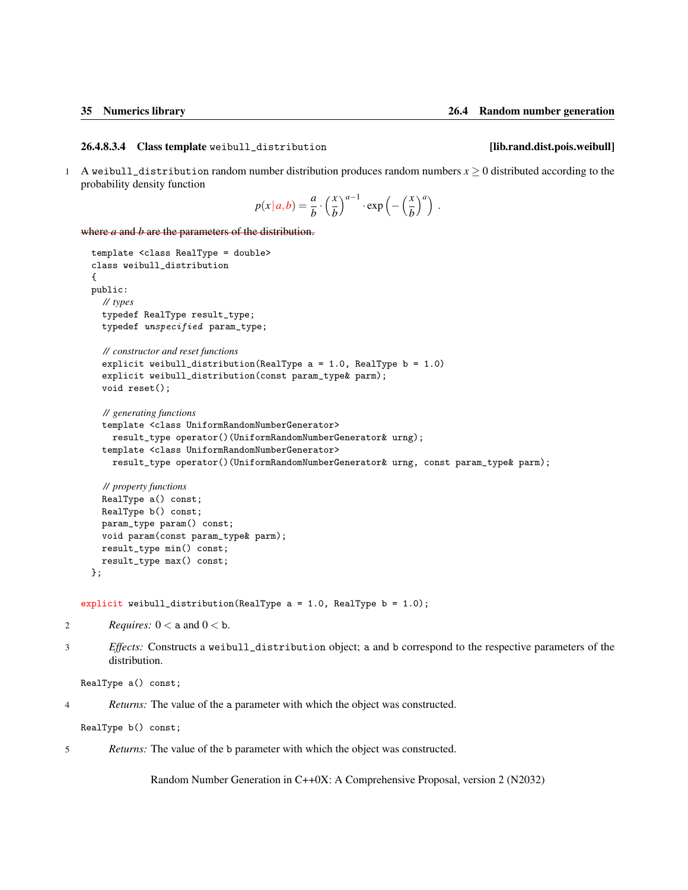### <span id="page-40-1"></span><span id="page-40-0"></span>26.4.8.3.4 Class template weibull\_distribution [lib.rand.dist.pois.weibull]

1 A weibull\_distribution random number distribution produces random numbers  $x \ge 0$  distributed according to the probability density function

$$
p(x | a,b) = \frac{a}{b} \cdot \left(\frac{x}{b}\right)^{a-1} \cdot \exp\left(-\left(\frac{x}{b}\right)^a\right).
$$

where *a* and *b* are the parameters of the distribution.

```
template <class RealType = double>
class weibull_distribution
{
public:
  // types
  typedef RealType result_type;
  typedef unspecified param_type;
  // constructor and reset functions
  explicit weibull_distribution(RealType a = 1.0, RealType b = 1.0)
  explicit weibull_distribution(const param_type& parm);
  void reset();
  // generating functions
  template <class UniformRandomNumberGenerator>
    result_type operator()(UniformRandomNumberGenerator& urng);
  template <class UniformRandomNumberGenerator>
    result_type operator()(UniformRandomNumberGenerator& urng, const param_type& parm);
  // property functions
  RealType a() const;
  RealType b() const;
  param_type param() const;
```

```
result_type max() const;
};
```
explicit weibull\_distribution(RealType  $a = 1.0$ , RealType  $b = 1.0$ );

```
2 Requires: 0 < a and 0 < b.
```
void param(const param\_type& parm);

result\_type min() const;

3 *Effects:* Constructs a weibull\_distribution object; a and b correspond to the respective parameters of the distribution.

```
RealType a() const;
```
4 *Returns:* The value of the a parameter with which the object was constructed.

RealType b() const;

5 *Returns:* The value of the b parameter with which the object was constructed.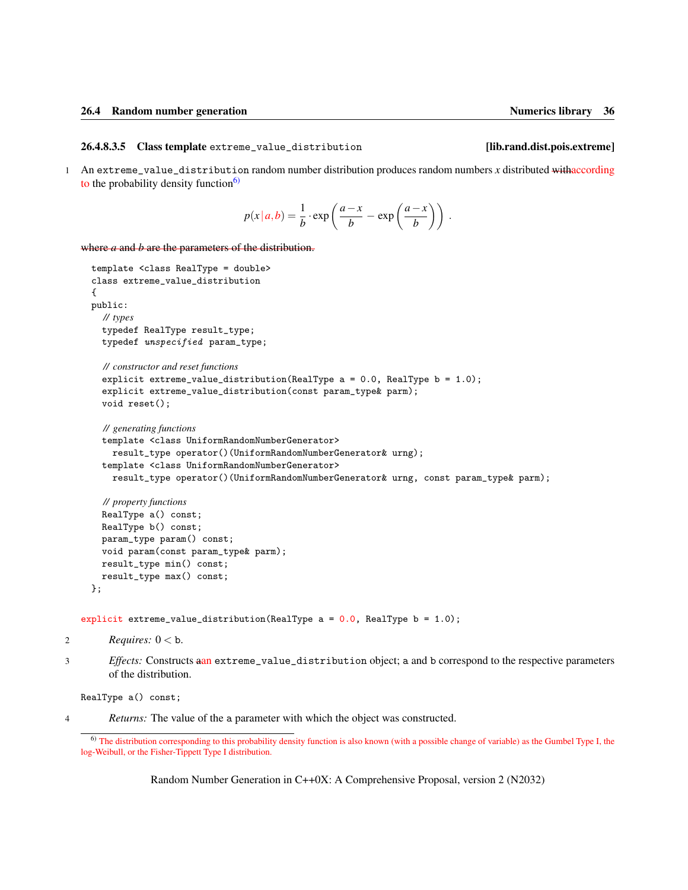### <span id="page-41-2"></span><span id="page-41-0"></span>26.4.8.3.5 Class template extreme\_value\_distribution [lib.rand.dist.pois.extreme]

1 An extreme\_value\_distribution random number distribution produces random numbers *x* distributed withaccording to the probability density function $\frac{6}{2}$ 

$$
p(x|a,b) = \frac{1}{b} \cdot \exp\left(\frac{a-x}{b} - \exp\left(\frac{a-x}{b}\right)\right).
$$

where *a* and *b* are the parameters of the distribution.

```
template <class RealType = double>
class extreme_value_distribution
{
public:
  // types
  typedef RealType result_type;
  typedef unspecified param_type;
  // constructor and reset functions
  explicit extreme_value_distribution(RealType a = 0.0, RealType b = 1.0);
  explicit extreme_value_distribution(const param_type& parm);
  void reset();
  // generating functions
  template <class UniformRandomNumberGenerator>
    result_type operator()(UniformRandomNumberGenerator& urng);
  template <class UniformRandomNumberGenerator>
    result_type operator()(UniformRandomNumberGenerator& urng, const param_type& parm);
  // property functions
  RealType a() const;
  RealType b() const;
  param_type param() const;
  void param(const param_type& parm);
```
};

explicit extreme\_value\_distribution(RealType a = 0.0, RealType b = 1.0);

```
2 Requires: 0 < b.
```
result\_type min() const; result\_type max() const;

3 *Effects:* Constructs aan extreme\_value\_distribution object; a and b correspond to the respective parameters of the distribution.

RealType a() const;

4 *Returns:* The value of the a parameter with which the object was constructed.

<span id="page-41-1"></span><sup>6)</sup> The distribution corresponding to this probability density function is also known (with a possible change of variable) as the Gumbel Type I, the log-Weibull, or the Fisher-Tippett Type I distribution.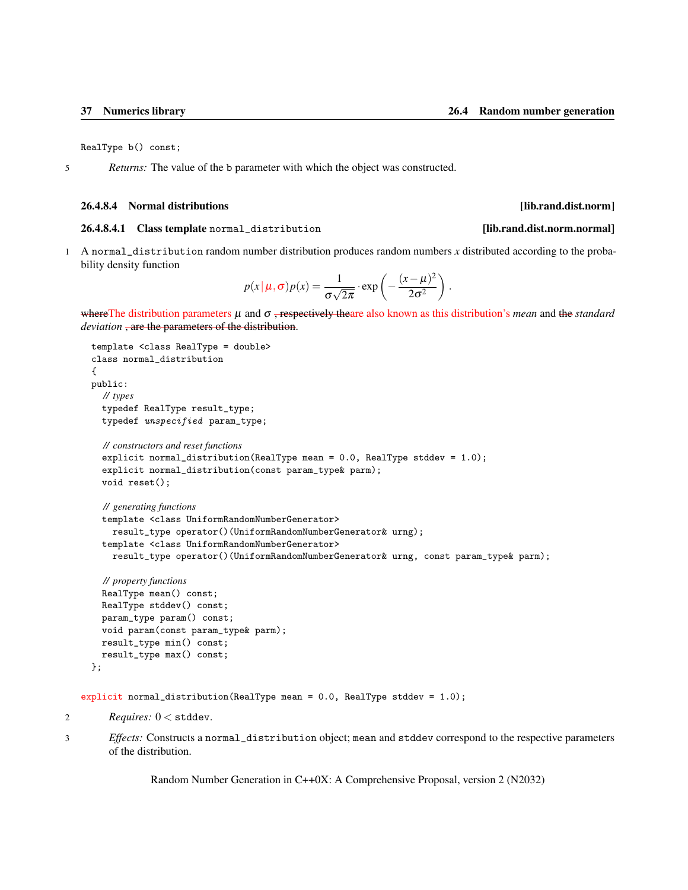<span id="page-42-2"></span>RealType b() const;

5 *Returns:* The value of the b parameter with which the object was constructed.

### <span id="page-42-0"></span>26.4.8.4 Normal distributions **and intervention contract the contract of the contract of the contract of the contract of the contract of the contract of the contract of the contract of the contract of the contract of the**

### <span id="page-42-1"></span>26.4.8.4.1 Class template normal\_distribution [lib.rand.dist.norm.normal]

1 A normal\_distribution random number distribution produces random numbers *x* distributed according to the probability density function

$$
p(x | \mu, \sigma) p(x) = \frac{1}{\sigma \sqrt{2\pi}} \cdot \exp \left(-\frac{(x - \mu)^2}{2\sigma^2}\right).
$$

whereThe distribution parameters µ and σ , respectively theare also known as this distribution's *mean* and the *standard deviation* , are the parameters of the distribution.

```
template <class RealType = double>
class normal_distribution
{
public:
  // types
  typedef RealType result_type;
  typedef unspecified param_type;
  // constructors and reset functions
  explicit normal_distribution(RealType mean = 0.0, RealType stddev = 1.0);
  explicit normal_distribution(const param_type& parm);
  void reset();
  // generating functions
  template <class UniformRandomNumberGenerator>
    result_type operator()(UniformRandomNumberGenerator& urng);
  template <class UniformRandomNumberGenerator>
    result_type operator()(UniformRandomNumberGenerator& urng, const param_type& parm);
  // property functions
  RealType mean() const;
  RealType stddev() const;
```

```
param_type param() const;
  void param(const param_type& parm);
 result_type min() const;
  result_type max() const;
};
```

```
explicit normal_distribution(RealType mean = 0.0, RealType stddev = 1.0);
```

```
2 Requires: 0 < stddev.
```
3 *Effects:* Constructs a normal\_distribution object; mean and stddev correspond to the respective parameters of the distribution.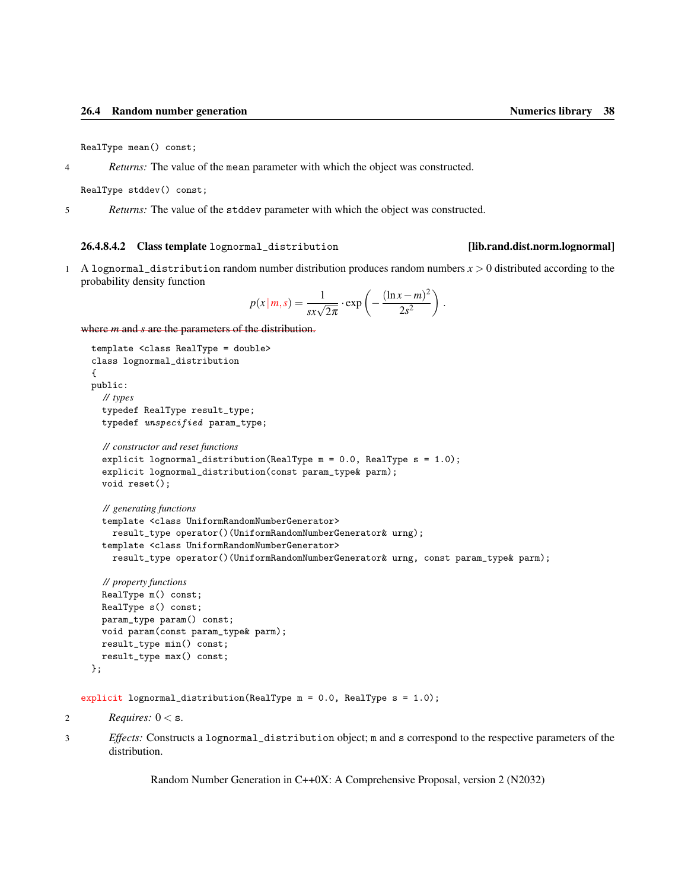<span id="page-43-1"></span>RealType mean() const;

4 *Returns:* The value of the mean parameter with which the object was constructed.

RealType stddev() const;

5 *Returns:* The value of the stddev parameter with which the object was constructed.

### <span id="page-43-0"></span>26.4.8.4.2 Class template lognormal\_distribution [lib.rand.dist.norm.lognormal]

1 A lognormal\_distribution random number distribution produces random numbers *x* > 0 distributed according to the probability density function

$$
p(x|m, s) = \frac{1}{sx\sqrt{2\pi}} \cdot \exp\left(-\frac{(\ln x - m)^2}{2s^2}\right).
$$

where *m* and *s* are the parameters of the distribution.

```
template <class RealType = double>
class lognormal_distribution
{
public:
  // types
  typedef RealType result_type;
  typedef unspecified param_type;
  // constructor and reset functions
  explicit lognormal_distribution(RealType m = 0.0, RealType s = 1.0);
  explicit lognormal_distribution(const param_type& parm);
  void reset();
  // generating functions
  template <class UniformRandomNumberGenerator>
    result_type operator()(UniformRandomNumberGenerator& urng);
  template <class UniformRandomNumberGenerator>
    result_type operator()(UniformRandomNumberGenerator& urng, const param_type& parm);
  // property functions
  RealType m() const;
  RealType s() const;
  param_type param() const;
  void param(const param_type& parm);
  result_type min() const;
  result_type max() const;
```

```
};
```
explicit lognormal\_distribution(RealType m = 0.0, RealType s = 1.0);

```
2
```
3 *Effects:* Constructs a lognormal\_distribution object; m and s correspond to the respective parameters of the distribution.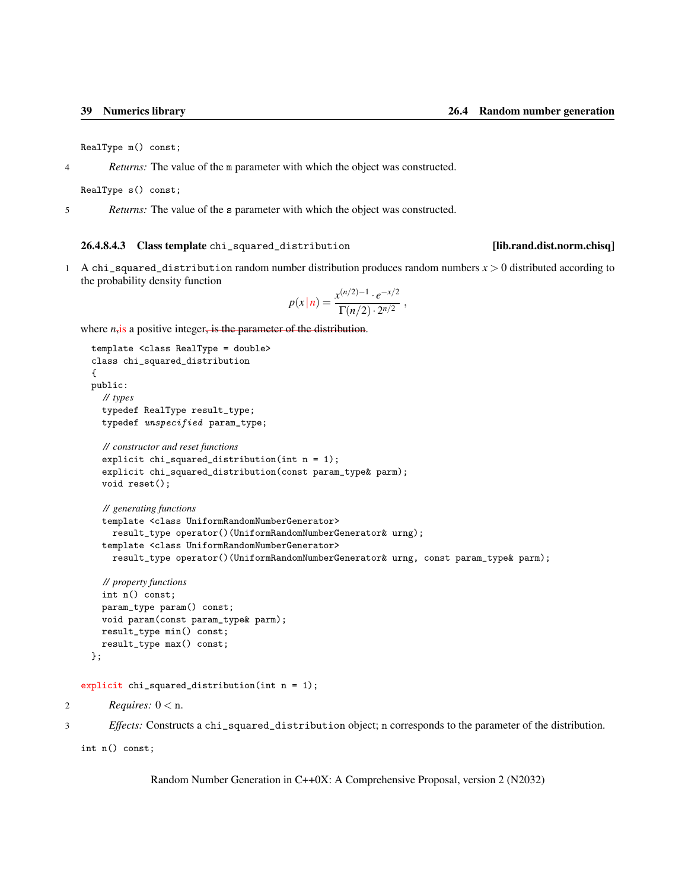<span id="page-44-1"></span>RealType m() const;

4 *Returns:* The value of the m parameter with which the object was constructed.

RealType s() const;

5 *Returns:* The value of the s parameter with which the object was constructed.

### <span id="page-44-0"></span>26.4.8.4.3 Class template chi\_squared\_distribution [lib.rand.dist.norm.chisq]

1 A chi\_squared\_distribution random number distribution produces random numbers *x* > 0 distributed according to the probability density function

$$
p(x | n) = \frac{x^{(n/2)-1} \cdot e^{-x/2}}{\Gamma(n/2) \cdot 2^{n/2}},
$$

where *n*<sub>i</sub>s a positive integer, is the parameter of the distribution.

```
template <class RealType = double>
  class chi_squared_distribution
  {
  public:
    // types
    typedef RealType result_type;
    typedef unspecified param_type;
    // constructor and reset functions
    explicit chi_squared_distribution(int n = 1);
    explicit chi_squared_distribution(const param_type& parm);
    void reset();
    // generating functions
    template <class UniformRandomNumberGenerator>
      result_type operator()(UniformRandomNumberGenerator& urng);
    template <class UniformRandomNumberGenerator>
      result_type operator()(UniformRandomNumberGenerator& urng, const param_type& parm);
    // property functions
    int n() const;
    param_type param() const;
    void param(const param_type& parm);
    result_type min() const;
    result_type max() const;
  };
explicit chi_squared_distribution(int n = 1);
```
2 *Requires:*  $0 < n$ .

3 *Effects:* Constructs a chi\_squared\_distribution object; n corresponds to the parameter of the distribution.

int n() const;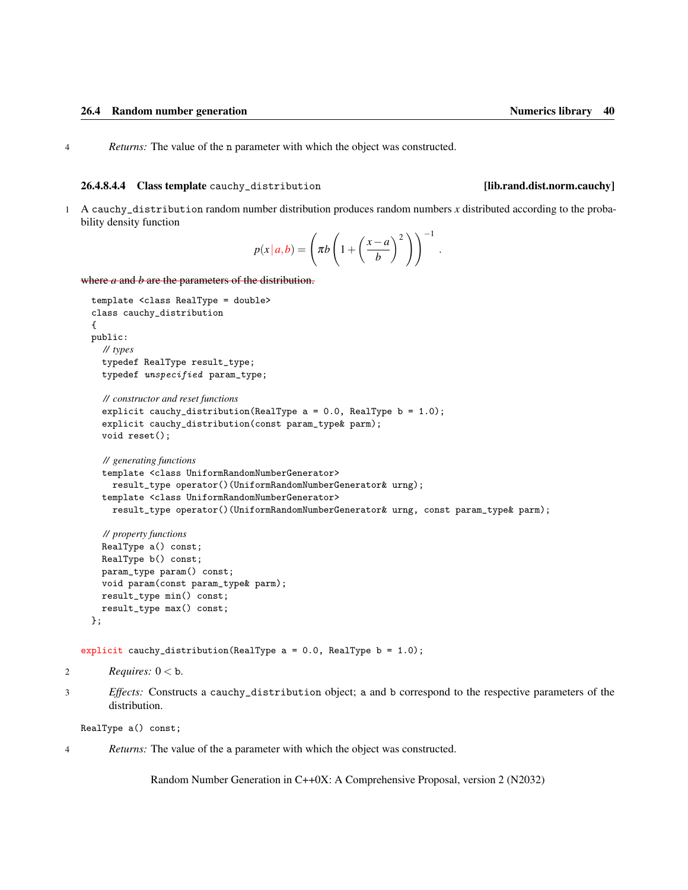<span id="page-45-1"></span>4 *Returns:* The value of the n parameter with which the object was constructed.

### <span id="page-45-0"></span>26.4.8.4.4 Class template cauchy\_distribution [lib.rand.dist.norm.cauchy]

1 A cauchy\_distribution random number distribution produces random numbers *x* distributed according to the probability density function

$$
p(x | a,b) = \left(\pi b \left(1 + \left(\frac{x-a}{b}\right)^2\right)\right)^{-1}.
$$

where *a* and *b* are the parameters of the distribution.

```
template <class RealType = double>
class cauchy_distribution
{
public:
  // types
  typedef RealType result_type;
  typedef unspecified param_type;
  // constructor and reset functions
  explicit cauchy_distribution(RealType a = 0.0, RealType b = 1.0);
  explicit cauchy_distribution(const param_type& parm);
  void reset();
  // generating functions
  template <class UniformRandomNumberGenerator>
    result_type operator()(UniformRandomNumberGenerator& urng);
  template <class UniformRandomNumberGenerator>
    result_type operator()(UniformRandomNumberGenerator& urng, const param_type& parm);
  // property functions
  RealType a() const;
  RealType b() const;
  param_type param() const;
  void param(const param_type& parm);
  result_type min() const;
  result_type max() const;
};
```

```
explicit cauchy_distribution(RealType a = 0.0, RealType b = 1.0);
```
2  $$ 

3 *Effects:* Constructs a cauchy\_distribution object; a and b correspond to the respective parameters of the distribution.

```
RealType a() const;
```
4 *Returns:* The value of the a parameter with which the object was constructed.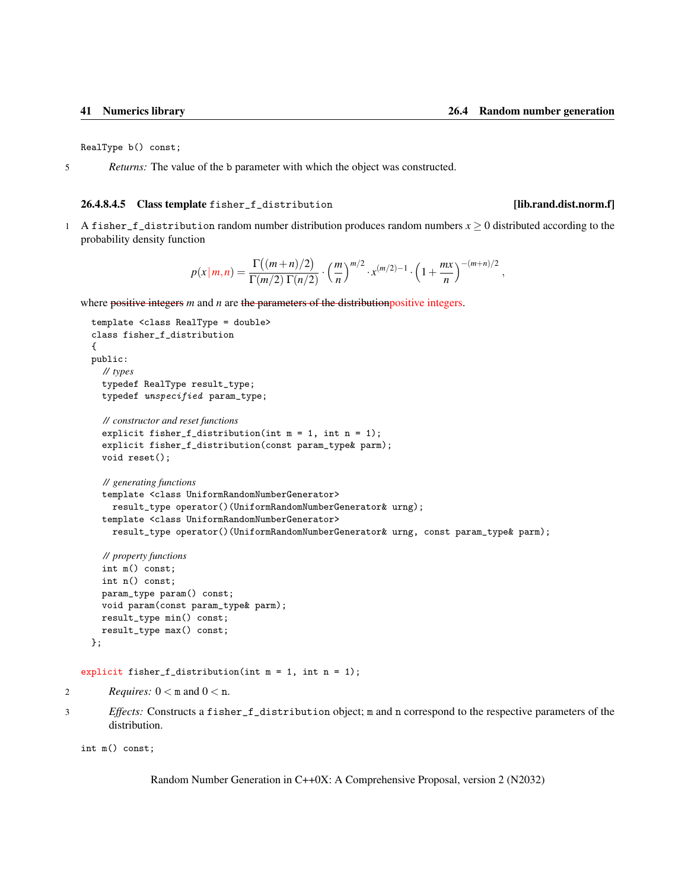<span id="page-46-1"></span>RealType b() const;

5 *Returns:* The value of the b parameter with which the object was constructed.

### <span id="page-46-0"></span>26.4.8.4.5 Class template fisher\_f\_distribution [lib.rand.dist.norm.f]

1 A fisher\_f\_distribution random number distribution produces random numbers  $x \ge 0$  distributed according to the probability density function

$$
p(x|m,n) = \frac{\Gamma((m+n)/2)}{\Gamma(m/2)\Gamma(n/2)} \cdot \left(\frac{m}{n}\right)^{m/2} \cdot x^{(m/2)-1} \cdot \left(1 + \frac{mx}{n}\right)^{-(m+n)/2},
$$

where positive integers *m* and *n* are the parameters of the distribution positive integers.

```
template <class RealType = double>
  class fisher_f_distribution
  {
  public:
    // types
    typedef RealType result_type;
    typedef unspecified param_type;
    // constructor and reset functions
    explicit fisher_f_distribution(int m = 1, int n = 1);
    explicit fisher_f_distribution(const param_type& parm);
    void reset();
    // generating functions
    template <class UniformRandomNumberGenerator>
      result_type operator()(UniformRandomNumberGenerator& urng);
    template <class UniformRandomNumberGenerator>
      result_type operator()(UniformRandomNumberGenerator& urng, const param_type& parm);
    // property functions
    int m() const;
    int n() const;
    param_type param() const;
    void param(const param_type& parm);
    result_type min() const;
    result_type max() const;
  };
explicit fisher_f_distribution(int m = 1, int n = 1);
```

```
2 Requires: 0 < m and 0 < n.
```
3 *Effects:* Constructs a fisher\_f\_distribution object; m and n correspond to the respective parameters of the distribution.

```
int m() const;
```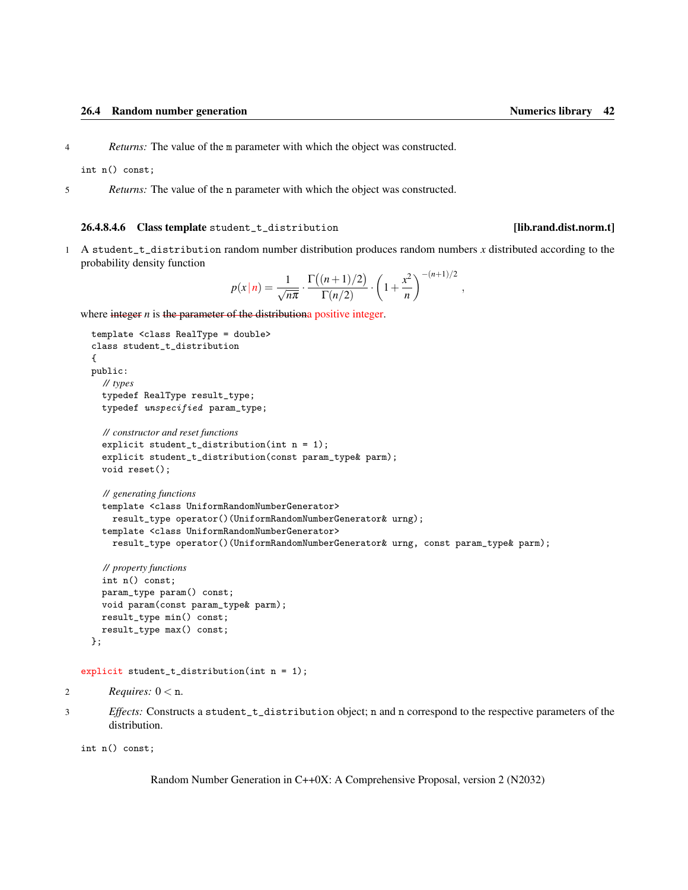<span id="page-47-1"></span>4 *Returns:* The value of the m parameter with which the object was constructed.

int n() const;

5 *Returns:* The value of the n parameter with which the object was constructed.

### <span id="page-47-0"></span>26.4.8.4.6 Class template student\_t\_distribution [lib.rand.dist.norm.t]

1 A student\_t\_distribution random number distribution produces random numbers *x* distributed according to the probability density function

$$
p(x|n) = \frac{1}{\sqrt{n\pi}} \cdot \frac{\Gamma((n+1)/2)}{\Gamma(n/2)} \cdot \left(1 + \frac{x^2}{n}\right)^{-(n+1)/2},
$$

where integer *n* is the parameter of the distributiona positive integer.

```
template <class RealType = double>
class student_t_distribution
{
public:
  // types
  typedef RealType result_type;
  typedef unspecified param_type;
  // constructor and reset functions
  explicit student_t_distribution(int n = 1);
  explicit student_t_distribution(const param_type& parm);
  void reset();
  // generating functions
  template <class UniformRandomNumberGenerator>
    result_type operator()(UniformRandomNumberGenerator& urng);
  template <class UniformRandomNumberGenerator>
    result_type operator()(UniformRandomNumberGenerator& urng, const param_type& parm);
  // property functions
  int n() const;
  param_type param() const;
```

```
void param(const param_type& parm);
  result_type min() const;
  result_type max() const;
};
```

```
explicit student_t_distribution(int n = 1);
```

```
2 Requires: 0 < n.
```
3 *Effects:* Constructs a student\_t\_distribution object; n and n correspond to the respective parameters of the distribution.

int n() const;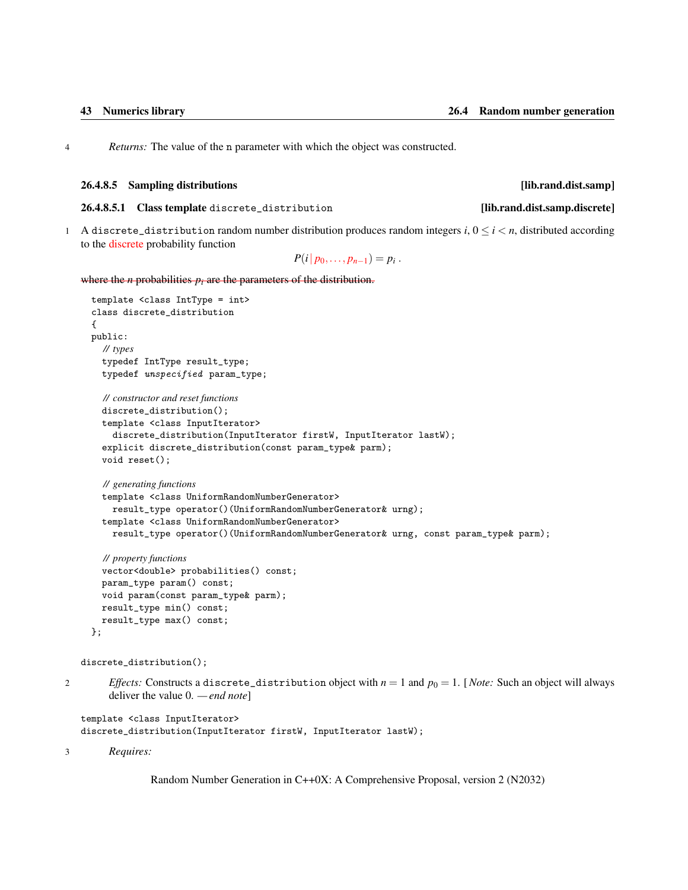<span id="page-48-2"></span>4 *Returns:* The value of the n parameter with which the object was constructed.

### <span id="page-48-0"></span>26.4.8.5 Sampling distributions [lib.rand.dist.samp]

<span id="page-48-1"></span>26.4.8.5.1 Class template discrete\_distribution [lib.rand.dist.samp.discrete]

1 A discrete\_distribution random number distribution produces random integers  $i, 0 \le i \le n$ , distributed according to the discrete probability function

 $P(i|p_0,...,p_{n-1}) = p_i$ .

where the  $n$  probabilities  $p_i$  are the parameters of the distribution.

```
template <class IntType = int>
class discrete_distribution
{
public:
  // types
  typedef IntType result_type;
  typedef unspecified param_type;
  // constructor and reset functions
  discrete_distribution();
  template <class InputIterator>
    discrete_distribution(InputIterator firstW, InputIterator lastW);
  explicit discrete_distribution(const param_type& parm);
  void reset();
  // generating functions
  template <class UniformRandomNumberGenerator>
    result_type operator()(UniformRandomNumberGenerator& urng);
  template <class UniformRandomNumberGenerator>
    result_type operator()(UniformRandomNumberGenerator& urng, const param_type& parm);
  // property functions
  vector<double> probabilities() const;
  param_type param() const;
  void param(const param_type& parm);
  result_type min() const;
```

```
discrete_distribution();
```
result\_type max() const;

- 
- 2 *Effects:* Constructs a discrete\_distribution object with  $n = 1$  and  $p_0 = 1$ . [*Note:* Such an object will always deliver the value 0. *— end note*]

```
template <class InputIterator>
discrete_distribution(InputIterator firstW, InputIterator lastW);
```
3 *Requires:*

};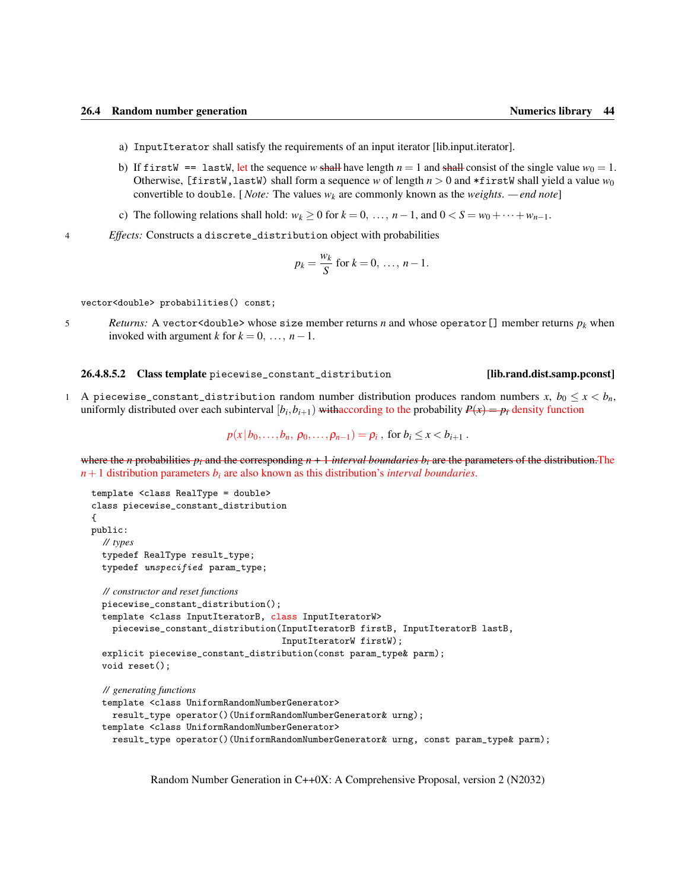- <span id="page-49-1"></span>a) InputIterator shall satisfy the requirements of an input iterator [lib.input.iterator].
- b) If firstW == lastW, let the sequence *w* shall have length  $n = 1$  and shall consist of the single value  $w_0 = 1$ . Otherwise, [firstW, lastW) shall form a sequence *w* of length  $n > 0$  and \*firstW shall yield a value  $w_0$ convertible to double. [*Note:* The values  $w_k$  are commonly known as the *weights*. *— end note*]
- c) The following relations shall hold:  $w_k \ge 0$  for  $k = 0, \ldots, n-1$ , and  $0 < S = w_0 + \cdots + w_{n-1}$ .
- 4 *Effects:* Constructs a discrete\_distribution object with probabilities

$$
p_k = \frac{w_k}{S} \text{ for } k = 0, \ldots, n-1.
$$

vector<double> probabilities() const;

5 *Returns:* A vector<double> whose size member returns *n* and whose operator[] member returns *p<sup>k</sup>* when invoked with argument *k* for  $k = 0, \ldots, n-1$ .

### <span id="page-49-0"></span>26.4.8.5.2 Class template piecewise\_constant\_distribution [lib.rand.dist.samp.pconst]

1 A piecewise\_constant\_distribution random number distribution produces random numbers  $x$ ,  $b_0 \le x < b_n$ , uniformly distributed over each subinterval  $[b_i, b_{i+1})$  withaccording to the probability  $P(x) = p_i$  density function

$$
p(x|b_0,...,b_n, p_0,...,p_{n-1}) = p_i
$$
, for  $b_i \le x < b_{i+1}$ .

where the *n* probabilities  $p_i$  and the corresponding  $n + 1$  *interval boundaries*  $b_i$  are the parameters of the distribution. The *n*+1 distribution parameters *b<sup>i</sup>* are also known as this distribution's *interval boundaries*.

```
template <class RealType = double>
class piecewise_constant_distribution
{
public:
  // types
  typedef RealType result_type;
  typedef unspecified param_type;
  // constructor and reset functions
  piecewise_constant_distribution();
  template <class InputIteratorB, class InputIteratorW>
    piecewise_constant_distribution(InputIteratorB firstB, InputIteratorB lastB,
                                     InputIteratorW firstW);
  explicit piecewise_constant_distribution(const param_type& parm);
 void reset();
  // generating functions
  template <class UniformRandomNumberGenerator>
    result_type operator()(UniformRandomNumberGenerator& urng);
 template <class UniformRandomNumberGenerator>
    result_type operator()(UniformRandomNumberGenerator& urng, const param_type& parm);
```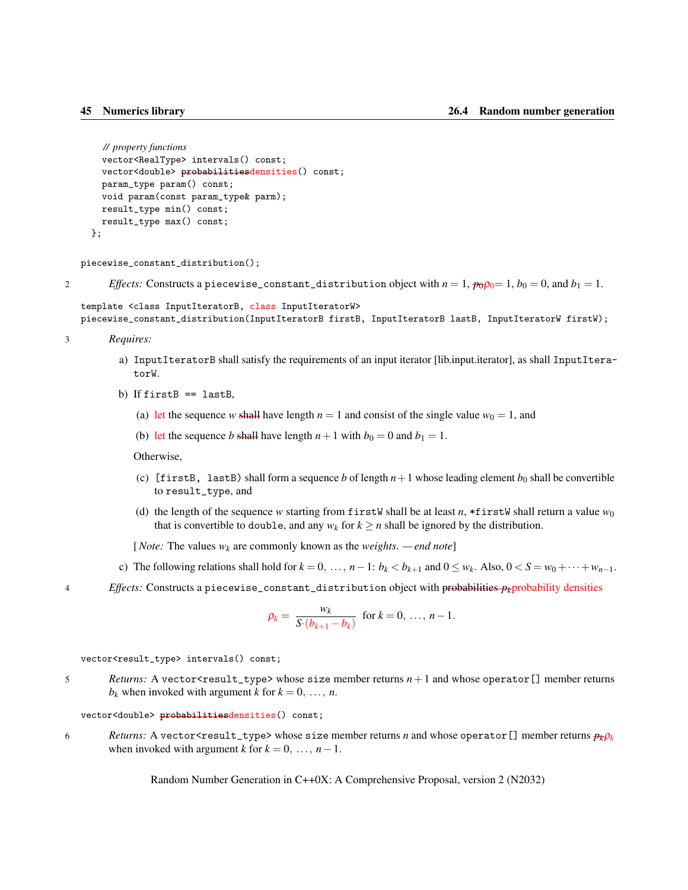```
// property functions
  vector<RealType> intervals() const;
  vector<double> probabilitiesdensities() const;
  param_type param() const;
 void param(const param_type& parm);
  result_type min() const;
  result_type max() const;
};
```
piecewise\_constant\_distribution();

```
Effects: Constructs a piecewise_constant_distribution object with n = 1, p_0p_0 = 1, b_0 = 0, and b_1 = 1.
```

```
template <class InputIteratorB, class InputIteratorW>
piecewise_constant_distribution(InputIteratorB firstB, InputIteratorB lastB, InputIteratorW firstW);
```

```
3 Requires:
```
- a) InputIteratorB shall satisfy the requirements of an input iterator [lib.input.iterator], as shall InputIteratorW.
- b) If  $firstB == lastB$ ,
	- (a) let the sequence *w* shall have length  $n = 1$  and consist of the single value  $w_0 = 1$ , and
	- (b) let the sequence *b* shall have length  $n+1$  with  $b_0 = 0$  and  $b_1 = 1$ .

Otherwise,

- (c) [firstB, lastB) shall form a sequence *b* of length  $n+1$  whose leading element  $b_0$  shall be convertible to result\_type, and
- (d) the length of the sequence *w* starting from firstW shall be at least *n*, \*firstW shall return a value  $w_0$ that is convertible to double, and any  $w_k$  for  $k \ge n$  shall be ignored by the distribution.

[*Note:* The values *w<sup>k</sup>* are commonly known as the *weights*. *— end note*]

- c) The following relations shall hold for  $k = 0, \ldots, n-1$ :  $b_k < b_{k+1}$  and  $0 \le w_k$ . Also,  $0 < S = w_0 + \cdots + w_{n-1}$ .
- 4 *Effects:* Constructs a piecewise\_constant\_distribution object with probabilities *pk*probability densities

$$
\rho_k = \frac{w_k}{S \cdot (b_{k+1} - b_k)} \text{ for } k = 0, \ldots, n-1.
$$

vector<result\_type> intervals() const;

5 *Returns:* A vector<result\_type> whose size member returns  $n+1$  and whose operator [] member returns  $b_k$  when invoked with argument *k* for  $k = 0, \ldots, n$ .

vector<double> probabilitiesdensities() const;

6 *Returns:* A vector<result\_type> whose size member returns *n* and whose operator [] member returns  $p_k p_k$ when invoked with argument *k* for  $k = 0, \ldots, n-1$ .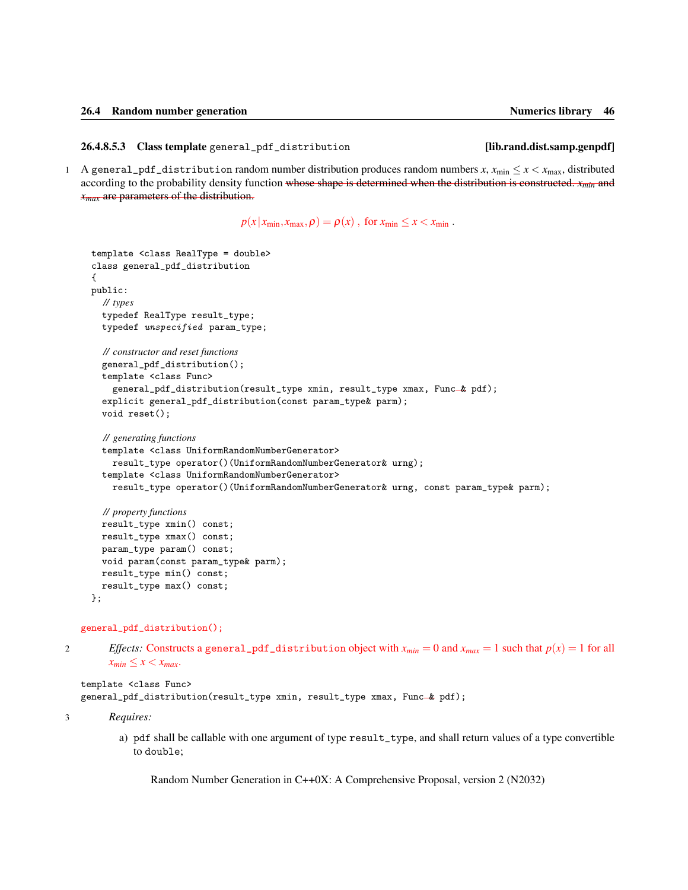<span id="page-51-1"></span><span id="page-51-0"></span>26.4.8.5.3 Class template general\_pdf\_distribution [lib.rand.dist.samp.genpdf]

1 A general\_pdf\_distribution random number distribution produces random numbers  $x$ ,  $x_{\text{min}} \le x < x_{\text{max}}$ , distributed according to the probability density function whose shape is determined when the distribution is constructed. *xmin* and *xmax* are parameters of the distribution.

 $p(x | x_{\min}, x_{\max}, \rho) = \rho(x)$ , for  $x_{\min} \le x < x_{\min}$ .

```
template <class RealType = double>
class general_pdf_distribution
{
public:
  // types
  typedef RealType result_type;
  typedef unspecified param_type;
  // constructor and reset functions
  general_pdf_distribution();
  template <class Func>
    general_pdf_distribution(result_type xmin, result_type xmax, Func-& pdf);
  explicit general_pdf_distribution(const param_type& parm);
  void reset();
  // generating functions
  template <class UniformRandomNumberGenerator>
    result_type operator()(UniformRandomNumberGenerator& urng);
  template <class UniformRandomNumberGenerator>
    result_type operator()(UniformRandomNumberGenerator& urng, const param_type& parm);
  // property functions
  result_type xmin() const;
  result_type xmax() const;
  param_type param() const;
  void param(const param_type& parm);
  result_type min() const;
  result_type max() const;
```

```
};
```
general\_pdf\_distribution();

2 *Effects:* Constructs a general\_pdf\_distribution object with  $x_{min} = 0$  and  $x_{max} = 1$  such that  $p(x) = 1$  for all  $x_{min} \leq x < x_{max}$ .

template <class Func> general\_pdf\_distribution(result\_type xmin, result\_type xmax, Func-& pdf);

3 *Requires:*

a) pdf shall be callable with one argument of type result\_type, and shall return values of a type convertible to double;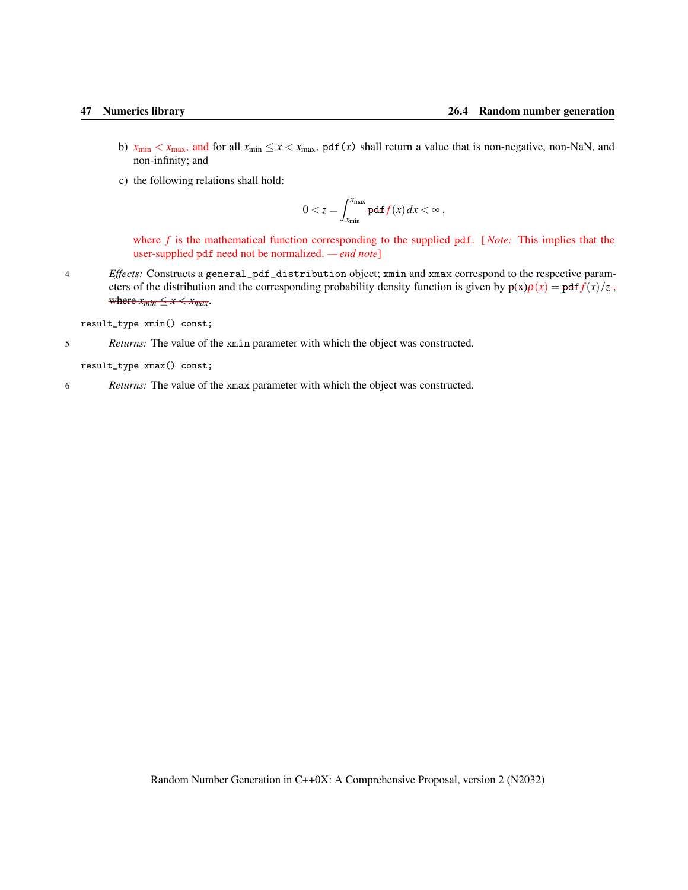- <span id="page-52-0"></span>b)  $x_{\text{min}} < x_{\text{max}}$ , and for all  $x_{\text{min}} \le x < x_{\text{max}}$ , pdf(*x*) shall return a value that is non-negative, non-NaN, and non-infinity; and
- c) the following relations shall hold:

$$
0 < z = \int_{x_{\min}}^{x_{\max}} \mathbf{pdf}(x) \, dx < \infty \,,
$$

where *f* is the mathematical function corresponding to the supplied pdf. [*Note:* This implies that the user-supplied pdf need not be normalized. *— end note*]

4 *Effects:* Constructs a general\_pdf\_distribution object; xmin and xmax correspond to the respective parameters of the distribution and the corresponding probability density function is given by  $\phi(x)\rho(x) = \phi d f(x)/z$ , where  $x_{min} \leq x \leq x_{max}$ .

result\_type xmin() const;

5 *Returns:* The value of the xmin parameter with which the object was constructed.

result\_type xmax() const;

6 *Returns:* The value of the xmax parameter with which the object was constructed.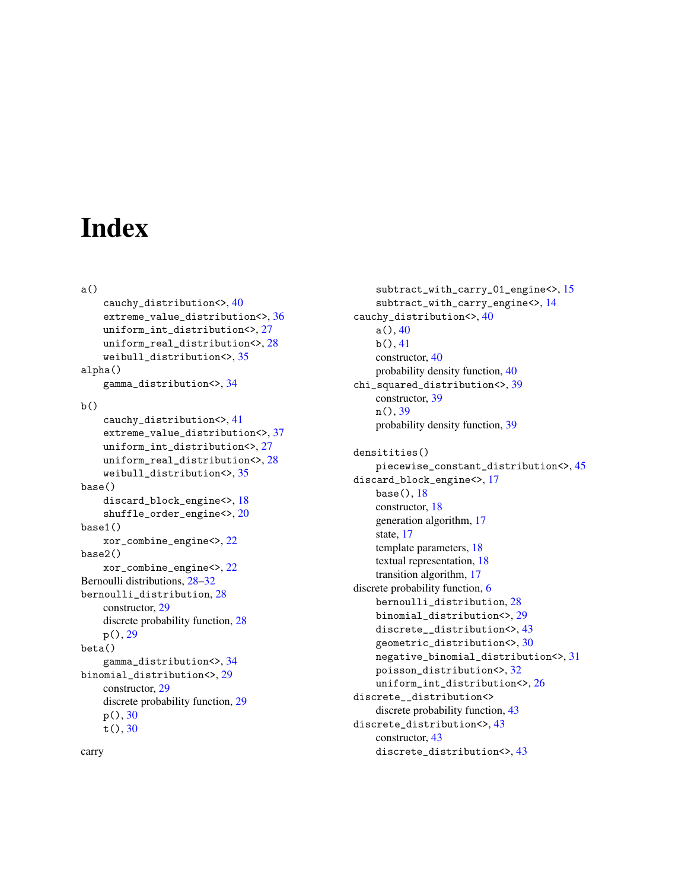## **Index**

```
a()
    cauchy_distribution<>, 40
    extreme_value_distribution<>, 36
    uniform_int_distribution<>, 27
    uniform_real_distribution<>, 28
    weibull_distribution<>, 35
alpha()
    gamma_distribution<>, 34
b()cauchy_distribution<>, 41
    extreme_value_distribution<>, 37
    uniform_int_distribution<>, 27
    uniform_real_distribution<>, 28
    weibull_distribution<>, 35
base()
    discard_block_engine<>, 18
    shuffle_order_engine<>, 20
base1()
    xor_combine_engine<>, 22
base2()
    xor_combine_engine<>, 22
Bernoulli distributions, 28–32
bernoulli_distribution, 28
    constructor, 29
    discrete probability function, 28
    p(), 29
beta()
    gamma_distribution<>, 34
binomial_distribution<>, 29
    constructor, 29
    discrete probability function, 29
    p(), 30
    t(), 30
```

```
subtract_with_carry_01_engine<>, 15
    subtract_with_carry_engine<>, 14
cauchy_distribution<>, 40
    a()40
    41constructor, 40
    probability density function, 40
chi_squared_distribution<>, 39
    constructor, 39
    n(), 39
    probability density function, 39
```

```
densitities()
    piecewise_constant_distribution<>, 45
discard_block_engine<>, 17
    base(), 18
    constructor, 18
    generation algorithm, 17
    state, 17
    template parameters, 18
    textual representation, 18
    transition algorithm, 17
discrete probability function, 6
    bernoulli_distribution, 28
    binomial_distribution<>, 29
    discrete__distribution<>, 43
    geometric_distribution<>, 30
    negative_binomial_distribution<>, 31
    poisson_distribution<>, 32
    uniform_int_distribution<>, 26
discrete__distribution<>
    discrete probability function, 43
discrete_distribution<>, 43
    constructor, 43
    discrete_distribution<>, 43
```
carry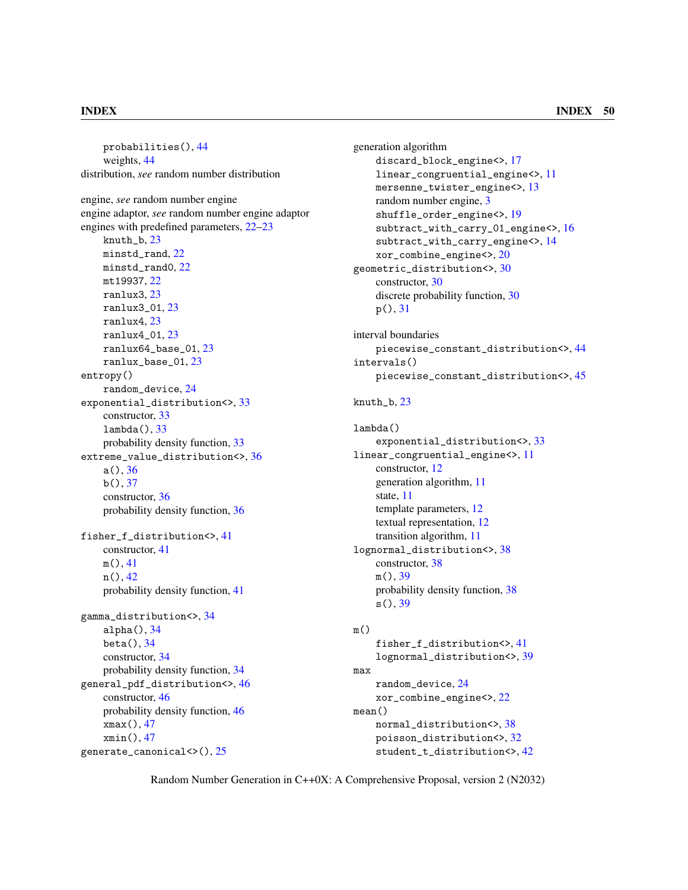probabilities(), [44](#page-49-1) weights, [44](#page-49-1) distribution, *see* random number distribution engine, *see* random number engine engine adaptor, *see* random number engine adaptor engines with predefined parameters, [22](#page-27-1)[–23](#page-28-1) knuth\_b, [23](#page-28-1) minstd\_rand, [22](#page-27-1) minstd\_rand0, [22](#page-27-1) mt19937, [22](#page-27-1) ranlux3, [23](#page-28-1) ranlux3\_01, [23](#page-28-1) ranlux4, [23](#page-28-1) ranlux4\_01, [23](#page-28-1) ranlux64\_base\_01, [23](#page-28-1) ranlux\_base\_01, [23](#page-28-1) entropy() random\_device, [24](#page-29-2) exponential\_distribution<>, [33](#page-38-1) constructor, [33](#page-38-1) lambda(), [33](#page-38-1) probability density function, [33](#page-38-1) extreme\_value\_distribution<>, [36](#page-41-2) a(), [36](#page-41-2)  $b(), 37$  $b(), 37$ constructor, [36](#page-41-2) probability density function, [36](#page-41-2) fisher\_f\_distribution<>, [41](#page-46-1) constructor, [41](#page-46-1) m(), [41](#page-46-1) n(), [42](#page-47-1) probability density function, [41](#page-46-1) gamma\_distribution<>, [34](#page-39-1) alpha(), [34](#page-39-1) beta(), [34](#page-39-1) constructor, [34](#page-39-1) probability density function, [34](#page-39-1) general\_pdf\_distribution<>, [46](#page-51-1) constructor, [46](#page-51-1) probability density function, [46](#page-51-1) xmax(), [47](#page-52-0) xmin(), [47](#page-52-0)

generate\_canonical<>(), [25](#page-30-1)

generation algorithm discard\_block\_engine<>, [17](#page-22-2) linear\_congruential\_engine<>, [11](#page-16-2) mersenne\_twister\_engine<>, [13](#page-18-0) random number engine, [3](#page-8-1) shuffle\_order\_engine<>, [19](#page-24-0) subtract\_with\_carry\_01\_engine<>, [16](#page-21-0) subtract\_with\_carry\_engine<>, [14](#page-19-1) xor\_combine\_engine<>, [20](#page-25-1) geometric\_distribution<>, [30](#page-35-1) constructor, [30](#page-35-1) discrete probability function, [30](#page-35-1) p(), [31](#page-36-1)

interval boundaries piecewise\_constant\_distribution<>, [44](#page-49-1) intervals() piecewise\_constant\_distribution<>, [45](#page-50-0)

```
knuth_b, 23
```
lambda() exponential\_distribution<>, [33](#page-38-1) linear\_congruential\_engine<>, [11](#page-16-2) constructor, [12](#page-17-2) generation algorithm, [11](#page-16-2) state, [11](#page-16-2) template parameters, [12](#page-17-2) textual representation, [12](#page-17-2) transition algorithm, [11](#page-16-2) lognormal\_distribution<>, [38](#page-43-1) constructor, [38](#page-43-1) m(), [39](#page-44-1) probability density function, [38](#page-43-1)  $s(), 39$  $s(), 39$ 

```
m()
```
fisher\_f\_distribution<>, [41](#page-46-1) lognormal\_distribution<>, [39](#page-44-1) max random\_device, [24](#page-29-2) xor\_combine\_engine<>, [22](#page-27-1) mean() normal\_distribution<>, [38](#page-43-1) poisson\_distribution<>, [32](#page-37-2) student\_t\_distribution<>, [42](#page-47-1)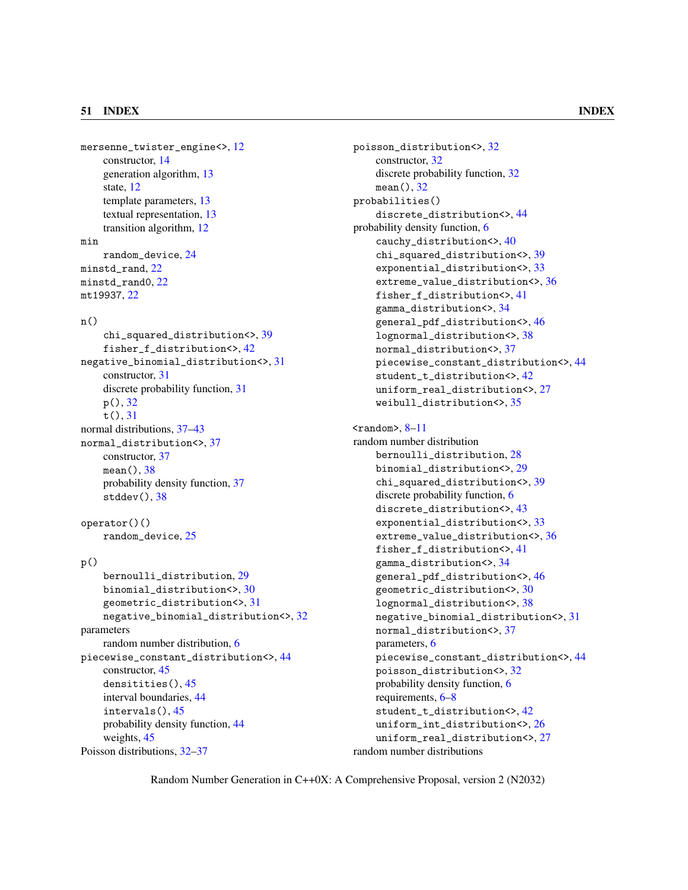mersenne\_twister\_engine<>, [12](#page-17-2) constructor, [14](#page-19-1) generation algorithm, [13](#page-18-0) state, [12](#page-17-2) template parameters, [13](#page-18-0) textual representation, [13](#page-18-0) transition algorithm, [12](#page-17-2) min random\_device, [24](#page-29-2) minstd\_rand, [22](#page-27-1) minstd\_rand0, [22](#page-27-1) mt19937, [22](#page-27-1)

### $n()$

chi\_squared\_distribution<>, [39](#page-44-1) fisher\_f\_distribution<>, [42](#page-47-1) negative\_binomial\_distribution<>, [31](#page-36-1) constructor, [31](#page-36-1) discrete probability function, [31](#page-36-1) p(), [32](#page-37-2) t(), [31](#page-36-1) normal distributions, [37](#page-42-2)[–43](#page-48-2) normal\_distribution<>, [37](#page-42-2) constructor, [37](#page-42-2) mean(), [38](#page-43-1) probability density function, [37](#page-42-2) stddev(), [38](#page-43-1)

operator()() random\_device, [25](#page-30-1)

### p()

```
bernoulli_distribution, 29
    binomial_distribution<>, 30
    geometric_distribution<>, 31
    negative_binomial_distribution<>, 32
parameters
    random number distribution, 6
piecewise_constant_distribution<>, 44
    constructor, 45
    densitities(), 45
    interval boundaries, 44
    intervals(), 45
    probability density function, 44
    weights, 45
Poisson distributions, 32–37
```
poisson\_distribution<>, [32](#page-37-2) constructor, [32](#page-37-2) discrete probability function, [32](#page-37-2) mean(), [32](#page-37-2) probabilities() discrete\_distribution<>, [44](#page-49-1) probability density function, [6](#page-11-2) cauchy\_distribution<>, [40](#page-45-1) chi\_squared\_distribution<>, [39](#page-44-1) exponential\_distribution<>, [33](#page-38-1) extreme\_value\_distribution<>, [36](#page-41-2) fisher\_f\_distribution<>, [41](#page-46-1) gamma\_distribution<>, [34](#page-39-1) general\_pdf\_distribution<>, [46](#page-51-1) lognormal\_distribution<>, [38](#page-43-1) normal\_distribution<>, [37](#page-42-2) piecewise\_constant\_distribution<>, [44](#page-49-1) student\_t\_distribution<>, [42](#page-47-1) uniform\_real\_distribution<>, [27](#page-32-1) weibull\_distribution<>, [35](#page-40-1)  $\langle$ random $\rangle$ ,  $8-11$  $8-11$ random number distribution bernoulli\_distribution, [28](#page-33-2) binomial\_distribution<>, [29](#page-34-1) chi\_squared\_distribution<>, [39](#page-44-1) discrete probability function, [6](#page-11-2) discrete\_distribution<>, [43](#page-48-2) exponential\_distribution<>, [33](#page-38-1) extreme\_value\_distribution<>, [36](#page-41-2) fisher\_f\_distribution<>, [41](#page-46-1) gamma\_distribution<>, [34](#page-39-1) general\_pdf\_distribution<>, [46](#page-51-1) geometric\_distribution<>, [30](#page-35-1) lognormal\_distribution<>, [38](#page-43-1) negative\_binomial\_distribution<>, [31](#page-36-1) normal\_distribution<>, [37](#page-42-2) parameters, [6](#page-11-2) piecewise\_constant\_distribution<>, [44](#page-49-1) poisson\_distribution<>, [32](#page-37-2) probability density function, [6](#page-11-2)

uniform\_real\_distribution<>, [27](#page-32-1) random number distributions

requirements, [6](#page-11-2)[–8](#page-13-1)

student\_t\_distribution<>, [42](#page-47-1) uniform\_int\_distribution<>, [26](#page-31-3)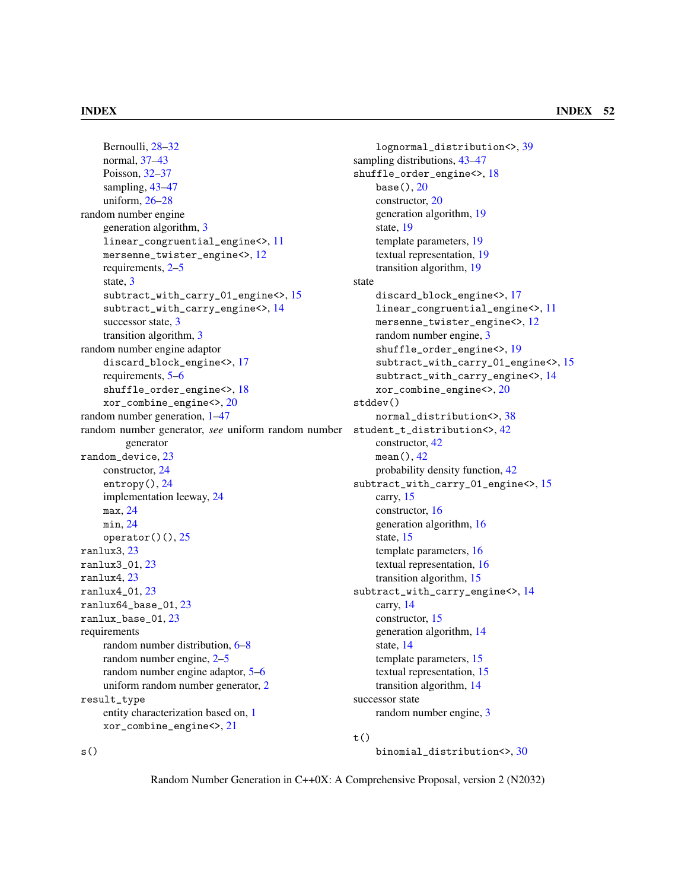Bernoulli, [28–](#page-33-2)[32](#page-37-2) normal, [37](#page-42-2)[–43](#page-48-2) Poisson, [32–](#page-37-2)[37](#page-42-2) sampling, [43](#page-48-2)[–47](#page-52-0) uniform, [26–](#page-31-3)[28](#page-33-2) random number engine generation algorithm, [3](#page-8-1) linear\_congruential\_engine<>, [11](#page-16-2) mersenne\_twister\_engine<>, [12](#page-17-2) requirements, [2–](#page-7-5)[5](#page-10-2) state, [3](#page-8-1) subtract\_with\_carry\_01\_engine<>, [15](#page-20-1) subtract\_with\_carry\_engine<>, [14](#page-19-1) successor state, [3](#page-8-1) transition algorithm, [3](#page-8-1) random number engine adaptor discard\_block\_engine<>, [17](#page-22-2) requirements, [5–](#page-10-2)[6](#page-11-2) shuffle\_order\_engine<>, [18](#page-23-1) xor\_combine\_engine<>, [20](#page-25-1) random number generation, [1–](#page-6-4)[47](#page-52-0) random number generator, *see* uniform random number student\_t\_distribution<>, [42](#page-47-1) generator random\_device, [23](#page-28-1) constructor, [24](#page-29-2) entropy(), [24](#page-29-2) implementation leeway, [24](#page-29-2) max, [24](#page-29-2) min, [24](#page-29-2) operator $()$  $($  $), 25$  $), 25$ ranlux3, [23](#page-28-1) ranlux3\_01, [23](#page-28-1) ranlux4, [23](#page-28-1) ranlux4\_01, [23](#page-28-1) ranlux64\_base\_01, [23](#page-28-1) ranlux\_base\_01, [23](#page-28-1) requirements random number distribution, [6](#page-11-2)[–8](#page-13-1) random number engine, [2](#page-7-5)[–5](#page-10-2) random number engine adaptor, [5](#page-10-2)[–6](#page-11-2) uniform random number generator, [2](#page-7-5) result\_type entity characterization based on, [1](#page-6-4) xor\_combine\_engine<>, [21](#page-26-0)

lognormal\_distribution<>, [39](#page-44-1) sampling distributions, [43](#page-48-2)[–47](#page-52-0) shuffle\_order\_engine<>, [18](#page-23-1) base(), [20](#page-25-1) constructor, [20](#page-25-1) generation algorithm, [19](#page-24-0) state, [19](#page-24-0) template parameters, [19](#page-24-0) textual representation, [19](#page-24-0) transition algorithm, [19](#page-24-0) state discard\_block\_engine<>, [17](#page-22-2) linear\_congruential\_engine<>, [11](#page-16-2) mersenne\_twister\_engine<>, [12](#page-17-2) random number engine, [3](#page-8-1) shuffle\_order\_engine<>, [19](#page-24-0) subtract\_with\_carry\_01\_engine<>, [15](#page-20-1) subtract\_with\_carry\_engine<>, [14](#page-19-1) xor\_combine\_engine<>, [20](#page-25-1) stddev() normal\_distribution<>, [38](#page-43-1) constructor, [42](#page-47-1) mean(), [42](#page-47-1) probability density function, [42](#page-47-1) subtract\_with\_carry\_01\_engine<>, [15](#page-20-1) carry, [15](#page-20-1) constructor, [16](#page-21-0) generation algorithm, [16](#page-21-0) state, [15](#page-20-1) template parameters, [16](#page-21-0) textual representation, [16](#page-21-0) transition algorithm, [15](#page-20-1) subtract\_with\_carry\_engine<>, [14](#page-19-1) carry, [14](#page-19-1) constructor, [15](#page-20-1) generation algorithm, [14](#page-19-1) state, [14](#page-19-1) template parameters, [15](#page-20-1) textual representation, [15](#page-20-1) transition algorithm, [14](#page-19-1) successor state random number engine, [3](#page-8-1)

### $t()$

binomial\_distribution<>, [30](#page-35-1)

Random Number Generation in C++0X: A Comprehensive Proposal, version 2 (N2032)

 $s()$